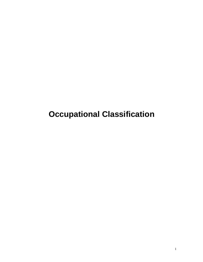**Occupational Classification**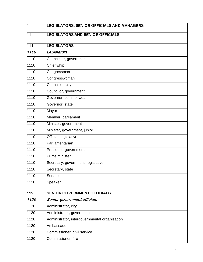| Ī                | LEGISLATORS, SENIOR OFFICIALS AND MANAGERS    |
|------------------|-----------------------------------------------|
| 11               | <b>LEGISLATORS AND SENIOR OFFICIALS</b>       |
|                  |                                               |
| $\overline{111}$ | <b>LEGISLATORS</b>                            |
| 1110             | Legislators                                   |
| 1110             | Chancellor, government                        |
| 1110             | Chief whip                                    |
| 1110             | Congressman                                   |
| 1110             | Congresswoman                                 |
| 1110             | Councillor, city                              |
| 1110             | Councilor, government                         |
| 1110             | Governor, commonwealth                        |
| 1110             | Governor, state                               |
| 1110             | Mayor                                         |
| 1110             | Member, parliament                            |
| 1110             | Minister, government                          |
| 1110             | Minister, government, junior                  |
| 1110             | Official, legislative                         |
| 1110             | Parliamentarian                               |
| 1110             | President, government                         |
| 1110             | Prime minister                                |
| 1110             | Secretary, government, legislative            |
| 1110             | Secretary, state                              |
| 1110             | Senator                                       |
| 1110             | Speaker                                       |
| 112              | <b>SENIOR GOVERNMENT OFFICIALS</b>            |
| 1120             | Senior government officials                   |
| 1120             | Administrator, city                           |
| 1120             | Administrator, government                     |
| 1120             | Administrator, intergovernmental organisation |
| 1120             | Ambassador                                    |
| 1120             | Commissioner, civil service                   |
| 1120             | Commissioner, fire                            |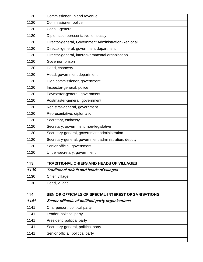| 1120 | Commissioner, inland revenue                         |
|------|------------------------------------------------------|
| 1120 | Commissioner, police                                 |
| 1120 | Consul-general                                       |
| 1120 | Diplomatic representative, embassy                   |
| 1120 | Director-general, Government Administration-Regional |
| 1120 | Director-general, government department              |
| 1120 | Director-general, intergovernmental organisation     |
| 1120 | Governor, prison                                     |
| 1120 | Head, chancery                                       |
| 1120 | Head, government department                          |
| 1120 | High commissioner, government                        |
| 1120 | Inspector-general, police                            |
| 1120 | Paymaster-general, government                        |
| 1120 | Postmaster-general, government                       |
| 1120 | Registrar-general, government                        |
| 1120 | Representative, diplomatic                           |
| 1120 | Secretary, embassy                                   |
| 1120 | Secretary, government, non-legislative               |
| 1120 | Secretary-general, government administration         |
| 1120 | Secretary-general, government administration, deputy |
| 1120 | Senior official, government                          |
| 1120 | Under-secretary, government                          |
| 113  | <b>TRADITIONAL CHIEFS AND HEADS OF VILLAGES</b>      |
| 1130 | Traditional chiefs and heads of villages             |
| 1130 | Chief, village                                       |
| 1130 | Head, village                                        |
| 114  | SENIOR OFFICIALS OF SPECIAL-INTEREST ORGANISATIONS   |
| 1141 | Senior officials of political party organisations    |
| 1141 | Chairperson, political party                         |
| 1141 | Leader, political party                              |
| 1141 | President, political party                           |
| 1141 | Secretary-general, political party                   |
| 1141 | Senior official, political party                     |
|      |                                                      |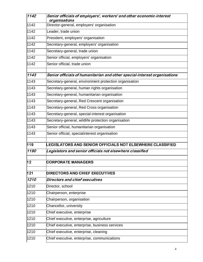| 1142            | Senior officials of employers', workers' and other economic-interest<br>organisations |
|-----------------|---------------------------------------------------------------------------------------|
| 1142            | Director-general, employers' organisation                                             |
| 1142            | Leader, trade union                                                                   |
| 1142            | President, employers' organisation                                                    |
| 1142            | Secretary-general, employers' organisation                                            |
| 1142            | Secretary-general, trade union                                                        |
| 1142            | Senior official, employers' organisation                                              |
| 1142            | Senior official, trade union                                                          |
| 1143            | Senior officials of humanitarian and other special-interest organisations             |
| 1143            | Secretary-general, environment protection organisation                                |
| 1143            | Secretary-general, human rights organisation                                          |
| 1143            | Secretary-general, humanitarian organisation                                          |
| 1143            | Secretary-general, Red Crescent organisation                                          |
| 1143            | Secretary-general, Red Cross organisation                                             |
| 1143            | Secretary-general, special-interest organisation                                      |
| 1143            | Secretary-general, wildlife protection organisation                                   |
| 1143            | Senior official, humanitarian organisation                                            |
| 1143            | Senior official, specialinterest organisation                                         |
| 119             | <b>EGISLATORS AND SENIOR OFFICIALS NOT ELSEWHERE CLASSIFIED.</b>                      |
| 1190            | Legislators and senior officials not elsewhere classified                             |
| $\overline{12}$ | <b>CORPORATE MANAGERS</b>                                                             |
| 121             | <b>DIRECTORS AND CHIEF EXECUTIVES</b>                                                 |
| 1210            | Directors and chief executives                                                        |
| 1210            | Director, school                                                                      |
| 1210            | Chairperson, enterprise                                                               |
| 1210            | Chairperson, organisation                                                             |
| 1210            | Chancellor, university                                                                |
| 1210            | Chief executive, enterprise                                                           |
| 1210            | Chief executive, enterprise, agriculture                                              |
| 1210            | Chief executive, enterprise, business services                                        |
| 1210            | Chief executive, enterprise, cleaning                                                 |
| 1210            | Chief executive, enterprise, communications                                           |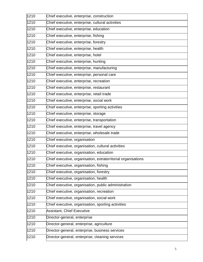| 1210 | Chief executive, enterprise, construction                     |
|------|---------------------------------------------------------------|
| 1210 | Chief executive, enterprise, cultural activities              |
| 1210 | Chief executive, enterprise, education                        |
| 1210 | Chief executive, enterprise, fishing                          |
| 1210 | Chief executive, enterprise, forestry                         |
| 1210 | Chief executive, enterprise, health                           |
| 1210 | Chief executive, enterprise, hotel                            |
| 1210 | Chief executive, enterprise, hunting                          |
| 1210 | Chief executive, enterprise, manufacturing                    |
| 1210 | Chief executive, enterprise, personal care                    |
| 1210 | Chief executive, enterprise, recreation                       |
| 1210 | Chief executive, enterprise, restaurant                       |
| 1210 | Chief executive, enterprise, retail trade                     |
| 1210 | Chief executive, enterprise, social work                      |
| 1210 | Chief executive, enterprise, sporting activities              |
| 1210 | Chief executive, enterprise, storage                          |
| 1210 | Chief executive, enterprise, transportation                   |
| 1210 | Chief executive, enterprise, travel agency                    |
| 1210 | Chief executive, enterprise, wholesale trade                  |
| 1210 | Chief executive, organisation                                 |
| 1210 | Chief executive, organisation, cultural activities            |
| 1210 | Chief executive, organisation, education                      |
| 1210 | Chief executive, organisation, extraterritorial organisations |
| 1210 | Chief executive, organisation, fishing                        |
| 1210 | Chief executive, organisation, forestry                       |
| 1210 | Chief executive, organisation, health                         |
| 1210 | Chief executive, organisation, public administration          |
| 1210 | Chief executive, organisation, recreation                     |
| 1210 | Chief executive, organisation, social work                    |
| 1210 | Chief executive, organisation, sporting activities            |
| 1210 | <b>Assistant, Chief Executive</b>                             |
| 1210 | Director-general, enterprise                                  |
| 1210 | Director-general, enterprise, agriculture                     |
| 1210 | Director-general, enterprise, business services               |
| 1210 | Director-general, enterprise, cleaning services               |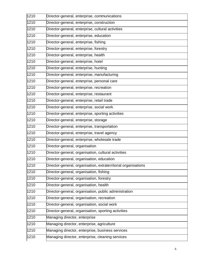| 1210 | Director-general, enterprise, communications                   |
|------|----------------------------------------------------------------|
| 1210 | Director-general, enterprise, construction                     |
| 1210 | Director-general, enterprise, cultural activities              |
| 1210 | Director-general, enterprise, education                        |
| 1210 | Director-general, enterprise, fishing                          |
| 1210 | Director-general, enterprise, forestry                         |
| 1210 | Director-general, enterprise, health                           |
| 1210 | Director-general, enterprise, hotel                            |
| 1210 | Director-general, enterprise, hunting                          |
| 1210 | Director-general, enterprise, manufacturing                    |
| 1210 | Director-general, enterprise, personal care                    |
| 1210 | Director-general, enterprise, recreation                       |
| 1210 | Director-general, enterprise, restaurant                       |
| 1210 | Director-general, enterprise, retail trade                     |
| 1210 | Director-general, enterprise, social work                      |
| 1210 | Director-general, enterprise, sporting activities              |
| 1210 | Director-general, enterprise, storage                          |
| 1210 | Director-general, enterprise, transportation                   |
| 1210 | Director-general, enterprise, travel agency                    |
| 1210 | Director-general, enterprise, wholesale trade                  |
| 1210 | Director-general, organisation                                 |
| 1210 | Director-general, organisation, cultural activities            |
| 1210 | Director-general, organisation, education                      |
| 1210 | Director-general, organisation, extraterritorial organisations |
| 1210 | Director-general, organisation, fishing                        |
| 1210 | Director-general, organisation, forestry                       |
| 1210 | Director-general, organisation, health                         |
| 1210 | Director-general, organisation, public administration          |
| 1210 | Director-general, organisation, recreation                     |
| 1210 | Director-general, organisation, social work                    |
| 1210 | Director-general, organisation, sporting activities            |
| 1210 | Managing director, enterprise                                  |
| 1210 | Managing director, enterprise, agriculture                     |
| 1210 | Managing director, enterprise, business services               |
| 1210 | Managing director, enterprise, cleaning services               |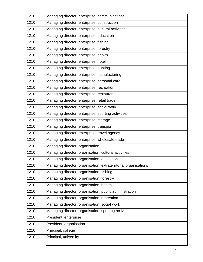| 1210 | Managing director, enterprise, communications                   |
|------|-----------------------------------------------------------------|
| 1210 | Managing director, enterprise, construction                     |
| 1210 | Managing director, enterprise, cultural activities              |
| 1210 | Managing director, enterprise, education                        |
| 1210 | Managing director, enterprise, fishing                          |
| 1210 | Managing director, enterprise, forestry                         |
| 1210 | Managing director, enterprise, health                           |
| 1210 | Managing director, enterprise, hotel                            |
| 1210 | Managing director, enterprise, hunting                          |
| 1210 | Managing director, enterprise, manufacturing                    |
| 1210 | Managing director, enterprise, personal care                    |
| 1210 | Managing director, enterprise, recreation                       |
| 1210 | Managing director, enterprise, restaurant                       |
| 1210 | Managing director, enterprise, retail trade                     |
| 1210 | Managing director, enterprise, social work                      |
| 1210 | Managing director, enterprise, sporting activities              |
| 1210 | Managing director, enterprise, storage                          |
| 1210 | Managing director, enterprise, transport                        |
| 1210 | Managing director, enterprise, travel agency                    |
| 1210 | Managing director, enterprise, wholesale trade                  |
| 1210 | Managing director, organisation                                 |
| 1210 | Managing director, organisation, cultural activities            |
| 1210 | Managing director, organisation, education                      |
| 1210 | Managing director, organisation, extraterritorial organisations |
| 1210 | Managing director, organisation, fishing                        |
| 1210 | Managing director, organisation, forestry                       |
| 1210 | Managing director, organisation, health                         |
| 1210 | Managing director, organisation, public administration          |
| 1210 | Managing director, organisation, recreation                     |
| 1210 | Managing director, organisation, social work                    |
| 1210 | Managing director, organisation, sporting activities            |
| 1210 | President, enterprise                                           |
| 1210 | President, organisation                                         |
| 1210 | Principal, college                                              |
| 1210 | Principal, university                                           |
|      |                                                                 |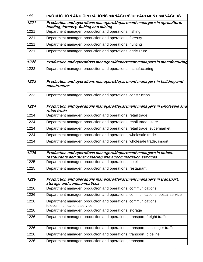| 122  | <b>PRODUCTION AND OPERATIONS MANAGERS/DEPARTMENT MANAGERS</b>                                                                  |
|------|--------------------------------------------------------------------------------------------------------------------------------|
| 1221 | Production and operations managers/department managers in agriculture,<br>hunting, forestry, fishing and mining                |
| 1221 | Department manager, production and operations, fishing                                                                         |
| 1221 | Department manager, production and operations, forestry                                                                        |
| 1221 | Department manager, production and operations, hunting                                                                         |
| 1221 | Department manager, production and operations, agriculture                                                                     |
| 1222 | Production and operations managers/department managers in manufacturing                                                        |
| 1222 | Department manager, production and operations, manufacturing                                                                   |
| 1223 | Production and operations managers/department managers in building and<br>construction                                         |
| 1223 | Department manager, production and operations, construction                                                                    |
| 1224 | $ $ Production and operations managers/department managers in wholesale and $\bar{z}$<br>retail trade                          |
| 1224 | Department manager, production and operations, retail trade                                                                    |
| 1224 | Department manager, production and operations, retail trade, store                                                             |
| 1224 | Department manager, production and operations, retail trade, supermarket                                                       |
| 1224 | Department manager, production and operations, wholesale trade                                                                 |
| 1224 | Department manager, production and operations, wholesale trade, import                                                         |
| 1225 | Production and operations managers/department managers in hotels,<br>restaurants and other catering and accommodation services |
| 1225 | Department manager, production and operations, hotel                                                                           |
| 1225 | Department manager, production and operations, restaurant                                                                      |
| 1226 | Production and operations managers/department managers in transport,<br>storage and communications                             |
| 1226 | Department manager, production and operations, communications                                                                  |
| 1226 | Department manager, production and operations, communications, postal service                                                  |
| 1226 | Department manager, production and operations, communications,<br>telecommunications service                                   |
| 1226 | Department manager, production and operations, storage                                                                         |
| 1226 | Department manager, production and operations, transport, freight traffic                                                      |
| 1226 | Department manager, production and operations, transport, passenger traffic                                                    |
| 1226 | Department manager, production and operations, transport, pipeline                                                             |
| 1226 | Department manager, production and operations, transport                                                                       |
|      |                                                                                                                                |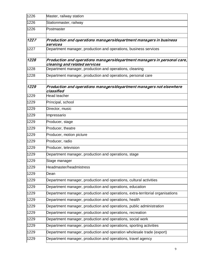| 1226 | Master, railway station                                                                                   |
|------|-----------------------------------------------------------------------------------------------------------|
| 1226 | Stationmaster, railway                                                                                    |
| 1226 | Postmaster                                                                                                |
| 1227 | Production and operations managers/department managers in business<br>services                            |
| 1227 | Department manager, production and operations, business services                                          |
| 1228 | Production and operations managers/department managers in personal care,<br>cleaning and related services |
| 1228 | Department manager, production and operations, cleaning                                                   |
| 1228 | Department manager, production and operations, personal care                                              |
| 1229 | Production and operations managers/department managers not elsewhere<br>classified                        |
| 1229 | Head teacher                                                                                              |
| 1229 | Principal, school                                                                                         |
| 1229 | Director, music                                                                                           |
| 1229 | Impressario                                                                                               |
| 1229 | Producer, stage                                                                                           |
| 1229 | Producer, theatre                                                                                         |
| 1229 | Producer, motion picture                                                                                  |
| 1229 | Producer, radio                                                                                           |
| 1229 | Producer, television                                                                                      |
| 1229 | Department manager, production and operations, stage                                                      |
| 1229 | Stage manager                                                                                             |
| 1229 | Headmaster/headmistress                                                                                   |
| 1229 | Dean                                                                                                      |
| 1229 | Department manager, production and operations, cultural activities                                        |
| 1229 | Department manager, production and operations, education                                                  |
| 1229 | Department manager, production and operations, extra-territorial organisations                            |
| 1229 | Department manager, production and operations, health                                                     |
| 1229 | Department manager, production and operations, public administration                                      |
| 1229 | Department manager, production and operations, recreation                                                 |
| 1229 | Department manager, production and operations, social work                                                |
| 1229 | Department manager, production and operations, sporting activities                                        |
| 1229 | Department manager, production and operation wholesale trade (export)                                     |
| 1229 | Department manager, production and operations, travel agency                                              |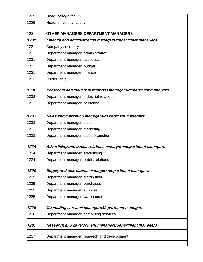| 1229 | Head, college faculty                                           |
|------|-----------------------------------------------------------------|
| 1229 | Head, university faculty                                        |
| 123  | OTHER MANAGERS/DEPARTMENT MANAGERS                              |
| 1231 | Finance and administration managers/department managers         |
| 1231 | Company secretary                                               |
| 1231 | Department manager, administrative                              |
| 1231 | Department manager, accounts                                    |
| 1231 | Department manager, budget                                      |
| 1231 | Department manager, finance                                     |
| 1231 | Purser, ship                                                    |
| 1232 | Personnel and industrial relations managers/department managers |
| 1232 | Department manager, industrial relations                        |
| 1232 | Department manager, personnel                                   |
| 1233 | Sales and marketing managers/department managers                |
| 1233 | Department manager, sales                                       |
| 1233 | Department manager, marketing                                   |
| 1233 | Department manager, sales promotion                             |
| 1234 | Advertising and public relations managers/department managers   |
| 1234 | Department manager, advertising                                 |
| 1234 | Department manager, public relations                            |
| 1235 | Supply and distribution managers/department managers            |
| 1235 | Department manager, distribution                                |
| 1235 | Department manager, purchases                                   |
| 1235 | Department manager, supplies                                    |
| 1235 | Department manager, warehouse                                   |
| 1236 | Computing services managers/department managers                 |
| 1236 | Department manager, computing services                          |
| 1237 | Research and development managers/department managers           |
| 1237 | Department manager, research and development                    |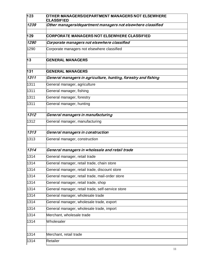| 123  | OTHER MANAGERS/DEPARTMENT MANAGERS NOT ELSEWHERE<br><b>CLASSIFIED</b> |
|------|-----------------------------------------------------------------------|
| 1239 | Other managers/department managers not elsewhere classified           |
| 129  | <b>CORPORATE MANAGERS NOT ELSEWHERE CLASSIFIED</b>                    |
| 1290 | Corporate managers not elsewhere classified                           |
| 1290 | Corporate managers not elsewhere classified                           |
| 13   | <b>GENERAL MANAGERS</b>                                               |
| 131  | <b>GENERAL MANAGERS</b>                                               |
| 1311 | General managers in agriculture, hunting, forestry and fishing        |
| 1311 | General manager, agriculture                                          |
| 1311 | General manager, fishing                                              |
| 1311 | General manager, forestry                                             |
| 1311 | General manager, hunting                                              |
| 1312 | General managers in manufacturing                                     |
| 1312 | General manager, manufacturing                                        |
| 1313 | General managers in construction                                      |
| 1313 | General manager, construction                                         |
| 1314 | General managers in wholesale and retail trade                        |
| 1314 | General manager, retail trade                                         |
| 1314 | General manager, retail trade, chain store                            |
| 1314 | General manager, retail trade, discount store                         |
| 1314 | General manager, retail trade, mail-order store                       |
| 1314 | General manager, retail trade, shop                                   |
| 1314 | General manager, retail trade, self-service store                     |
| 1314 | General manager, wholesale trade                                      |
| 1314 | General manager, wholesale trade, export                              |
| 1314 | General manager, wholesale trade, import                              |
| 1314 | Merchant, wholesale trade                                             |
| 1314 | Wholesaler                                                            |
| 1314 | Merchant, retail trade                                                |
| 1314 | Retailer                                                              |
|      |                                                                       |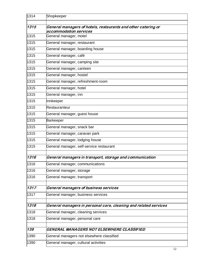| 1314 | Shopkeeper                                                                              |
|------|-----------------------------------------------------------------------------------------|
|      |                                                                                         |
| 1315 | General managers of hotels, restaurants and other catering or<br>accommodation services |
| 1315 | General manager, motel                                                                  |
| 1315 | General manager, restaurant                                                             |
| 1315 | General manager, boarding house                                                         |
| 1315 | General manager, café                                                                   |
| 1315 | General manager, camping site                                                           |
| 1315 | General manager, canteen                                                                |
| 1315 | General manager, hostel                                                                 |
| 1315 | General manager, refreshment-room                                                       |
| 1315 | General manager, hotel                                                                  |
| 1315 | General manager, inn                                                                    |
| 1315 | Innkeeper                                                                               |
| 1315 | Restauranteur                                                                           |
| 1315 | General manager, guest house                                                            |
| 1315 | Barkeeper                                                                               |
| 1315 | General manager, snack bar                                                              |
| 1315 | General manager, caravan park                                                           |
| 1315 | General manager, lodging house                                                          |
| 1315 | General manager, self-service restaurant                                                |
| 1316 | General managers in transport, storage and communication                                |
| 1316 | General manager, communications                                                         |
| 1316 | General manager, storage                                                                |
| 1316 | General manager, transport                                                              |
| 1317 | General managers of business services                                                   |
| 1317 | General manager, business services                                                      |
| 1318 | General managers in personal care, cleaning and related services                        |
| 1318 | General manager, cleaning services                                                      |
| 1318 | General manager, personal care                                                          |
| 139  | GENERAL MANAGERS NOT ELSEWHERE CLASSIFIED                                               |
| 1390 | General managers not elsewhere classified                                               |
| 1390 | General manager, cultural activities                                                    |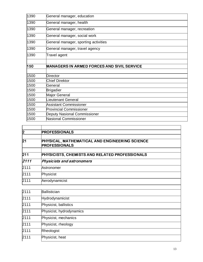| 1390 | General manager, education                        |
|------|---------------------------------------------------|
| 1390 | General manager, health                           |
| 1390 | General manager, recreation                       |
| 1390 | General manager, social work                      |
| 1390 | General manager, sporting activities              |
| 1390 | General manager, travel agency                    |
| 1390 | Travel agent                                      |
|      |                                                   |
| 150  | <b>MANAGERS IN ARMED FORCES AND SIVIL SERVICE</b> |
|      |                                                   |
| 1500 | <b>Director</b>                                   |
| 1500 | <b>Chief Direktor</b>                             |
| 1500 | General                                           |
| 1500 | <b>Brigadier</b>                                  |
| 1500 | Major General                                     |
| 1500 | Lieutenant General                                |
| 1500 | Assistant Commissioner                            |
| 1500 | <b>Provincial Commissioner</b>                    |
|      |                                                   |
| 1500 | <b>Deputy Nasional Commissioner</b>               |

| <b>PROFESSIONALS</b>                                                   |  |
|------------------------------------------------------------------------|--|
| PHYSICAL, MATHEMATICAL AND ENGINEERING SCIENCE<br><b>PROFESSIONALS</b> |  |
| PHYSICISTS, CHEMISTS AND RELATED PROFESSIONALS                         |  |
| Physicists and astronomers                                             |  |
| Astronomer                                                             |  |
| Physicist                                                              |  |
| Aerodynamicist                                                         |  |
|                                                                        |  |

| 2111<br>Ballistician             |  |
|----------------------------------|--|
|                                  |  |
| 2111<br>Hydrodynamicist          |  |
| 2111<br>Physicist, ballistics    |  |
| 2111<br>Physicist, hydrodynamics |  |
| 2111<br>Physicist, mechanics     |  |
| 2111<br>Physicist, rheology      |  |
| 2111<br>Rheologist               |  |
| 2111<br>Physicist, heat          |  |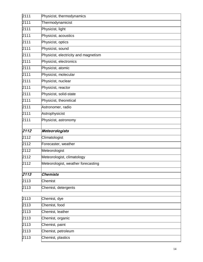| 2111 | Physicist, thermodynamics            |
|------|--------------------------------------|
| 2111 | Thermodynamicist                     |
| 2111 | Physicist, light                     |
| 2111 | Physicist, acoustics                 |
| 2111 | Physicist, optics                    |
| 2111 | Physicist, sound                     |
| 2111 | Physicist, electricity and magnetism |
| 2111 | Physicist, electronics               |
| 2111 | Physicist, atomic                    |
| 2111 | Physicist, molecular                 |
| 2111 | Physicist, nuclear                   |
| 2111 | Physicist, reactor                   |
| 2111 | Physicist, solid-state               |
| 2111 | Physicist, theoretical               |
| 2111 | Astronomer, radio                    |
| 2111 | Astrophysicist                       |
| 2111 | Physicist, astronomy                 |
|      |                                      |
| 2112 | Meteorologists                       |
| 2112 | Climatologist                        |
| 2112 | Forecaster, weather                  |
| 2112 | Meteorologist                        |
| 2112 | Meteorologist, climatology           |
| 2112 | Meteorologist, weather forecasting   |
| 2113 | <b>Chemists</b>                      |
| 2113 | Chemist                              |
| 2113 | Chemist, detergents                  |
|      |                                      |
| 2113 | Chemist, dye                         |
| 2113 | Chemist, food                        |
| 2113 | Chemist, leather                     |
| 2113 | Chemist, organic                     |
| 2113 | Chemist, paint                       |
| 2113 | Chemist, petroleum                   |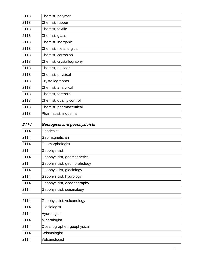| 2113                 | Chemist, polymer                           |
|----------------------|--------------------------------------------|
| 2113                 | Chemist, rubber                            |
| 2113                 | Chemist, textile                           |
| 2113                 | Chemist, glass                             |
| 2113                 | Chemist, inorganic                         |
| 2113                 | Chemist, metallurgical                     |
| 2113                 | Chemist, corrosion                         |
| 2113                 | Chemist, crystallography                   |
| 2113                 | Chemist, nuclear                           |
| 2113                 | Chemist, physical                          |
| 2113                 | Crystallographer                           |
| 2113                 | Chemist, analytical                        |
| 2113                 | Chemist, forensic                          |
| 2113                 | Chemist, quality control                   |
| 2113                 | Chemist, pharmaceutical                    |
| 2113                 | Pharmacist, industrial                     |
| 2114                 |                                            |
|                      | Geologists and geophysicists               |
| 2114                 | Geodesist                                  |
| 2114                 | Geomagnetician                             |
| 2114                 | Geomorphologist                            |
| 2114                 | Geophysicist                               |
| 2114                 | Geophysicist, geomagnetics                 |
| 2114                 | Geophysicist, geomorphology                |
| 2114                 |                                            |
|                      | Geophysicist, glaciology                   |
| 2114                 | Geophysicist, hydrology                    |
| 2114                 | Geophysicist, oceanography                 |
| 2114                 | Geophysicist, seismology                   |
|                      |                                            |
|                      | Geophysicist, volcanology                  |
| 2114                 | Glaciologist                               |
| 2114                 | Hydrologist                                |
| 2114<br>2114<br>2114 | Mineralogist<br>Oceanographer, geophysical |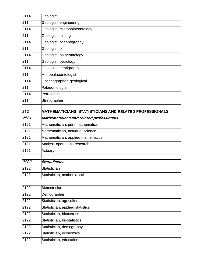| 2114             | Geologist                                               |
|------------------|---------------------------------------------------------|
| 2114             | Geologist, engineering                                  |
| 2114             | Geologist, micropalaeontology                           |
| 2114             | Geologist, mining                                       |
| 2114             | Geologist, oceanography                                 |
| 2114             | Geologist, oil                                          |
| 2114             | Geologist, palaeontology                                |
| 2114             | Geologist, petrology                                    |
| 2114             | Geologist, stratigraphy                                 |
| 2114             | Micropalaeontologist                                    |
| 2114             | Oceanographer, geological                               |
| 2114             | Palaeontologist                                         |
| 2114             | Petrologist                                             |
| 2114             | Stratigrapher                                           |
| $\overline{212}$ | MATHEMATICIANS, STATISTICIANS AND RELATED PROFESSIONALS |
| 2121             | Mathematicians and related professionals                |
| 2121             | Mathematician, pure mathematics                         |
| 2121             | Mathematician, actuarial science                        |
| 2121             | Mathematician, applied mathematics                      |
| 2121             | Analyst, operations research                            |
| 2121             | Actuary                                                 |
| 2122             | Statisticians                                           |
| 2122             | Statistician                                            |
| 2122             | Statistician, mathematical                              |

| 2122 | Biometrician                     |
|------|----------------------------------|
| 2122 | Demographer                      |
| 2122 | Statistician, agricultural       |
| 2122 | Statistician, applied statistics |
| 2122 | Statistician, biometrics         |
| 2122 | Statistician, biostatistics      |
| 2122 | Statistician, demography         |
| 2122 | Statistician, economics          |
| 2122 | Statistician, education          |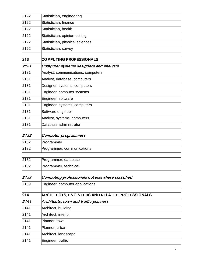| 2122 | Statistician, engineering               |
|------|-----------------------------------------|
| 2122 | Statistician, finance                   |
| 2122 | Statistician, health                    |
| 2122 | Statistician, opinion-polling           |
| 2122 | Statistician, physical sciences         |
| 2122 | Statistician, survey                    |
| 213  | <b>COMPUTING PROFESSIONALS</b>          |
| 2131 | Computer systems designers and analysts |
| 2131 | Analyst, communications, computers      |
| 2131 | Analyst, database, computers            |
| 2131 | Designer, systems, computers            |
| 2131 | Engineer, computer systems              |
| 2131 | Engineer, software                      |
| 2131 | Engineer, systems, computers            |
| 2131 | Software engineer                       |
| 2131 | Analyst, systems, computers             |
| 2131 | Database administrator                  |
| 2132 | <b>Computer programmers</b>             |
| 2132 | Programmer                              |
| 2132 | Programmer, communications              |
|      |                                         |

| 2132 | Programmer, database                                   |
|------|--------------------------------------------------------|
| 2132 | Programmer, technical                                  |
|      |                                                        |
| 2139 | Computing professionals not elsewhere classified       |
| 2139 | Engineer, computer applications                        |
|      |                                                        |
| 214  | <b>ARCHITECTS, ENGINEERS AND RELATED PROFESSIONALS</b> |
| 2141 | Architects, town and traffic planners                  |
| 2141 | Architect, building                                    |
| 2141 | Architect, interior                                    |
| 2141 | Planner, town                                          |
| 2141 | Planner, urban                                         |
| 2141 | Architect, landscape                                   |
| 2141 | Engineer, traffic                                      |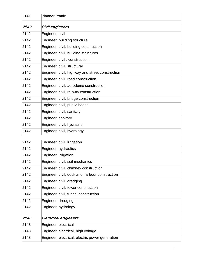| 2141 | Planner, traffic                                 |
|------|--------------------------------------------------|
| 2142 | Civil engineers                                  |
| 2142 | Engineer, civil                                  |
| 2142 | Engineer, building structure                     |
| 2142 | Engineer, civil, building construction           |
| 2142 | Engineer, civil, building structures             |
| 2142 | Engineer, civil, construction                    |
| 2142 | Engineer, civil, structural                      |
| 2142 | Engineer, civil, highway and street construction |
| 2142 | Engineer, civil, road construction               |
| 2142 | Engineer, civil, aerodome construction           |
| 2142 | Engineer, civil, railway construction            |
| 2142 | Engineer, civil, bridge construction             |
| 2142 | Engineer, civil, public health                   |
| 2142 | Engineer, civil, sanitary                        |
| 2142 | Engineer, sanitary                               |
| 2142 | Engineer, civil, hydraulic                       |
| 2142 | Engineer, civil, hydrology                       |
| 2142 | Engineer, civil, irrigation                      |
| 2142 | Engineer, hydraulics                             |
| 2142 | Engineer, irrigation                             |
| 2142 | Engineer, civil, soil mechanics                  |
| 2142 | Engineer, civil, chimney construction            |
| 2142 | Engineer, civil, dock and harbour construction   |
| 2142 | Engineer, civil, dredging                        |
| 2142 | Engineer, civil, tower construction              |
| 2142 | Engineer, civil, tunnel construction             |
| 2142 | Engineer, dredging                               |
| 2142 | Engineer, hydrology                              |
| 2143 | <b>Electrical engineers</b>                      |
| 2143 | Engineer, electrical                             |
| 2143 | Engineer, electrical, high voltage               |
| 2143 | Engineer, electrical, electric power generation  |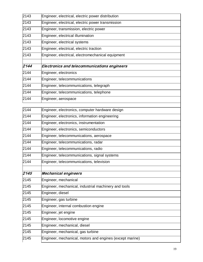| 2143 | Engineer, electrical, electric power distribution        |
|------|----------------------------------------------------------|
| 2143 | Engineer, electrical, electric power transmission        |
| 2143 | Engineer, transmission, electric power                   |
| 2143 | Engineer, electrical illumination                        |
| 2143 | Engineer, electrical systems                             |
| 2143 | Engineer, electrical, electric traction                  |
| 2143 | Engineer, electrical, electromechanical equipment        |
| 2144 |                                                          |
|      | Electronics and telecommunications engineers             |
| 2144 | Engineer, electronics                                    |
| 2144 | Engineer, telecommunications                             |
| 2144 | Engineer, telecommunications, telegraph                  |
| 2144 | Engineer, telecommunications, telephone                  |
| 2144 | Engineer, aerospace                                      |
| 2144 | Engineer, electronics, computer hardware design          |
| 2144 | Engineer, electronics, information engineering           |
| 2144 | Engineer, electronics, instrumentation                   |
| 2144 | Engineer, electronics, semiconductors                    |
| 2144 | Engineer, telecommunications, aerospace                  |
| 2144 | Engineer, telecommunications, radar                      |
| 2144 | Engineer, telecommunications, radio                      |
| 2144 | Engineer, telecommunications, signal systems             |
| 2144 | Engineer, telecommunications, television                 |
| 2145 |                                                          |
|      | <b>Mechanical engineers</b>                              |
| 2145 | Engineer, mechanical                                     |
| 2145 | Engineer, mechanical, industrial machinery and tools     |
| 2145 | Engineer, diesel                                         |
| 2145 | Engineer, gas turbine                                    |
| 2145 | Engineer, internal combustion engine                     |
| 2145 | Engineer, jet engine                                     |
| 2145 | Engineer, locomotive engine                              |
| 2145 | Engineer, mechanical, diesel                             |
| 2145 | Engineer, mechanical, gas turbine                        |
| 2145 | Engineer, mechanical, motors and engines (except marine) |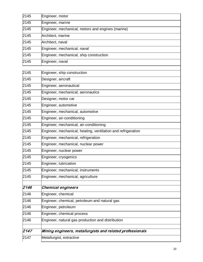| 2145 | Engineer, motor                                   |
|------|---------------------------------------------------|
| 2145 | Engineer, marine                                  |
| 2145 | Engineer, mechanical, motors and engines (marine) |
| 2145 | Architect, marine                                 |
| 2145 | Architect, naval                                  |
| 2145 | Engineer, mechanical, naval                       |
| 2145 | Engineer, mechanical, ship construction           |
| 2145 | Engineer, naval                                   |
|      |                                                   |

| 2147 | Metallurgist, extractive                                     |
|------|--------------------------------------------------------------|
| 2147 | Mining engineers, metallurgists and related professionals    |
| 2146 | Engineer, natural gas production and distribution            |
| 2146 | Engineer, chemical process                                   |
| 2146 | Engineer, petroleum                                          |
| 2146 | Engineer, chemical, petroleum and natural gas                |
| 2146 | Engineer, chemical                                           |
| 2146 | <b>Chemical engineers</b>                                    |
|      |                                                              |
| 2145 | Engineer, mechanical, agriculture                            |
| 2145 | Engineer, mechanical, instruments                            |
| 2145 | Engineer, lubrication                                        |
| 2145 | Engineer, cryogenics                                         |
| 2145 | Engineer, nuclear power                                      |
| 2145 | Engineer, mechanical, nuclear power                          |
| 2145 | Engineer, mechanical, refrigeration                          |
| 2145 | Engineer, mechanical, heating, ventilation and refrigeration |
| 2145 | Engineer, mechanical, air-conditioning                       |
| 2145 | Engineer, air-conditioning                                   |
| 2145 | Engineer, mechanical, automotive                             |
| 2145 | Engineer, automotive                                         |
| 2145 | Designer, motor car                                          |
| 2145 | Engineer, mechanical, aeronautics                            |
| 2145 | Engineer, aeronautical                                       |
| 2145 | Designer, aircraft                                           |
| 2145 | Engineer, ship construction                                  |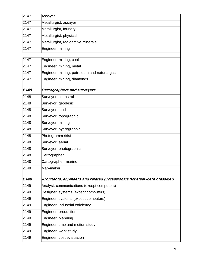| 2147 | Assayer                                                                  |
|------|--------------------------------------------------------------------------|
| 2147 | Metallurgist, assayer                                                    |
| 2147 | Metallurgist, foundry                                                    |
| 2147 | Metallurgist, physical                                                   |
| 2147 | Metallurgist, radioactive minerals                                       |
| 2147 | Engineer, mining                                                         |
| 2147 | Engineer, mining, coal                                                   |
| 2147 | Engineer, mining, metal                                                  |
| 2147 | Engineer, mining, petroleum and natural gas                              |
| 2147 | Engineer, mining, diamonds                                               |
| 2148 | <b>Cartographers and surveyers</b>                                       |
| 2148 | Surveyor, cadastral                                                      |
| 2148 | Surveyor, geodesic                                                       |
| 2148 | Surveyor, land                                                           |
| 2148 | Surveyor, topographic                                                    |
| 2148 | Surveyor, mining                                                         |
| 2148 | Surveyor, hydrographic                                                   |
| 2148 | Photogrammetrist                                                         |
| 2148 | Surveyor, aerial                                                         |
| 2148 | Surveyor, photographic                                                   |
| 2148 | Cartographer                                                             |
| 2148 | Cartographer, marine                                                     |
| 2148 | Map-maker                                                                |
| 2149 | Architects, engineers and related professionals not elsewhere classified |
| 2149 | Analyst, communications (except computers)                               |
| 2149 | Designer, systems (except computers)                                     |
| 2149 | Engineer, systems (except computers)                                     |
| 2149 | Engineer, industrial efficiency                                          |
| 2149 | Engineer, production                                                     |
| 2149 | Engineer, planning                                                       |
| 2149 | Engineer, time and motion study                                          |
| 2149 | Engineer, work study                                                     |
| 2149 | Engineer, cost evaluation                                                |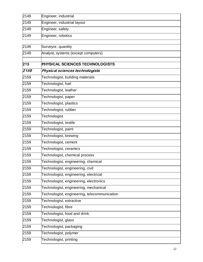| 2149 | Engineer, industrial        |
|------|-----------------------------|
| 2149 | Engineer, industrial layout |
| 2149 | Engineer, safety            |
| 2149 | Engineer, robotics          |

| 2149 | Surveyor, quantity                           |
|------|----------------------------------------------|
| 2149 | Analyst, systems (except computers)          |
|      |                                              |
| 215  | <b>PHYSICAL SCIENCES TECHNOLOGISTS</b>       |
| 2159 | Physical sciences technologists              |
| 2159 | Technologist, building materials             |
| 2159 | Technologist, fuel                           |
| 2159 | Technologist, leather                        |
| 2159 | Technologist, paper                          |
| 2159 | Technologist, plastics                       |
| 2159 | Technologist, rubber                         |
| 2159 | Technologist                                 |
| 2159 | Technologist, textile                        |
| 2159 | Technologist, paint                          |
| 2159 | Technologist, brewing                        |
| 2159 | Technologist, cement                         |
| 2159 | Technologist, ceramics                       |
| 2159 | Technologist, chemical process               |
| 2159 | Technologist, engineering, chemical          |
| 2159 | Technologist, engineering, civil             |
| 2159 | Technologist, engineering, electrical        |
| 2159 | Technologist, engineering, electronics       |
| 2159 | Technologist, engineering, mechanical        |
| 2159 | Technologist, engineering, telecommunication |
| 2159 | Technologist, extractive                     |
| 2159 | Technologist, fibre                          |
| 2159 | Technologist, food and drink                 |
| 2159 | Technologist, glass                          |
| 2159 | Technologist, packaging                      |
| 2159 | Technologist, polymer                        |
| 2159 | Technologist, printing                       |
|      |                                              |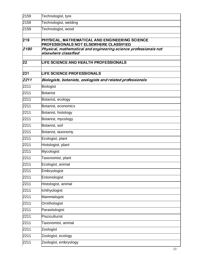| 2159 | Technologist, tyre                                                                              |
|------|-------------------------------------------------------------------------------------------------|
| 2159 | Technologist, welding                                                                           |
| 2159 | Technologist, wood                                                                              |
| 219  | PHYSICAL, MATHEMATICAL AND ENGINEERING SCIENCE<br><b>PROFESSIONALS NOT ELSEWHERE CLASSIFIED</b> |
| 2190 | Physical, mathematical and engineering science professionals not<br>elsewhere classified        |
| 22   | <b>LIFE SCIENCE AND HEALTH PROFESSIONALS</b>                                                    |
| 221  | <b>LIFE SCIENCE PROFESSIONALS</b>                                                               |
| 2211 | Biologists, botanists, zoologists and related professionals                                     |
| 2211 | Biologist                                                                                       |
| 2211 | <b>Botanist</b>                                                                                 |
| 2211 | Botanist, ecology                                                                               |
| 2211 | Botanist, economics                                                                             |
| 2211 | Botanist, histology                                                                             |
| 2211 | Botanist, mycology                                                                              |
| 2211 | Botanist, soil                                                                                  |
| 2211 | Botanist, taxonomy                                                                              |
| 2211 | Ecologist, plant                                                                                |
| 2211 | Histologist, plant                                                                              |
| 2211 | Mycologist                                                                                      |
| 2211 | Taxonomist, plant                                                                               |
| 2211 | Ecologist, animal                                                                               |
| 2211 | Embryologist                                                                                    |
| 2211 | Entomologist                                                                                    |
| 2211 | Histologist, animal                                                                             |
| 2211 | Ichthyologist                                                                                   |
| 2211 | Mammalogist                                                                                     |
| 2211 | Ornithologist                                                                                   |
| 2211 | Parasitologist                                                                                  |
| 2211 | Pisciculturist                                                                                  |
| 2211 | Taxonomist, animal                                                                              |
| 2211 | Zoologist                                                                                       |
| 2211 | Zoologist, ecology                                                                              |
| 2211 | Zoologist, embryology                                                                           |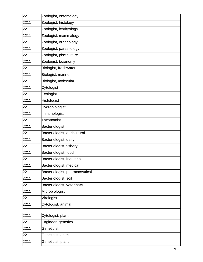| 2211 | Zoologist, entomology          |
|------|--------------------------------|
| 2211 | Zoologist, histology           |
| 2211 | Zoologist, ichthyology         |
| 2211 | Zoologist, mammalogy           |
| 2211 | Zoologist, ornithology         |
| 2211 | Zoologist, parasitology        |
| 2211 | Zoologist, pisciculture        |
| 2211 | Zoologist, taxonomy            |
| 2211 | Biologist, freshwater          |
| 2211 | Biologist, marine              |
| 2211 | Biologist, molecular           |
| 2211 | Cytologist                     |
| 2211 | Ecologist                      |
| 2211 | Histologist                    |
| 2211 | Hydrobiologist                 |
| 2211 | Immunologist                   |
| 2211 | <b>Taxonomist</b>              |
| 2211 | Bacteriologist                 |
| 2211 | Bacteriologist, agricultural   |
| 2211 | Bacteriologist, dairy          |
| 2211 | Bacteriologist, fishery        |
| 2211 | Bacteriologist, food           |
| 2211 | Bacteriologist, industrial     |
| 2211 | Bacteriologist, medical        |
| 2211 | Bacteriologist, pharmaceutical |
| 2211 | Bacteriologist, soil           |
| 2211 | Bacteriologist, veterinary     |
| 2211 | Microbiologist                 |
| 2211 | Virologist                     |
| 2211 | Cytologist, animal             |
|      |                                |
| 2211 | Cytologist, plant              |
| 2211 | Engineer, genetics             |
| 2211 | Geneticist                     |
| 2211 | Geneticist, animal             |
| 2211 | Geneticist, plant              |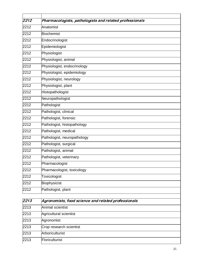| 2212 | Pharmacologists, pathologists and related professionals |
|------|---------------------------------------------------------|
| 2212 | Anatomist                                               |
| 2212 |                                                         |
|      | Biochemist                                              |
| 2212 | Endocrinologist                                         |
| 2212 | Epidemiologist                                          |
| 2212 | Physiologist                                            |
| 2212 | Physiologist, animal                                    |
| 2212 | Physiologist, endocrinology                             |
| 2212 | Physiologist, epidemiology                              |
| 2212 | Physiologist, neurology                                 |
| 2212 | Physiologist, plant                                     |
| 2212 | Histopathologist                                        |
| 2212 | Neuropathologist                                        |
| 2212 | Pathologist                                             |
| 2212 | Pathologist, clinical                                   |
| 2212 | Pathologist, forensic                                   |
| 2212 | Pathologist, histopathology                             |
| 2212 | Pathologist, medical                                    |
| 2212 | Pathologist, neuropathology                             |
| 2212 | Pathologist, surgical                                   |
| 2212 | Pathologist, animal                                     |
| 2212 | Pathologist, veterinary                                 |
| 2212 | Pharmacologist                                          |
| 2212 | Pharmacologist, toxicology                              |
| 2212 | Toxicologist                                            |
| 2212 | Biophysicist                                            |
| 2212 | Pathologist, plant                                      |
|      |                                                         |

| 2213 | Agronomists, food science and related professionals |
|------|-----------------------------------------------------|
| 2213 | Animal scientist                                    |
| 2213 | Agricultural scientist                              |
| 2213 | Agronomist                                          |
| 2213 | Crop research scientist                             |
| 2213 | Arboriculturist                                     |
| 2213 | Floriculturist                                      |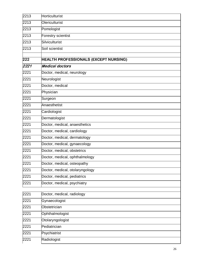| 2213 | Horticulturist                        |
|------|---------------------------------------|
| 2213 | <b>Olericulturist</b>                 |
| 2213 | Pomologist                            |
| 2213 | Forestry scientist                    |
| 2213 | Silviculturist                        |
| 2213 | Soil scientist                        |
| 222  | HEALTH PROFESSIONALS (EXCEPT NURSING) |
| 2221 | Medical doctors                       |
| 2221 | Doctor, medical, neurology            |
| 2221 | Neurologist                           |
| 2221 | Doctor, medical                       |
| 2221 | Physician                             |
| 2221 | Surgeon                               |
| 2221 | Anaesthetist                          |
| 2221 | Cardiologist                          |
| 2221 | Dermatologist                         |
| 2221 | Doctor, medical, anaesthetics         |
| 2221 | Doctor, medical, cardiology           |
| 2221 | Doctor, medical, dermatology          |
| 2221 | Doctor, medical, gynaecology          |
| 2221 | Doctor, medical, obstetrics           |
| 2221 | Doctor, medical, ophthalmology        |
| 2221 | Doctor, medical, osteopathy           |
| 2221 | Doctor, medical, otolaryngology       |
| 2221 | Doctor, medical, pediatrics           |
| 2221 | Doctor, medical, psychiatry           |
| 2221 | Doctor, medical, radiology            |
| 2221 | Gynaecologist                         |
| 2221 | Obstetrician                          |
| 2221 | Ophthalmologist                       |
| 2221 | Otolaryngologist                      |
| 2221 | Pediatrician                          |
| 2221 | Psychiatrist                          |
| 2221 | Radiologist                           |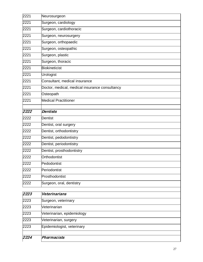| 2221 | Neurosurgeon                                   |
|------|------------------------------------------------|
| 2221 | Surgeon, cardiology                            |
| 2221 | Surgeon, cardiothoracic                        |
| 2221 | Surgeon, neurosurgery                          |
| 2221 | Surgeon, orthopaedic                           |
| 2221 | Surgeon, osteopathic                           |
| 2221 | Surgeon, plastic                               |
| 2221 | Surgeon, thoracic                              |
| 2221 | <b>Biokineticist</b>                           |
| 2221 | Urologist                                      |
| 2221 | Consultant, medical insurance                  |
| 2221 | Doctor, medical, medical insurance consultancy |
| 2221 | Osteopath                                      |
| 2221 | <b>Medical Practitioner</b>                    |
| 2222 | <b>Dentists</b>                                |
| 2222 | <b>Dentist</b>                                 |
| 2222 | Dentist, oral surgery                          |
| 2222 | Dentist, orthodontistry                        |
| 2222 | Dentist, pedodontistry                         |
| 2222 | Dentist, periodontistry                        |
| 2222 | Dentist, prosthodontistry                      |
| 2222 | Orthodontist                                   |
| 2222 | Pedodontist                                    |
| 2222 | Periodontist                                   |
| 2222 | Prosthodontist                                 |
| 2222 | Surgeon, oral, dentistry                       |
| 2223 | Veterinarians                                  |
| 2223 | Surgeon, veterinary                            |
| 2223 | Veterinarian                                   |
| 2223 | Veterinarian, epidemiology                     |
| 2223 | Veterinarian, surgery                          |
| 2223 | Epidemiologist, veterinary                     |
|      |                                                |

 $\blacksquare$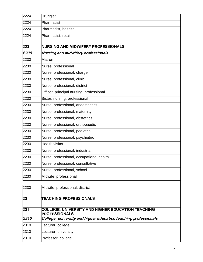| 23   | <b>TEACHING PROFESSIONALS</b>            |
|------|------------------------------------------|
| 2230 | Midwife, professional, district          |
|      |                                          |
| 2230 | Midwife, professional                    |
| 2230 | Nurse, professional, school              |
| 2230 | Nurse, professional, consultative        |
| 2230 | Nurse, professional, occupational health |
| 2230 | Nurse, professional, industrial          |
| 2230 | <b>Health visitor</b>                    |
| 2230 | Nurse, professional, psychiatric         |
| 2230 | Nurse, professional, pediatric           |
| 2230 | Nurse, professional, orthopaedic         |
| 2230 | Nurse, professional, obstetrics          |
| 2230 | Nurse, professional, maternity           |
| 2230 | Nurse, professional, anaesthetics        |
| 2230 | Sister, nursing, professional            |
| 2230 | Officer, principal nursing, professional |
| 2230 | Nurse, professional, district            |
| 2230 | Nurse, professional, clinic              |
| 2230 | Nurse, professional, charge              |
| 2230 | Nurse, professional                      |
| 2230 | Matron                                   |
| 2230 | Nursing and midwifery professionals      |
| 223  | NURSING AND MIDWIFERY PROFESSIONALS      |
| 2224 | Pharmacist, retail                       |
| 2224 | Pharmacist, hospital                     |
| 2224 | Pharmacist                               |
| 2224 | Druggist                                 |

| 231               | <b>COLLEGE, UNIVERSITY AND HIGHER EDUCATION TEACHING</b><br><b>PROFESSIONALS</b> |
|-------------------|----------------------------------------------------------------------------------|
| $\overline{2310}$ | College, university and higher education teaching professionals                  |
| 2310              | Lecturer, college                                                                |
| 2310              | Lecturer, university                                                             |
| 2310              | Professor, college                                                               |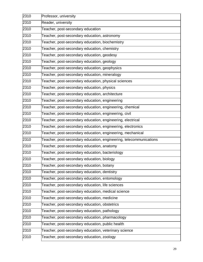| Professor, university                                              |
|--------------------------------------------------------------------|
| Reader, university                                                 |
| Teacher, post-secondary education                                  |
| Teacher, post-secondary education, astronomy                       |
| Teacher, post-secondary education, biochemistry                    |
| Teacher, post-secondary education, chemistry                       |
| Teacher, post-secondary education, geodesy                         |
| Teacher, post-secondary education, geology                         |
| Teacher, post-secondary education, geophysics                      |
| Teacher, post-secondary education, mineralogy                      |
| Teacher, post-secondary education, physical sciences               |
| Teacher, post-secondary education, physics                         |
| Teacher, post-secondary education, architecture                    |
| Teacher, post-secondary education, engineering                     |
| Teacher, post-secondary education, engineering, chemical           |
| Teacher, post-secondary education, engineering, civil              |
| Teacher, post-secondary education, engineering, electrical         |
| Teacher, post-secondary education, engineering, electronics        |
| Teacher, post-secondary education, engineering, mechanical         |
| Teacher, post-secondary education, engineering, telecommunications |
| Teacher, post-secondary education, anatomy                         |
| Teacher, post-secondary education, bacteriology                    |
| Teacher, post-secondary education, biology                         |
| Teacher, post-secondary education, botany                          |
| Teacher, post-secondary education, dentistry                       |
| Teacher, post-secondary education, entomology                      |
| Teacher, post-secondary education, life sciences                   |
| Teacher, post-secondary education, medical science                 |
| Teacher, post-secondary education, medicine                        |
| Teacher, post-secondary education, obstetrics                      |
| Teacher, post-secondary education, pathology                       |
| Teacher, post-secondary education, pharmacology                    |
| Teacher, post-secondary education, public health                   |
| Teacher, post-secondary education, veterinary science              |
| Teacher, post-secondary education, zoology                         |
|                                                                    |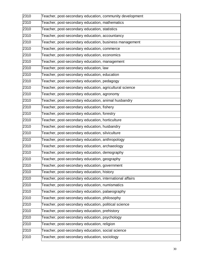| 2310 | Teacher, post-secondary education, community development |
|------|----------------------------------------------------------|
| 2310 | Teacher, post-secondary education, mathematics           |
| 2310 | Teacher, post-secondary education, statistics            |
| 2310 | Teacher, post-secondary education, accountancy           |
| 2310 | Teacher, post-secondary education, business management   |
| 2310 | Teacher, post-secondary education, commerce              |
| 2310 | Teacher, post-secondary education, economics             |
| 2310 | Teacher, post-secondary education, management            |
| 2310 | Teacher, post-secondary education, law                   |
| 2310 | Teacher, post-secondary education, education             |
| 2310 | Teacher, post-secondary education, pedagogy              |
| 2310 | Teacher, post-secondary education, agricultural science  |
| 2310 | Teacher, post-secondary education, agronomy              |
| 2310 | Teacher, post-secondary education, animal husbandry      |
| 2310 | Teacher, post-secondary education, fishery               |
| 2310 | Teacher, post-secondary education, forestry              |
| 2310 | Teacher, post-secondary education, horticulture          |
| 2310 | Teacher, post-secondary education, husbandry             |
| 2310 | Teacher, post-secondary education, silviculture          |
| 2310 | Teacher, post-secondary education, anthropology          |
| 2310 | Teacher, post-secondary education, archaeology           |
| 2310 | Teacher, post-secondary education, demography            |
| 2310 | Teacher, post-secondary education, geography             |
| 2310 | Teacher, post-secondary education, government            |
| 2310 | Teacher, post-secondary education, history               |
| 2310 | Teacher, post-secondary education, international affairs |
| 2310 | Teacher, post-secondary education, numismatics           |
| 2310 | Teacher, post-secondary education, palaeography          |
| 2310 | Teacher, post-secondary education, philosophy            |
| 2310 | Teacher, post-secondary education, political science     |
| 2310 | Teacher, post-secondary education, prehistory            |
| 2310 | Teacher, post-secondary education, psychology            |
| 2310 | Teacher, post-secondary education, religion              |
| 2310 | Teacher, post-secondary education, social science        |
| 2310 | Teacher, post-secondary education, sociology             |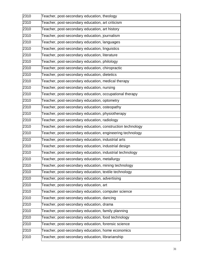| 2310 | Teacher, post-secondary education, theology                |
|------|------------------------------------------------------------|
| 2310 | Teacher, post-secondary education, art criticism           |
| 2310 | Teacher, post-secondary education, art history             |
| 2310 | Teacher, post-secondary education, journalism              |
| 2310 | Teacher, post-secondary education, languages               |
| 2310 | Teacher, post-secondary education, linguistics             |
| 2310 | Teacher, post-secondary education, literature              |
| 2310 | Teacher, post-secondary education, philology               |
| 2310 | Teacher, post-secondary education, chiropractic            |
| 2310 | Teacher, post-secondary education, dietetics               |
| 2310 | Teacher, post-secondary education, medical therapy         |
| 2310 | Teacher, post-secondary education, nursing                 |
| 2310 | Teacher, post-secondary education, occupational therapy    |
| 2310 | Teacher, post-secondary education, optometry               |
| 2310 | Teacher, post-secondary education, osteopathy              |
| 2310 | Teacher, post-secondary education, physiotherapy           |
| 2310 | Teacher, post-secondary education, radiology               |
| 2310 | Teacher, post-secondary education, construction technology |
| 2310 | Teacher, post-secondary education, engineering technology  |
| 2310 | Teacher, post-secondary education, industrial arts         |
| 2310 | Teacher, post-secondary education, industrial design       |
| 2310 | Teacher, post-secondary education, industrial technology   |
| 2310 | Teacher, post-secondary education, metallurgy              |
| 2310 | Teacher, post-secondary education, mining technology       |
| 2310 | Teacher, post-secondary education, textile technology      |
| 2310 | Teacher, post-secondary education, advertising             |
| 2310 | Teacher, post-secondary education, art                     |
| 2310 | Teacher, post-secondary education, computer science        |
| 2310 | Teacher, post-secondary education, dancing                 |
| 2310 | Teacher, post-secondary education, drama                   |
| 2310 | Teacher, post-secondary education, family planning         |
| 2310 | Teacher, post-secondary education, food technology         |
| 2310 | Teacher, post-secondary education, forensic science        |
| 2310 | Teacher, post-secondary education, home economics          |
| 2310 | Teacher, post-secondary education, librarianship           |
|      |                                                            |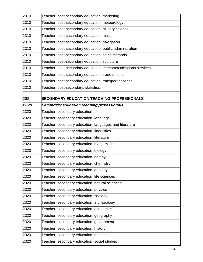| 2310 | Teacher, post-secondary education, marketing                   |
|------|----------------------------------------------------------------|
| 2310 | Teacher, post-secondary education, meteorology                 |
| 2310 | Teacher, post-secondary education, military science            |
| 2310 | Teacher, post-secondary education, music                       |
| 2310 | Teacher, post-secondary education, navigation                  |
| 2310 | Teacher, post-secondary education, public administration       |
| 2310 | Teacher, post-secondary education, sales methods               |
| 2310 | Teacher, post-secondary education, sculpture                   |
| 2310 | Teacher, post-secondary education, telecommunications services |
| 2310 | Teacher, post-secondary education, trade unionism              |
| 2310 | Teacher, post-secondary education, transport services          |
| 2310 | Teacher, post-secondary, statistics                            |
| 232  | <b>SECONDARY EDUCATION TEACHING PROFESSIONALS</b>              |
| 2320 | Secondary education teaching professionals                     |
| 2320 | Teacher, secondary education                                   |
| 2320 | Teacher, secondary education, language                         |
| 2320 | Teacher, secondary education, languages and literature         |
| 2320 | Teacher, secondary education, linguistics                      |
| 2320 | Teacher, secondary education, literature                       |
| 2320 | Teacher, secondary education, mathematics                      |
| 2320 | Teacher, secondary education, biology                          |
| 2320 | Teacher, secondary education, botany                           |
| 2320 | Teacher, secondary education, chemistry                        |
| 2320 | Teacher, secondary education, geology                          |
| 2320 | Teacher, secondary education, life sciences                    |
| 2320 | Teacher, secondary education, natural sciences                 |
| 2320 | Teacher, secondary education, physics                          |
| 2320 | Teacher, secondary education, zoology                          |
| 2320 | Teacher, secondary education, archaeology                      |
| 2320 | Teacher, secondary education, economics                        |
| 2320 | Teacher, secondary education, geography                        |
| 2320 | Teacher, secondary education, government                       |
| 2320 | Teacher, secondary education, history                          |
| 2320 | Teacher, secondary education, religion                         |
| 2320 | Teacher, secondary education, social studies                   |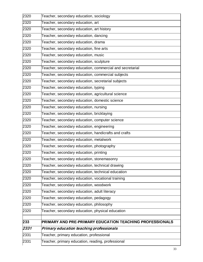| 2320 | Teacher, secondary education, sociology                  |
|------|----------------------------------------------------------|
| 2320 | Teacher, secondary education, art                        |
| 2320 | Teacher, secondary education, art history                |
| 2320 | Teacher, secondary education, dancing                    |
| 2320 | Teacher, secondary education, drama                      |
| 2320 | Teacher, secondary education, fine arts                  |
| 2320 | Teacher, secondary education, music                      |
| 2320 | Teacher, secondary education, sculpture                  |
| 2320 | Teacher, secondary education, commercial and secretarial |
| 2320 | Teacher, secondary education, commercial subjects        |
| 2320 | Teacher, secondary education, secretarial subjects       |
| 2320 | Teacher, secondary education, typing                     |
| 2320 | Teacher, secondary education, agricultural science       |
| 2320 | Teacher, secondary education, domestic science           |
| 2320 | Teacher, secondary education, nursing                    |
| 2320 | Teacher, secondary education, bricklaying                |
| 2320 | Teacher, secondary education, computer science           |
| 2320 | Teacher, secondary education, engineering                |
| 2320 | Teacher, secondary education, handicrafts and crafts     |
| 2320 | Teacher, secondary education, metalwork                  |
| 2320 | Teacher, secondary education, photography                |
| 2320 | Teacher, secondary education, printing                   |
| 2320 | Teacher, secondary education, stonemasonry               |
| 2320 | Teacher, secondary education, technical drawing          |
| 2320 | Teacher, secondary education, technical education        |
| 2320 | Teacher, secondary education, vocational training        |
| 2320 | Teacher, secondary education, woodwork                   |
| 2320 | Teacher, secondary education, adult literacy             |
| 2320 | Teacher, secondary education, pedagogy                   |
| 2320 | Teacher, secondary education, philosophy                 |
| 2320 | Teacher, secondary education, physical education         |
| 233  | PRIMARY AND PRE-PRIMARY EDUCATION TEACHING PROFESSIONALS |
| 2331 | Primary education teaching professionals                 |
| 2331 | Teacher, primary education, professional                 |
| 2331 | Teacher, primary education, reading, professional        |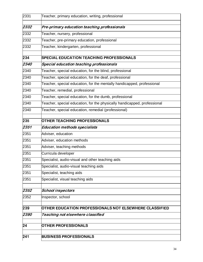| 2331 | Teacher, primary education, writing, professional                        |
|------|--------------------------------------------------------------------------|
| 2332 | Pre-primary education teaching professionals                             |
| 2332 | Teacher, nursery, professional                                           |
| 2332 | Teacher, pre-primary education, professional                             |
| 2332 | Teacher, kindergarten, professional                                      |
| 234  | <b>SPECIAL EDUCATION TEACHING PROFESSIONALS</b>                          |
| 2340 | Special education teaching professionals                                 |
| 2340 | Teacher, special education, for the blind, professional                  |
| 2340 | Teacher, special education, for the deaf, professional                   |
| 2340 | Teacher, special education, for the mentally handicapped, professional   |
| 2340 | Teacher, remedial, professional                                          |
| 2340 | Teacher, special education, for the dumb, professional                   |
| 2340 | Teacher, special education, for the physically handicapped, professional |
| 2340 | Teacher, special education, remedial (professional)                      |
| 235  | <b>OTHER TEACHING PROFESSIONALS</b>                                      |
| 2351 | <b>Education methods specialists</b>                                     |
| 2351 | Adviser, education                                                       |
| 2351 | Adviser, education methods                                               |
| 2351 | Adviser, teaching methods                                                |
| 2351 | Curricula developer                                                      |
| 2351 | Specialist, audio-visual and other teaching aids                         |
| 2351 | Specialist, audio-visual teaching aids                                   |
| 2351 | Specialist, teaching aids                                                |
| 2351 | Specialist, visual teaching aids                                         |
| 2352 | <b>School inspectors</b>                                                 |
| 2352 | Inspector, school                                                        |
| 239  | OTHER EDUCATION PROFESSIONALS NOT ELSEWHERE CLASSIFIED                   |
| 2390 | Teaching not elsewhere classified                                        |
| 24   | <b>OTHER PROFESSIONALS</b>                                               |
| 241  | <b>BUSINESS PROFESSIONALS</b>                                            |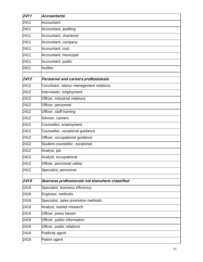| 2411 | <b>Accountants</b>                                     |
|------|--------------------------------------------------------|
| 2411 | Accountant                                             |
| 2411 | Accountant, auditing                                   |
| 2411 | Accountant, chartered                                  |
| 2411 | Accountant, company                                    |
| 2411 | Accountant, cost                                       |
| 2411 | Accountant, municipal                                  |
| 2411 | Accountant, public                                     |
| 2411 | <b>Auditor</b>                                         |
| 2412 | Personnel and careers professionals                    |
| 2412 | Conciliator, labour-management relations               |
| 2412 | Interviewer, employment                                |
| 2412 | Officer, industrial relations                          |
| 2412 | Officer, personnel                                     |
| 2412 | Officer, staff training                                |
| 2412 | Adviser, careers                                       |
| 2412 | Counsellor, employment                                 |
| 2412 | Counsellor, vocational guidance                        |
| 2412 | Officer, occupational guidance                         |
| 2412 | Student counsellor, vocational                         |
| 2412 | Analyst, job                                           |
| 2412 | Analyst, occupational                                  |
| 2412 | Officer, personnel safety                              |
| 2412 | Specialist, personnel                                  |
| 2419 | <b>Business professionals not elsewhere classified</b> |
| 2419 | Specialist, business efficiency                        |
| 2419 | Engineer, methods                                      |
| 2419 | Specialist, sales promotion methods                    |
| 2419 | Analyst, market research                               |
| 2419 | Officer, press liaison                                 |
| 2419 | Officer, public information                            |
| 2419 | Officer, public relations                              |
| 2419 | Publicity agent                                        |
| 2419 | Patent agent                                           |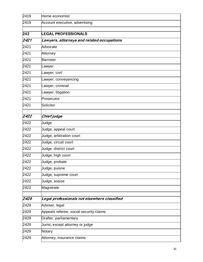| 2419 | Home economist                               |
|------|----------------------------------------------|
| 2419 | Account executive, advertising               |
|      |                                              |
| 242  | <b>EGAL PROFESSIONALS</b>                    |
| 2421 | Lawyers, attorneys and related occupations   |
| 2421 | Advocate                                     |
| 2421 | Attorney                                     |
| 2421 | <b>Barrister</b>                             |
| 2421 | Lawyer                                       |
| 2421 | _awyer, civil                                |
| 2421 | Lawyer, conveyancing                         |
| 2421 | Lawyer, criminal                             |
| 2421 | Lawyer, litigation                           |
| 2421 | Prosecutor                                   |
| 2421 | Solicitor                                    |
| 2422 | Chief judge                                  |
| 2422 | Judge                                        |
| 2422 | Judge, appeal court                          |
| 2422 | Judge, arbitration court                     |
| 2422 | Judge, circuit court                         |
| 2422 | Judge, district court                        |
| 2422 | Judge, high court                            |
| 2422 | Judge, probate                               |
| 2422 | Judge, puisne                                |
| 2422 | Judge, supreme court                         |
| 2422 | Judge, assize                                |
| 2422 | Magistrate                                   |
| 2429 | Legal professionals not elsewhere classified |
| 2429 | Adviser, legal                               |
| 2429 | Appeals referee, social security claims      |
| 2429 | Drafter, parliamentary                       |
| 2429 | Jurist, except attorney or judge             |
| 2429 | Notary                                       |
| 2429 | Attorney, insurance claims                   |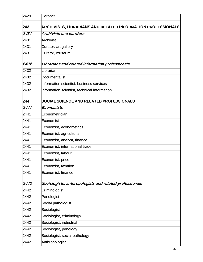| 2429 | Coroner                                                      |
|------|--------------------------------------------------------------|
| 243  | ARCHIVISTS, LIBRARIANS AND RELATED INFORMATION PROFESSIONALS |
| 2431 | <b>Archivists and curators</b>                               |
| 2431 | Archivist                                                    |
| 2431 | Curator, art gallery                                         |
| 2431 | Curator, museum                                              |
| 2432 | Librarians and related information professionals             |
| 2432 | Librarian                                                    |
| 2432 | Documentalist                                                |
| 2432 | Information scientist, business services                     |
| 2432 | Information scientist, technical information                 |
| 244  | SOCIAL SCIENCE AND RELATED PROFESSIONALS                     |
| 2441 | Economists                                                   |
| 2441 | Econometrician                                               |
| 2441 | Economist                                                    |
| 2441 | Economist, econometrics                                      |
| 2441 | Economist, agricultural                                      |
| 2441 | Economist, analyst, finance                                  |
| 2441 | Economist, international trade                               |
| 2441 | Economist, labour                                            |
| 2441 | Economist, price                                             |
| 2441 | Economist, taxation                                          |
| 2441 | Economist, finance                                           |
| 2442 | Sociologists, anthropologists and related professionals      |
| 2442 | Criminologist                                                |
| 2442 | Penologist                                                   |
| 2442 | Social pathologist                                           |
| 2442 | Sociologist                                                  |
| 2442 | Sociologist, criminology                                     |
| 2442 | Sociologist, industrial                                      |
| 2442 | Sociologist, penology                                        |
| 2442 | Sociologist, social pathology                                |
| 2442 | Anthropologist                                               |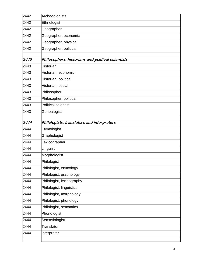| 2442 | Archaeologists                                    |
|------|---------------------------------------------------|
| 2442 | Ethnologist                                       |
| 2442 | Geographer                                        |
| 2442 | Geographer, economic                              |
| 2442 | Geographer, physical                              |
| 2442 | Geographer, political                             |
| 2443 | Philosophers, historians and political scientists |
| 2443 | <b>Historian</b>                                  |
| 2443 | Historian, economic                               |
| 2443 | Historian, political                              |
| 2443 | Historian, social                                 |
| 2443 | Philosopher                                       |
| 2443 | Philosopher, political                            |
| 2443 | <b>Political scientist</b>                        |
| 2443 | Genealogist                                       |
| 2444 | Philologists, translators and interpreters        |
| 2444 | Etymologist                                       |
| 2444 | Graphologist                                      |
| 2444 | Lexicographer                                     |
| 2444 | Linguist                                          |
| 2444 | Morphologist                                      |
| 2444 | Philologist                                       |
| 2444 | Philologist, etymology                            |
| 2444 | Philologist, graphology                           |
| 2444 | Philologist, lexicography                         |
| 2444 | Philologist, linguistics                          |
| 2444 | Philologist, morphology                           |
| 2444 | Philologist, phonology                            |
| 2444 | Philologist, semantics                            |
| 2444 | Phonologist                                       |
| 2444 | Semasiologist                                     |
| 2444 | Translator                                        |
| 2444 |                                                   |
|      | Interpreter                                       |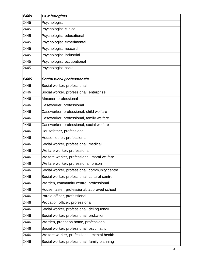| 2445 | Psychologists                                 |
|------|-----------------------------------------------|
| 2445 | Psychologist                                  |
| 2445 | Psychologist, clinical                        |
| 2445 | Psychologist, educational                     |
| 2445 | Psychologist, experimental                    |
| 2445 | Psychologist, research                        |
| 2445 | Psychologist, industrial                      |
| 2445 | Psychologist, occupational                    |
| 2445 | Psychologist, social                          |
| 2446 | Social work professionals                     |
| 2446 | Social worker, professional                   |
| 2446 | Social worker, professional, enterprise       |
| 2446 | Almoner, professional                         |
| 2446 | Caseworker, professional                      |
| 2446 | Caseworker, professional, child welfare       |
| 2446 | Caseworker, professional, family welfare      |
| 2446 | Caseworker, professional, social welfare      |
| 2446 | Housefather, professional                     |
| 2446 | Housemother, professional                     |
| 2446 | Social worker, professional, medical          |
| 2446 | Welfare worker, professional                  |
| 2446 | Welfare worker, professional, moral welfare   |
| 2446 | Welfare worker, professional, prison          |
| 2446 | Social worker, professional, community centre |
| 2446 | Social worker, professional, cultural centre  |
| 2446 | Warden, community centre, professional        |
| 2446 | Housemaster, professional, approved school    |
| 2446 | Parole officer, professional                  |
| 2446 | Probation officer, professional               |
| 2446 | Social worker, professional, delinquency      |
| 2446 | Social worker, professional, probation        |
| 2446 | Warden, probation home, professional          |
| 2446 | Social worker, professional, psychiatric      |
| 2446 | Welfare worker, professional, mental health   |
| 2446 | Social worker, professional, family planning  |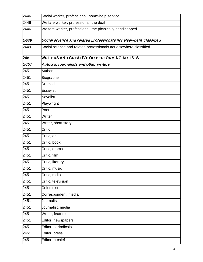| 2446 | Social worker, professional, home-help service                    |
|------|-------------------------------------------------------------------|
| 2446 | Welfare worker, professional, the deaf                            |
| 2446 | Welfare worker, professional, the physically handicapped          |
| 2449 | Social science and related professionals not elsewhere classified |
| 2449 | Social science and related professionals not elsewhere classified |
| 245  | <b>WRITERS AND CREATIVE OR PERFORMING ARTISTS</b>                 |
| 2451 | Authors, journalists and other writers                            |
| 2451 | Author                                                            |
| 2451 | Biographer                                                        |
| 2451 | <b>Dramatist</b>                                                  |
| 2451 | Essayist                                                          |
| 2451 | Novelist                                                          |
| 2451 | Playwright                                                        |
| 2451 | Poet                                                              |
| 2451 | Writer                                                            |
| 2451 | Writer, short story                                               |
| 2451 | Critic                                                            |
| 2451 | Critic, art                                                       |
| 2451 | Critic, book                                                      |
| 2451 | Critic, drama                                                     |
| 2451 | Critic, film                                                      |
| 2451 | Critic, literary                                                  |
| 2451 | Critic, music                                                     |
| 2451 | Critic, radio                                                     |
| 2451 | Critic, television                                                |
| 2451 | Columnist                                                         |
| 2451 | Correspondent, media                                              |
| 2451 | Journalist                                                        |
| 2451 | Journalist, media                                                 |
| 2451 | Writer, feature                                                   |
| 2451 | Editor, newspapers                                                |
| 2451 | Editor, periodicals                                               |
| 2451 | Editor, press                                                     |
| 2451 | Editor-in-chief                                                   |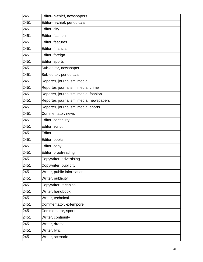| 2451 | Editor-in-chief, newspapers             |
|------|-----------------------------------------|
| 2451 | Editor-in-chief, periodicals            |
| 2451 | Editor, city                            |
| 2451 | Editor, fashion                         |
| 2451 | Editor, features                        |
| 2451 | Editor, financial                       |
| 2451 | Editor, foreign                         |
| 2451 | Editor, sports                          |
| 2451 | Sub-editor, newspaper                   |
| 2451 | Sub-editor, periodicals                 |
| 2451 | Reporter, journalism, media             |
| 2451 | Reporter, journalism, media, crime      |
| 2451 | Reporter, journalism, media, fashion    |
| 2451 | Reporter, journalism, media, newspapers |
| 2451 | Reporter, journalism, media, sports     |
| 2451 | Commentator, news                       |
| 2451 | Editor, continuity                      |
| 2451 | Editor, script                          |
| 2451 | Editor                                  |
| 2451 | Editor, books                           |
| 2451 | Editor, copy                            |
| 2451 | Editor, proofreading                    |
| 2451 | Copywriter, advertising                 |
| 2451 | Copywriter, publicity                   |
| 2451 | Writer, public information              |
| 2451 | Writer, publicity                       |
| 2451 | Copywriter, technical                   |
| 2451 | Writer, handbook                        |
| 2451 | Writer, technical                       |
| 2451 | Commentator, extempore                  |
| 2451 | Commentator, sports                     |
| 2451 | Writer, continuity                      |
| 2451 | Writer, drama                           |
| 2451 | Writer, lyric                           |
| 2451 | Writer, scenario                        |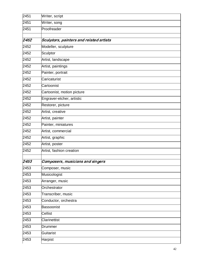| 2451 | Writer, script                          |
|------|-----------------------------------------|
| 2451 | Writer, song                            |
| 2451 | Proofreader                             |
|      |                                         |
| 2452 | Sculptors, painters and related artists |
| 2452 | Modeller, sculpture                     |
| 2452 | Sculptor                                |
| 2452 | Artist, landscape                       |
| 2452 | Artist, paintings                       |
| 2452 | Painter, portrait                       |
| 2452 | Caricaturist                            |
| 2452 | Cartoonist                              |
| 2452 | Cartoonist, motion picture              |
| 2452 | Engraver-etcher, artistic               |
| 2452 | Restorer, picture                       |
| 2452 | Artist, creative                        |
| 2452 | Artist, painter                         |
| 2452 | Painter, miniatures                     |
| 2452 | Artist, commercial                      |
| 2452 | Artist, graphic                         |
| 2452 | Artist, poster                          |
| 2452 | Artist, fashion creation                |
| 2453 | Composers, musicians and singers        |
| 2453 | Composer, music                         |
| 2453 | Musicologist                            |
| 2453 | Arranger, music                         |
| 2453 | Orchestrator                            |
| 2453 | Transcriber, music                      |
| 2453 | Conductor, orchestra                    |
| 2453 | Bassoonist                              |
| 2453 | <b>Cellist</b>                          |
| 2453 | Clarinettist                            |
| 2453 | Drummer                                 |
| 2453 | Guitarist                               |
| 2453 | Harpist                                 |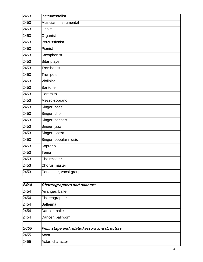| 2453 | Instrumentalist        |
|------|------------------------|
| 2453 | Musician, instrumental |
| 2453 | <b>Oboist</b>          |
| 2453 | Organist               |
| 2453 | Percussionist          |
| 2453 | Pianist                |
| 2453 | Saxophonist            |
| 2453 | Sitar player           |
| 2453 | Trombonist             |
| 2453 | Trumpeter              |
| 2453 | Violinist              |
| 2453 | <b>Baritone</b>        |
| 2453 | Contralto              |
| 2453 | Mezzo-soprano          |
| 2453 | Singer, bass           |
| 2453 | Singer, choir          |
| 2453 | Singer, concert        |
| 2453 | Singer, jazz           |
| 2453 | Singer, opera          |
| 2453 | Singer, popular music  |
| 2453 | Soprano                |
| 2453 | Tenor                  |
| 2453 | Choirmaster            |
| 2453 | Chorus master          |
| 2453 | Conductor, vocal group |

| $\sqrt{2454}$ | Choreographers and dancers                   |
|---------------|----------------------------------------------|
| 2454          | Arranger, ballet                             |
| 2454          | Choreographer                                |
| 2454          | <b>Ballerina</b>                             |
| 2454          | Dancer, ballet                               |
| 2454          | Dancer, ballroom                             |
| 2455          | Film, stage and related actors and directors |
| 2455          | Actor                                        |
| 2455          | Actor, character                             |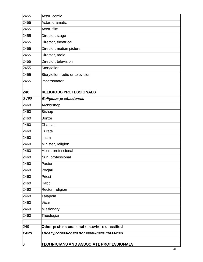| 2455 | Actor, comic                                   |
|------|------------------------------------------------|
| 2455 | Actor, dramatic                                |
| 2455 | Actor, film                                    |
| 2455 | Director, stage                                |
| 2455 | Director, theatrical                           |
| 2455 | Director, motion picture                       |
| 2455 | Director, radio                                |
| 2455 | Director, television                           |
| 2455 | Storyteller                                    |
| 2455 | Storyteller, radio or television               |
| 2455 | Impersonator                                   |
| 246  | <b>RELIGIOUS PROFESSIONALS</b>                 |
| 2460 | Religious professionals                        |
| 2460 | Archbishop                                     |
| 2460 | <b>Bishop</b>                                  |
| 2460 | Bonze                                          |
| 2460 | Chaplain                                       |
| 2460 | Curate                                         |
| 2460 | Imam                                           |
| 2460 | Minister, religion                             |
| 2460 | Monk, professional                             |
| 2460 | Nun, professional                              |
| 2460 | Pastor                                         |
| 2460 | Poojari                                        |
| 2460 | Priest                                         |
| 2460 | Rabbi                                          |
| 2460 | Rector, religion                               |
| 2460 | Talapoin                                       |
| 2460 | Vicar                                          |
| 2460 | Missionary                                     |
| 2460 | Theologian                                     |
|      |                                                |
| 249  | Other professionals not elsewhere classified   |
| 2490 | Other professionals not elsewhere classified   |
| 3    | <b>TECHNICIANS AND ASSOCIATE PROFESSIONALS</b> |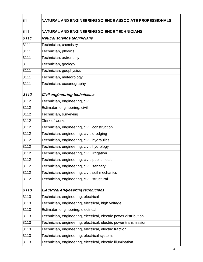| $\overline{31}$ | NATURAL AND ENGINEERING SCIENCE ASSOCIATE PROFESSIONALS          |
|-----------------|------------------------------------------------------------------|
| 311             | <b>NATURAL AND ENGINEERING SCIENCE TECHNICIANS</b>               |
| 3111            | Natural science technicians                                      |
| 3111            | Technician, chemistry                                            |
| 3111            | Technician, physics                                              |
| 3111            | Technician, astronomy                                            |
| 3111            | Technician, geology                                              |
| 3111            | Technician, geophysics                                           |
| 3111            | Technician, meteorology                                          |
| 3111            | Technician, oceanography                                         |
| 3112            | Civil engineering technicians                                    |
| 3112            | Technician, engineering, civil                                   |
| 3112            | Estimator, engineering, civil                                    |
| 3112            | Technician, surveying                                            |
| 3112            | <b>Clerk of works</b>                                            |
| 3112            | Technician, engineering, civil, construction                     |
| 3112            | Technician, engineering, civil, dredging                         |
| 3112            | Technician, engineering, civil, hydraulics                       |
| 3112            | Technician, engineering, civil, hydrology                        |
| 3112            | Technician, engineering, civil, irrigation                       |
| 3112            | Technician, engineering, civil, public health                    |
| 3112            | Technician, engineering, civil, sanitary                         |
| 3112            | Technician, engineering, civil, soil mechanics                   |
| 3112            | Technician, engineering, civil, structural                       |
| 3113            | Electrical engineering technicians                               |
| 3113            | Technician, engineering, electrical                              |
| 3113            | Technician, engineering, electrical, high voltage                |
| 3113            | Estimator, engineering, electrical                               |
| 3113            | Technician, engineering, electrical, electric power distribution |
| 3113            | Technician, engineering, electrical, electric power transmission |
| 3113            | Technician, engineering, electrical, electric traction           |
| 3113            | Technician, engineering, electrical systems                      |
| 3113            | Technician, engineering, electrical, electric illumination       |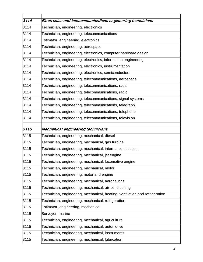| $\overline{3114}$ | Electronics and telecommunications engineering technicians                  |
|-------------------|-----------------------------------------------------------------------------|
| 3114              | Technician, engineering, electronics                                        |
| 3114              | Technician, engineering, telecommunications                                 |
| 3114              | Estimator, engineering, electronics                                         |
| 3114              | Technician, engineering, aerospace                                          |
| 3114              | Technician, engineering, electronics, computer hardware design              |
| 3114              | Technician, engineering, electronics, information engineering               |
| 3114              | Technician, engineering, electronics, instrumentation                       |
| 3114              | Technician, engineering, electronics, semiconductors                        |
| 3114              | Technician, engineering, telecommunications, aerospace                      |
| 3114              | Technician, engineering, telecommunications, radar                          |
| 3114              | Technician, engineering, telecommunications, radio                          |
| 3114              | Technician, engineering, telecommunications, signal systems                 |
| 3114              | Technician, engineering, telecommunications, telegraph                      |
| 3114              | Technician, engineering, telecommunications, telephone                      |
| 3114              | Technician, engineering, telecommunications, television                     |
|                   |                                                                             |
| 3115              | Mechanical engineering technicians                                          |
| 3115              | Technician, engineering, mechanical, diesel                                 |
| 3115              | Technician, engineering, mechanical, gas turbine                            |
| 3115              | Technician, engineering, mechanical, internal combustion                    |
| 3115              | Technician, engineering, mechanical, jet engine                             |
| 3115              | Technician, engineering, mechanical, locomotive engine                      |
| 3115              | Technician, engineering, mechanical, motor                                  |
| 3115              | Technician, engineering, motor and engine                                   |
| 3115              | Technician, engineering, mechanical, aeronautics                            |
| 3115              | Technician, engineering, mechanical, air-conditioning                       |
| 3115              | Technician, engineering, mechanical, heating, ventilation and refrigeration |
| 3115              | Technician, engineering, mechanical, refrigeration                          |
| 3115              | Estimator, engineering, mechanical                                          |
| 3115              | Surveyor, marine                                                            |
| 3115              | Technician, engineering, mechanical, agriculture                            |
| 3115              | Technician, engineering, mechanical, automotive                             |
| 3115              | Technician, engineering, mechanical, instruments                            |
| 3115              | Technician, engineering, mechanical, lubrication                            |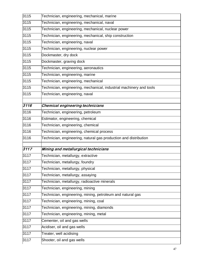| 3115              | Technician, engineering, mechanical, marine                         |
|-------------------|---------------------------------------------------------------------|
| 3115              | Technician, engineering, mechanical, naval                          |
| 3115              | Technician, engineering, mechanical, nuclear power                  |
| 3115              | Technician, engineering, mechanical, ship construction              |
| 3115              | Technician, engineering, naval                                      |
| 3115              | Technician, engineering, nuclear power                              |
| 3115              | Dockmaster, dry dock                                                |
| 3115              | Dockmaster, graving dock                                            |
| 3115              | Technician, engineering, aeronautics                                |
| 3115              | Technician, engineering, marine                                     |
| 3115              | Technician, engineering, mechanical                                 |
| 3115              | Technician, engineering, mechanical, industrial machinery and tools |
| 3115              | Technician, engineering, naval                                      |
|                   |                                                                     |
| 3116              | Chemical engineering technicians                                    |
| 3116              | Technician, engineering, petroleum                                  |
| 3116              | Estimator, engineering, chemical                                    |
| $31\overline{16}$ | Technician, engineering, chemical                                   |
| 3116              | Technician, engineering, chemical process                           |
| 3116              | Technician, engineering, natural gas production and distribution    |
| 3117              | Mining and metallurgical technicians                                |
| 3117              |                                                                     |
|                   | Technician, metallurgy, extractive                                  |
| 3117              | Technician, metallurgy, foundry                                     |
| 3117              | Technician, metallurgy, physical                                    |
| 3117              | Technician, metallurgy, assaying                                    |
| 3117              | Technician, metallurgy, radioactive minerals                        |
| 3117              | Technician, engineering, mining                                     |
| 3117              | Technician, engineering, mining, petroleum and natural gas          |
| 3117              | Technician, engineering, mining, coal                               |
| 3117              | Technician, engineering, mining, diamonds                           |
| 3117              | Technician, engineering, mining, metal                              |
| 3117              | Cementer, oil and gas wells                                         |
| 3117              | Acidiser, oil and gas wells                                         |
| 3117              | Treater, well acidising                                             |
| 3117              | Shooter, oil and gas wells                                          |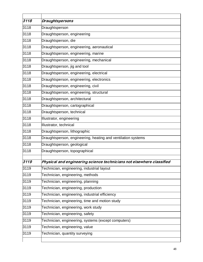| 3118 | <b>Draughtspersons</b>                                                |
|------|-----------------------------------------------------------------------|
| 3118 | Draughtsperson                                                        |
| 3118 | Draughtsperson, engineering                                           |
| 3118 | Draughtsperson, die                                                   |
| 3118 | Draughtsperson, engineering, aeronautical                             |
| 3118 | Draughtsperson, engineering, marine                                   |
| 3118 | Draughtsperson, engineering, mechanical                               |
| 3118 | Draughtsperson, jig and tool                                          |
| 3118 | Draughtsperson, engineering, electrical                               |
| 3118 | Draughtsperson, engineering, electronics                              |
| 3118 | Draughtsperson, engineering, civil                                    |
| 3118 | Draughtsperson, engineering, structural                               |
| 3118 | Draughtsperson, architectural                                         |
| 3118 | Draughtsperson, cartographical                                        |
| 3118 | Draughtsperson, technical                                             |
| 3118 | Illustrator, engineering                                              |
| 3118 | Illustrator, technical                                                |
| 3118 | Draughtsperson, lithographic                                          |
| 3118 | Draughtsperson, engineering, heating and ventilation systems          |
| 3118 | Draughtsperson, geological                                            |
| 3118 | Draughtsperson, topographical                                         |
| 3119 | Physical and engineering science technicians not elsewhere classified |
| 3119 | Technician, engineering, industrial layout                            |
| 3119 | Technician, engineering, methods                                      |
| 3119 | Technician, engineering, planning                                     |
| 3119 | Technician, engineering, production                                   |
| 3119 | Technician, engineering, industrial efficiency                        |
| 3119 | Technician, engineering, time and motion study                        |
| 3119 | Technician, engineering, work study                                   |
| 3119 | Technician, engineering, safety                                       |
| 3119 | Technician, engineering, systems (except computers)                   |
| 3119 | Technician, engineering, value                                        |
|      |                                                                       |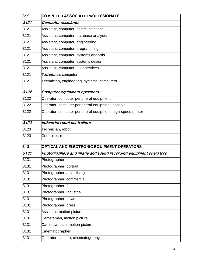| 312  | <b>COMPUTER ASSOCIATE PROFESSIONALS</b>                     |
|------|-------------------------------------------------------------|
| 3121 | <b>Computer assistants</b>                                  |
| 3121 | Assistant, computer, communications                         |
| 3121 | Assistant, computer, database analysis                      |
| 3121 | Assistant, computer, engineering                            |
| 3121 | Assistant, computer, programming                            |
| 3121 | Assistant, computer, systems analysis                       |
| 3121 | Assistant, computer, systems design                         |
| 3121 | Assistant, computer, user services                          |
| 3121 | Technician, computer                                        |
| 3121 | Technician, engineering, systems, computers                 |
| 3122 | Computer equipment operators                                |
| 3122 | Operator, computer peripheral equipment                     |
| 3122 | Operator, computer peripheral equipment, console            |
| 3122 | Operator, computer peripheral equipment, high-speed printer |
| 3123 | Industrial robot controllers                                |
| 3123 | Technician, robot                                           |
| 3123 | Controller, robot                                           |
| 212  | OPTICAL AND ELECTRONIC FOLUPMENT OPERATORS                  |

| 313  | <b>OPTICAL AND ELECTRONIC EQUIPMENT OPERATORS</b>               |
|------|-----------------------------------------------------------------|
| 3131 | Photographers and image and sound recording equipment operators |
| 3131 | Photographer                                                    |
| 3131 | Photographer, portrait                                          |
| 3131 | Photographer, advertising                                       |
| 3131 | Photographer, commercial                                        |
| 3131 | Photographer, fashion                                           |
| 3131 | Photographer, industrial                                        |
| 3131 | Photographer, news                                              |
| 3131 | Photographer, press                                             |
| 3131 | Assistant, motion picture                                       |
| 3131 | Cameraman, motion picture                                       |
| 3131 | Camerawoman, motion picture                                     |
| 3131 | Cinematographer                                                 |
| 3131 | Operator, camera, cinematography                                |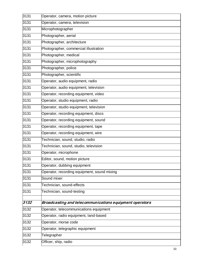| 3131 | Operator, camera, motion picture                        |
|------|---------------------------------------------------------|
| 3131 | Operator, camera, television                            |
| 3131 | Microphotographer                                       |
| 3131 | Photographer, aerial                                    |
| 3131 | Photographer, architecture                              |
| 3131 | Photographer, commercial illustration                   |
| 3131 | Photographer, medical                                   |
| 3131 | Photographer, microphotography                          |
| 3131 | Photographer, police                                    |
| 3131 | Photographer, scientific                                |
| 3131 | Operator, audio equipment, radio                        |
| 3131 | Operator, audio equipment, television                   |
| 3131 | Operator, recording equipment, video                    |
| 3131 | Operator, studio equipment, radio                       |
| 3131 | Operator, studio equipment, television                  |
| 3131 | Operator, recording equipment, discs                    |
| 3131 | Operator, recording equipment, sound                    |
| 3131 | Operator, recording equipment, tape                     |
| 3131 | Operator, recording equipment, wire                     |
| 3131 | Technician, sound, studio, radio                        |
| 3131 | Technician, sound, studio, television                   |
| 3131 | Operator, microphone                                    |
| 3131 | Editor, sound, motion picture                           |
| 3131 | Operator, dubbing equipment                             |
| 3131 | Operator, recording equipment, sound mixing             |
| 3131 | Sound mixer                                             |
| 3131 | Technician, sound-effects                               |
| 3131 | Technician, sound-testing                               |
| 3132 | Broadcasting and telecommunications equipment operators |
| 3132 | Operator, telecommunications equipment                  |
| 3132 | Operator, radio equipment, land-based                   |
| 3132 | Operator, morse code                                    |
| 3132 | Operator, telegraphic equipment                         |
| 3132 | Telegrapher                                             |
| 3132 | Officer, ship, radio                                    |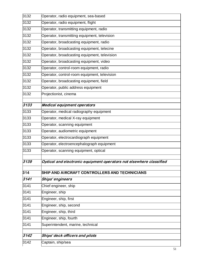| 3132        | Operator, radio equipment, sea-based                                |
|-------------|---------------------------------------------------------------------|
| 3132        | Operator, radio equipment, flight                                   |
| 3132        | Operator, transmitting equipment, radio                             |
| 3132        | Operator, transmitting equipment, television                        |
| 3132        | Operator, broadcasting equipment, radio                             |
| 3132        | Operator, broadcasting equipment, telecine                          |
| 3132        | Operator, broadcasting equipment, television                        |
| 3132        | Operator, broadcasting equipment, video                             |
| 3132        | Operator, control-room equipment, radio                             |
| 3132        | Operator, control-room equipment, television                        |
| 3132        | Operator, broadcasting equipment, field                             |
| 3132        | Operator, public address equipment                                  |
| 3132        | Projectionist, cinema                                               |
| 3133        | <b>Medical equipment operators</b>                                  |
| 3133        | Operator, medical radiography equipment                             |
| 3133        | Operator, medical X-ray equipment                                   |
| 3133        | Operator, scanning equipment                                        |
| 3133        | Operator, audiometric equipment                                     |
| 3133        | Operator, electrocardiograph equipment                              |
| 3133        | Operator, electroencephalograph equipment                           |
| 3133        | Operator, scanning equipment, optical                               |
| <i>3139</i> | Optical and electronic equipment operators not elsewhere classified |
| 314         | SHIP AND AIRCRAFT CONTROLLERS AND TECHNICIANS                       |
| 3141        | Ships' engineers                                                    |
| 3141        | Chief engineer, ship                                                |
| 3141        | Engineer, ship                                                      |
| 3141        | Engineer, ship, first                                               |
| 3141        | Engineer, ship, second                                              |
| 3141        | Engineer, ship, third                                               |
| 3141        | Engineer, ship, fourth                                              |
| 3141        | Superintendent, marine, technical                                   |
| 3142        | Ships' deck officers and pilots                                     |
| 3142        | Captain, ship/sea                                                   |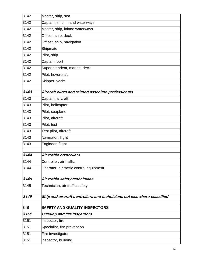| 3142 | Master, ship, sea                                                      |  |
|------|------------------------------------------------------------------------|--|
| 3142 | Captain, ship, inland waterways                                        |  |
| 3142 | Master, ship, inland waterways                                         |  |
| 3142 | Officer, ship, deck                                                    |  |
| 3142 | Officer, ship, navigation                                              |  |
| 3142 | Shipmate                                                               |  |
| 3142 | Pilot, ship                                                            |  |
| 3142 | Captain, port                                                          |  |
| 3142 | Superintendent, marine, deck                                           |  |
| 3142 | Pilot, hovercraft                                                      |  |
| 3142 | Skipper, yacht                                                         |  |
| 3143 | Aircraft pilots and related associate professionals                    |  |
| 3143 | Captain, aircraft                                                      |  |
| 3143 | Pilot, helicopter                                                      |  |
| 3143 | Pilot, seaplane                                                        |  |
| 3143 | Pilot, aircraft                                                        |  |
| 3143 | Pilot, test                                                            |  |
| 3143 | Test pilot, aircraft                                                   |  |
| 3143 | Navigator, flight                                                      |  |
| 3143 | Engineer, flight                                                       |  |
| 3144 | Air traffic controllers                                                |  |
| 3144 | Controller, air traffic                                                |  |
| 3144 | Operator, air traffic control equipment                                |  |
| 3145 | Air traffic safety technicians                                         |  |
| 3145 | Technician, air traffic safety                                         |  |
| 3149 | Ship and aircraft controllers and technicians not elsewhere classified |  |
| 315  | <b>SAFETY AND QUALITY INSPECTORS</b>                                   |  |
| 3151 | <b>Building and fire inspectors</b>                                    |  |
| 3151 | Inspector, fire                                                        |  |
| 3151 | Specialist, fire prevention                                            |  |
| 3151 | Fire investigator                                                      |  |
| 3151 | Inspector, building                                                    |  |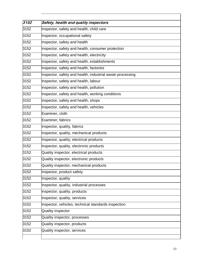| 3152 |                                                           |
|------|-----------------------------------------------------------|
|      | Safety, health and quality inspectors                     |
| 3152 | Inspector, safety and health, child care                  |
| 3152 | Inspector, occupational safety                            |
| 3152 | Inspector, safety and health                              |
| 3152 | Inspector, safety and health, consumer protection         |
| 3152 | Inspector, safety and health, electricity                 |
| 3152 | Inspector, safety and health, establishments              |
| 3152 | Inspector, safety and health, factories                   |
| 3152 | Inspector, safety and health, industrial waste-processing |
| 3152 | Inspector, safety and health, labour                      |
| 3152 | Inspector, safety and health, pollution                   |
| 3152 | Inspector, safety and health, working conditions          |
| 3152 | Inspector, safety and health, shops                       |
| 3152 | Inspector, safety and health, vehicles                    |
| 3152 | Examiner, cloth                                           |
| 3152 | Examiner, fabrics                                         |
| 3152 | Inspector, quality, fabrics                               |
| 3152 | Inspector, quality, mechanical products                   |
| 3152 | Inspector, quality, electrical products                   |
| 3152 | Inspector, quality, electronic products                   |
| 3152 | Quality inspector, electrical products                    |
| 3152 | Quality inspector, electronic products                    |
| 3152 | Quality inspector, mechanical products                    |
| 3152 | Inspector, product safety                                 |
| 3152 | Inspector, quality                                        |
| 3152 | Inspector, quality, industrial processes                  |
| 3152 | Inspector, quality, products                              |
| 3152 | Inspector, quality, services                              |
| 3152 | Inspector, vehicles, technical standards inspection       |
| 3152 | Quality inspector                                         |
| 3152 | Quality inspector, processes                              |
| 3152 | Quality inspector, products                               |
| 3152 | Quality inspector, services                               |
|      |                                                           |

 $\overline{\phantom{a}}$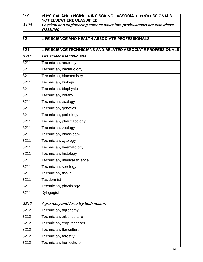| 319             | PHYSICAL AND ENGINEERING SCIENCE ASSOCIATE PROFESSIONALS<br><b>NOT ELSEWHERE CLASSIFIED</b> |
|-----------------|---------------------------------------------------------------------------------------------|
| 3190            | Physical and engineering science associate professionals not elsewhere<br>classified        |
| 32 <sub>2</sub> | LIFE SCIENCE AND HEALTH ASSOCIATE PROFESSIONALS                                             |
| 321             | <b>LIFE SCIENCE TECHNICIANS AND RELATED ASSOCIATE PROFESSIONALS</b>                         |
| 3211            | Life science technicians                                                                    |
| 3211            | Technician, anatomy                                                                         |
| 3211            | Technician, bacteriology                                                                    |
| 3211            | Technician, biochemistry                                                                    |
| 3211            | Technician, biology                                                                         |
| 3211            | Technician, biophysics                                                                      |
| 3211            | Technician, botany                                                                          |
| 3211            | Technician, ecology                                                                         |
| 3211            | Technician, genetics                                                                        |
| 3211            | Technician, pathology                                                                       |
| 3211            | Technician, pharmacology                                                                    |
| 3211            | Technician, zoology                                                                         |
| 3211            | Technician, blood-bank                                                                      |
| 3211            | Technician, cytology                                                                        |
| 3211            | Technician, haematology                                                                     |
| 3211            | Technician, histology                                                                       |
| 3211            | Technician, medical science                                                                 |
| 3211            | Technician, serology                                                                        |
| 3211            | Technician, tissue                                                                          |
| 3211            | <b>Taxidermist</b>                                                                          |
| 3211            | Technician, physiology                                                                      |
| 3211            | Xylogogist                                                                                  |
| 3212            | Agronomy and forestry technicians                                                           |
| 3212            | Technician, agronomy                                                                        |
| 3212            | Technician, arboriculture                                                                   |
| 3212            | Technician, crop research                                                                   |
| 3212            | Technician, floriculture                                                                    |
| 3212            | Technician, forestry                                                                        |
| 3212            | Technician, horticulture                                                                    |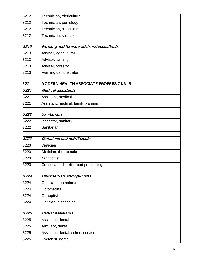| 3212 | Technician, olericulture                     |
|------|----------------------------------------------|
| 3212 | Technician, pomology                         |
| 3212 | Technician, silviculture                     |
| 3212 | Technician, soil science                     |
| 3213 | Farming and forestry advisers/consultants    |
| 3213 | Adviser, agricultural                        |
| 3213 | Adviser, farming                             |
|      |                                              |
| 3213 | Adviser, forestry                            |
| 3213 | Farming demonstrator                         |
| 322  | <b>MODERN HEALTH ASSOCIATE PROFESSIONALS</b> |
| 3221 | <b>Medical assistants</b>                    |
| 3221 | Assistant, medical                           |
| 3221 | Assistant, medical, family planning          |
| 3222 | Sanitarians                                  |
| 3222 | Inspector, sanitary                          |
| 3222 | Sanitarian                                   |
|      |                                              |
| 3223 | Dieticians and nutritionists                 |
| 3223 | <b>Dietician</b>                             |
| 3223 | Dietician, therapeutic                       |
| 3223 | Nutritionist                                 |
| 3223 | Consultant, dietetic, food processing        |
| 3224 | Optometrists and opticians                   |
| 3224 | Optician, ophthalmic                         |
| 3224 | Optometrist                                  |
| 3224 | Orthoptist                                   |
| 3224 | Optician, dispensing                         |
|      |                                              |
| 3225 | Dental assistants                            |
| 3225 | Assistant, dental                            |
| 3225 | Auxiliary, dental                            |
| 3225 | Assistant, dental, school service            |
| 3225 | Hygienist, dental                            |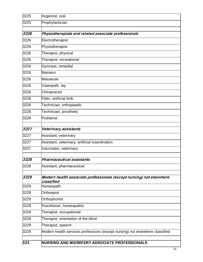| 323          | NURSING AND MIDWIFERY ASSOCIATE PROFESSIONALS                                                     |
|--------------|---------------------------------------------------------------------------------------------------|
|              |                                                                                                   |
| 3229<br>3229 | Therapist, speech<br>Modern health services professions (except nursing) not elsewhere classified |
| 3229         | Therapist, orientation of the blind                                                               |
| 3229         | Therapist, occupational                                                                           |
| 3229         | Practitioner, homeopathic                                                                         |
| 3229         | Orthophonist                                                                                      |
| 3229         | Orthoepist                                                                                        |
| 3229         | Homeopath                                                                                         |
|              | classified                                                                                        |
| 3229         | Modern health associate professionals (except nursing) not elsewhere                              |
| 3228         | Assistant, pharmaceutical                                                                         |
| 3228         | Pharmaceutical assistants                                                                         |
| 3227         | Vaccinator, veterinary                                                                            |
| 3227         | Assistant, veterinary, artificial insemination                                                    |
| 3227         | Assistant, veterinary                                                                             |
| 3227         | Veterinary assistants                                                                             |
| 3226         | Podiatrist                                                                                        |
| 3226         | Technician, prosthetic                                                                            |
| 3226         | Technician, orthopaedic                                                                           |
| 3226         | Fitter, artificial limb                                                                           |
| 3226         | Chiropractor                                                                                      |
| 3226         | Osteopath, lay                                                                                    |
| 3226         | Masseuse                                                                                          |
| 3226         | Masseur                                                                                           |
| 3226         | Gymnast, remedial                                                                                 |
| 3226         | Therapist, recreational                                                                           |
| 3226         | Therapist, physical                                                                               |
| 3226         | Physiotherapist                                                                                   |
| 3226         | Electrotherapist                                                                                  |
| 3226         | Physiotherapists and related associate professionals                                              |
| 3225         | Prophylactician                                                                                   |
| 3225         | Hygienist, oral                                                                                   |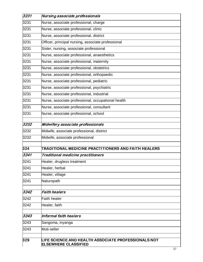| 3231 | Nursing associate professionals                                                    |
|------|------------------------------------------------------------------------------------|
| 3231 | Nurse, associate professional, charge                                              |
| 3231 | Nurse, associate professional, clinic                                              |
| 3231 | Nurse, associate professional, district                                            |
| 3231 | Officer, principal nursing, associate professional                                 |
| 3231 | Sister, nursing, associate professional                                            |
| 3231 | Nurse, associate professional, anaesthetics                                        |
| 3231 | Nurse, associate professional, maternity                                           |
| 3231 | Nurse, associate professional, obstetrics                                          |
| 3231 | Nurse, associate professional, orthopaedic                                         |
| 3231 | Nurse, associate professional, pediatric                                           |
| 3231 | Nurse, associate professional, psychiatric                                         |
| 3231 | Nurse, associate professional, industrial                                          |
| 3231 | Nurse, associate professional, occupational health                                 |
| 3231 | Nurse, associate professional, consultant                                          |
| 3231 | Nurse, associate professional, school                                              |
| 3232 | Midwifery associate professionals                                                  |
| 3232 | Midwife, associate professional, district                                          |
| 3232 | Midwife, associate professional                                                    |
| 324  | TRADITIONAL MEDICINE PRACTITIONERS AND FAITH HEALERS                               |
| 3241 | Traditional medicine practitioners                                                 |
| 3241 | Healer, drugless treatment                                                         |
| 3241 | Healer, herbal                                                                     |
| 3241 | Healer, village                                                                    |
| 3241 | Naturopath                                                                         |
| 3242 | <b>Faith healers</b>                                                               |
| 3242 | <b>Faith healer</b>                                                                |
| 3242 | Healer, faith                                                                      |
| 3243 | Informal faith healers                                                             |
| 3243 | Sangoma, inyanga                                                                   |
| 3243 | Muti-seller                                                                        |
|      |                                                                                    |
| 329  | LIFE SCIENCE AND HEALTH ASSOCIATE PROFESSIONALS NOT<br><b>ELSEWHERE CLASSIFIED</b> |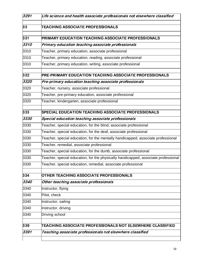| 3291 | Life science and health associate professionals not elsewhere classified           |
|------|------------------------------------------------------------------------------------|
| 33   | <b>TEACHING ASSOCIATE PROFESSIONALS</b>                                            |
| 331  | PRIMARY EDUCATION TEACHING ASSOCIATE PROFESSIONALS                                 |
| 3310 | Primary education teaching associate professionals                                 |
| 3310 | Teacher, primary education, associate professional                                 |
| 3310 | Teacher, primary education, reading, associate professional                        |
| 3310 | Teacher, primary education, writing, associate professional                        |
| 332  | PRE-PRIMARY EDUCATION TEACHING ASSOCIATE PROFESSIONALS                             |
| 3320 | Pre-primary education teaching associate professionals                             |
| 3320 | Teacher, nursery, associate professional                                           |
| 3320 | Teacher, pre-primary education, associate professional                             |
| 3320 | Teacher, kindergarten, associate professional                                      |
| 333  | <b>SPECIAL EDUCATION TEACHING ASSOCIATE PROFESSIONALS</b>                          |
| 3330 | Special education teaching associate professionals                                 |
| 3330 | Teacher, special education, for the blind, associate professional                  |
| 3330 | Teacher, special education, for the deaf, associate professional                   |
| 3330 | Teacher, special education, for the mentally handicapped, associate professional   |
| 3330 | Teacher, remedial, associate professional                                          |
| 3330 | Teacher, special education, for the dumb, associate professional                   |
| 3330 | Teacher, special education, for the physically handicapped, associate professional |
| 3330 | Teacher, special education, remedial, associate professional                       |
| 334  | OTHER TEACHING ASSOCIATE PROFESSIONALS                                             |
| 3340 | Other teaching associate professionals                                             |
| 3340 | Instructor, flying                                                                 |
| 3340 | Pilot, check                                                                       |
| 3340 | Instructor, sailing                                                                |
| 3340 | Instructor, driving                                                                |
| 3340 | Driving school                                                                     |
| 339  | TEACHING ASSOCIATE PROFESSIONALS NOT ELSEWHERE CLASSIFIED                          |
| 3391 | Teaching associate professionals not elsewhere classified                          |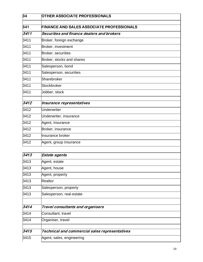| 34   | <b>OTHER ASSOCIATE PROFESSIONALS</b>             |
|------|--------------------------------------------------|
|      |                                                  |
| 341  | <b>FINANCE AND SALES ASSOCIATE PROFESSIONALS</b> |
| 3411 | Securities and finance dealers and brokers       |
| 3411 | Broker, foreign exchange                         |
| 3411 | Broker, investment                               |
| 3411 | Broker, securities                               |
| 3411 | Broker, stocks and shares                        |
| 3411 | Salesperson, bond                                |
| 3411 | Salesperson, securities                          |
| 3411 | Sharebroker                                      |
| 3411 | Stockbroker                                      |
| 3411 | Jobber, stock                                    |
| 3412 | Insurance representatives                        |
| 3412 | <b>Underwriter</b>                               |
| 3412 | Underwriter, insurance                           |
| 3412 | Agent, insurance                                 |
| 3412 | Broker, insurance                                |
| 3412 | Insurance broker                                 |
| 3412 | Agent, group insurance                           |

| 3413 | Estate agents                                  |  |
|------|------------------------------------------------|--|
| 3413 | Agent, estate                                  |  |
| 3413 | Agent, house                                   |  |
| 3413 | Agent, property                                |  |
| 3413 | Realtor                                        |  |
| 3413 | Salesperson, property                          |  |
| 3413 | Salesperson, real-estate                       |  |
| 3414 | Travel consultants and organisers              |  |
| 3414 | Consultant, travel                             |  |
| 3414 | Organiser, travel                              |  |
| 3415 | Technical and commercial sales representatives |  |
| 3415 | Agent, sales, engineering                      |  |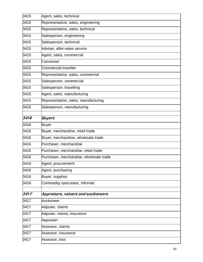| 3415 | Agent, sales, technical                 |
|------|-----------------------------------------|
| 3415 | Representative, sales, engineering      |
| 3415 | Representative, sales, technical        |
| 3415 | Salesperson, engineering                |
| 3415 | Salesperson, technical                  |
| 3415 | Adviser, after-sales service            |
| 3415 | Agent, sales, commercial                |
| 3415 | Canvasser                               |
| 3415 | Commercial traveller                    |
| 3415 | Representative, sales, commercial       |
| 3415 | Salesperson, commercial                 |
| 3415 | Salesperson, travelling                 |
| 3415 | Agent, sales, manufacturing             |
| 3415 | Representative, sales, manufacturing    |
| 3415 | Salesperson, manufacturing              |
| 3416 | <b>Buyers</b>                           |
| 3416 |                                         |
| 3416 | <b>Buyer</b>                            |
|      | Buyer, merchandise, retail trade        |
| 3416 | Buyer, merchandise, wholesale trade     |
| 3416 | Purchaser, merchandise                  |
| 3416 | Purchaser, merchandise, retail trade    |
| 3416 | Purchaser, merchandise, wholesale trade |
| 3416 | Agent, procurement                      |
| 3416 | Agent, purchasing                       |
| 3416 | Buyer, supplies                         |
| 3416 | Commodity speculator, informal          |
| 3417 | Appraisers, valuers and auctioneers     |
| 3417 | Auctioneer                              |
| 3417 | Adjuster, claims                        |
| 3417 | Adjuster, claims, insurance             |
| 3417 | Appraiser                               |
| 3417 | Assessor, claims                        |
| 3417 | Assessor, insurance                     |
| 3417 | Assessor, loss                          |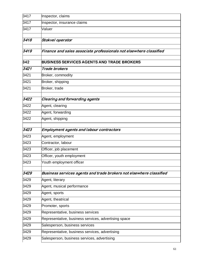| 3417 | Inspector, claims                                                   |
|------|---------------------------------------------------------------------|
| 3417 | Inspector, insurance claims                                         |
| 3417 | Valuer                                                              |
| 3418 | Stokvel operator                                                    |
| 3419 | Finance and sales associate professionals not elsewhere classified  |
| 342  | <b>BUSINESS SERVICES AGENTS AND TRADE BROKERS</b>                   |
| 3421 | Trade brokers                                                       |
| 3421 | Broker, commodity                                                   |
| 3421 | Broker, shipping                                                    |
| 3421 | Broker, trade                                                       |
| 3422 | Clearing and forwarding agents                                      |
| 3422 | Agent, clearing                                                     |
| 3422 | Agent, forwarding                                                   |
| 3422 | Agent, shipping                                                     |
| 3423 | <b>Employment agents and labour contractors</b>                     |
| 3423 | Agent, employment                                                   |
| 3423 | Contractor, labour                                                  |
| 3423 | Officer, job placement                                              |
| 3423 | Officer, youth employment                                           |
| 3423 | Youth employment officer                                            |
| 3429 | Business services agents and trade brokers not elsewhere classified |
| 3429 | Agent, literary                                                     |
| 3429 | Agent, musical performance                                          |
| 3429 | Agent, sports                                                       |
| 3429 | Agent, theatrical                                                   |
| 3429 | Promoter, sports                                                    |
| 3429 | Representative, business services                                   |
| 3429 | Representative, business services, advertising space                |
| 3429 | Salesperson, business services                                      |
| 3429 | Representative, business services, advertising                      |
| 3429 | Salesperson, business services, advertising                         |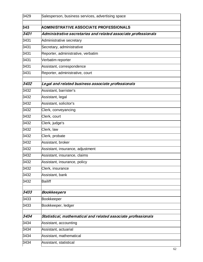| 3429 | Salesperson, business services, advertising space              |
|------|----------------------------------------------------------------|
| 343  | <b>ADMINISTRATIVE ASSOCIATE PROFESSIONALS</b>                  |
| 3431 | Administrative secretaries and related associate professionals |
| 3431 | Administrative secretary                                       |
| 3431 | Secretary, administrative                                      |
| 3431 | Reporter, administrative, verbatim                             |
| 3431 | Verbatim reporter                                              |
| 3431 | Assistant, correspondence                                      |
| 3431 | Reporter, administrative, court                                |
| 3432 | Legal and related business associate professionals             |
| 3432 | Assistant, barrister's                                         |
| 3432 | Assistant, legal                                               |
| 3432 | Assistant, solicitor's                                         |
| 3432 | Clerk, conveyancing                                            |
| 3432 | Clerk, court                                                   |
| 3432 | Clerk, judge's                                                 |
| 3432 | Clerk, law                                                     |
| 3432 | Clerk, probate                                                 |
| 3432 | Assistant, broker                                              |
| 3432 | Assistant, insurance, adjustment                               |
| 3432 | Assistant, insurance, claims                                   |
| 3432 | Assistant, insurance, policy                                   |
| 3432 | Clerk, insurance                                               |
| 3432 | Assistant, bank                                                |
| 3432 | <b>Bailiff</b>                                                 |
| 3433 | <b>Bookkeepers</b>                                             |
| 3433 | <b>Bookkeeper</b>                                              |
| 3433 | Bookkeeper, ledger                                             |
| 3434 | Statistical, mathematical and related associate professionals  |
| 3434 | Assistant, accounting                                          |
| 3434 | Assistant, actuarial                                           |
| 3434 | Assistant, mathematical                                        |
| 3434 | Assistant, statistical                                         |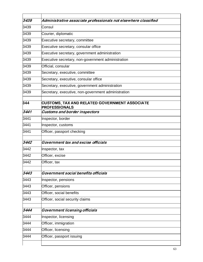| 3439 | Administrative associate professionals not elsewhere classified       |
|------|-----------------------------------------------------------------------|
| 3439 | Consul                                                                |
| 3439 | Courier, diplomatic                                                   |
| 3439 | Executive secretary, committee                                        |
| 3439 | Executive secretary, consular office                                  |
| 3439 | Executive secretary, government administration                        |
| 3439 | Executive secretary, non-government administration                    |
| 3439 | Official, consular                                                    |
| 3439 | Secretary, executive, committee                                       |
| 3439 | Secretary, executive, consular office                                 |
| 3439 | Secretary, executive, government administration                       |
| 3439 | Secretary, executive, non-government administration                   |
| 344  | CUSTOMS, TAX AND RELATED GOVERNMENT ASSOCIATE<br><b>PROFESSIONALS</b> |
| 3441 | <b>Customs and border inspectors</b>                                  |
| 3441 | Inspector, border                                                     |
| 3441 | Inspector, customs                                                    |
| 3441 | Officer, passport checking                                            |
| 3442 | Government tax and excise officials                                   |
| 3442 | Inspector, tax                                                        |
| 3442 | Officer, excise                                                       |
| 3442 | Officer, tax                                                          |
| 3443 | Government social benefits officials                                  |
| 3443 | Inspector, pensions                                                   |
| 3443 | Officer, pensions                                                     |
| 3443 | Officer, social benefits                                              |
| 3443 | Officer, social security claims                                       |
| 3444 | <b>Government licensing officials</b>                                 |
| 3444 | Inspector, licensing                                                  |
| 3444 | Officer, immigration                                                  |
| 3444 | Officer, licensing                                                    |
| 3444 | Officer, passport issuing                                             |
|      |                                                                       |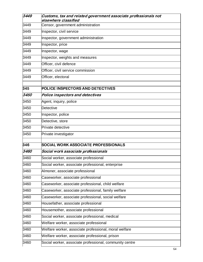| 3449 | Customs, tax and related government associate professionals not<br>elsewhere classified |
|------|-----------------------------------------------------------------------------------------|
| 3449 | Censor, government administration                                                       |
| 3449 | Inspector, civil service                                                                |
| 3449 | Inspector, government administration                                                    |
| 3449 | Inspector, price                                                                        |
| 3449 | Inspector, wage                                                                         |
| 3449 | Inspector, weights and measures                                                         |
| 3449 | Officer, civil defence                                                                  |
| 3449 | Officer, civil service commission                                                       |
| 3449 | Officer, electoral                                                                      |
| 345  | <b>POLICE INSPECTORS AND DETECTIVES</b>                                                 |
| 3450 | Police inspectors and detectives                                                        |
| 3450 | Agent, inquiry, police                                                                  |
| 3450 | Detective                                                                               |
| 3450 | Inspector, police                                                                       |
| 3450 | Detective, store                                                                        |
| 3450 | Private detective                                                                       |
| 3450 | Private investigator                                                                    |
| 346  | <b>SOCIAL WORK ASSOCIATE PROFESSIONALS</b>                                              |
| 3460 | Social work associate professionals                                                     |
| 3460 | Social worker, associate professional                                                   |
| 3460 | Social worker, associate professional, enterprise                                       |
| 3460 | Almoner, associate professional                                                         |
| 3460 | Caseworker, associate professional                                                      |
| 3460 | Caseworker, associate professional, child welfare                                       |
| 3460 | Caseworker, associate professional, family welfare                                      |
| 3460 | Caseworker, associate professional, social welfare                                      |
| 3460 | Housefather, associate professional                                                     |
| 3460 | Housemother, associate professional                                                     |
| 3460 | Social worker, associate professional, medical                                          |
| 3460 | Welfare worker, associate professional                                                  |
| 3460 | Welfare worker, associate professional, moral welfare                                   |
| 3460 | Welfare worker, associate professional, prison                                          |
| 3460 | Social worker, associate professional, community centre                                 |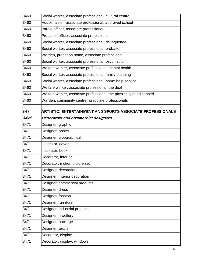| 3460 | Social worker, associate professional, cultural centre             |
|------|--------------------------------------------------------------------|
| 3460 | Housemaster, associate professional, approved school               |
| 3460 | Parole officer, associate professional                             |
| 3460 | Probation officer, associate professional                          |
| 3460 | Social worker, associate professional, delinquency                 |
| 3460 | Social worker, associate professional, probation                   |
| 3460 | Warden, probation home, associate professional                     |
| 3460 | Social worker, associate professional, psychiatric                 |
| 3460 | Welfare worker, associate professional, mental health              |
| 3460 | Social worker, associate professional, family planning             |
| 3460 | Social worker, associate professional, home-help service           |
| 3460 | Welfare worker, associate professional, the deaf                   |
| 3460 | Welfare worker, associate professional, the physically handicapped |
| 3460 | Warden, community centre, associate professionals                  |
|      |                                                                    |
| 347  | ARTISTIC, ENTERTAINMENT AND SPORTS ASSOCIATE PROFESSIONALS         |
| 3471 | Decorators and commercial designers                                |
| 3471 | Designer, graphic                                                  |
| 3471 | Designer, poster                                                   |
| 3471 | Designer, typographical                                            |
| 3471 | Illustrator, advertising                                           |
| 3471 | Illustrator, book                                                  |
| 3471 | Decorator, interior                                                |
| 3471 | Decorator, motion picture set                                      |
| 3471 | Designer, decoration                                               |
| 3471 | Designer, interior decoration                                      |
| 3471 | Designer, commercial products                                      |
| 3471 | Designer, dress                                                    |
| 3471 | Designer, fashion                                                  |
| 3471 | Designer, furniture                                                |
| 3471 | Designer, industrial products                                      |
| 3471 | Designer, jewellery                                                |
| 3471 | Designer, package                                                  |
| 3471 | Designer, textile                                                  |
| 3471 | Decorator, display                                                 |
| 3471 | Decorator, display, windows                                        |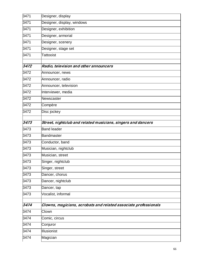| 3471 | Designer, display                                               |
|------|-----------------------------------------------------------------|
| 3471 | Designer, display, windows                                      |
| 3471 | Designer, exhibition                                            |
| 3471 | Designer, armorial                                              |
| 3471 | Designer, scenery                                               |
| 3471 | Designer, stage set                                             |
| 3471 | <b>Tattooist</b>                                                |
| 3472 | Radio, television and other announcers                          |
| 3472 | Announcer, news                                                 |
| 3472 | Announcer, radio                                                |
| 3472 | Announcer, television                                           |
| 3472 | Interviewer, media                                              |
| 3472 | Newscaster                                                      |
| 3472 | Compère                                                         |
| 3472 | Disc jockey                                                     |
| 3473 | Street, nightclub and related musicians, singers and dancers    |
| 3473 | <b>Band leader</b>                                              |
|      |                                                                 |
| 3473 | <b>Bandmaster</b>                                               |
| 3473 | Conductor, band                                                 |
| 3473 | Musician, nightclub                                             |
| 3473 | Musician, street                                                |
| 3473 | Singer, nightclub                                               |
| 3473 | Singer, street                                                  |
| 3473 | Dancer, chorus                                                  |
| 3473 | Dancer, nightclub                                               |
| 3473 | Dancer, tap                                                     |
| 3473 | Vocalist, informal                                              |
| 3474 | Clowns, magicians, acrobats and related associate professionals |
| 3474 | Clown                                                           |
| 3474 | Comic, circus                                                   |
| 3474 | Conjuror                                                        |
| 3474 | <b>Illusionist</b>                                              |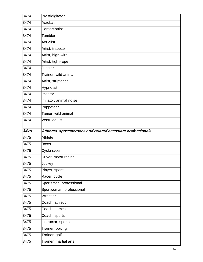| 3474 | Prestidigitator                                             |
|------|-------------------------------------------------------------|
| 3474 | Acrobat                                                     |
| 3474 | Contortionist                                               |
| 3474 | Tumbler                                                     |
| 3474 | Aerialist                                                   |
| 3474 | Artist, trapeze                                             |
| 3474 | Artist, high-wire                                           |
| 3474 | Artist, tight-rope                                          |
| 3474 | Juggler                                                     |
| 3474 | Trainer, wild animal                                        |
| 3474 | Artist, striptease                                          |
| 3474 | Hypnotist                                                   |
| 3474 | Imitator                                                    |
| 3474 | Imitator, animal noise                                      |
| 3474 | Puppeteer                                                   |
| 3474 | Tamer, wild animal                                          |
| 3474 | Ventriloquist                                               |
|      |                                                             |
| 3475 | Athletes, sportspersons and related associate professionals |
| 3475 | Athlete                                                     |
| 3475 | <b>Boxer</b>                                                |
|      |                                                             |
| 3475 | Cycle racer                                                 |
| 3475 | Driver, motor racing                                        |
| 3475 | Jockey                                                      |
| 3475 | Player, sports                                              |
| 3475 | Racer, cycle                                                |
| 3475 | Sportsman, professional                                     |
| 3475 | Sportwoman, professional                                    |
| 3475 | Wrestler                                                    |
| 3475 | Coach, athletic                                             |
| 3475 | Coach, games                                                |
| 3475 | Coach, sports                                               |
| 3475 | Instructor, sports                                          |
| 3475 | Trainer, boxing                                             |
| 3475 | Trainer, golf                                               |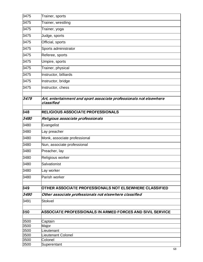| 3475         | Trainer, sports                                                                  |
|--------------|----------------------------------------------------------------------------------|
| 3475         | Trainer, wrestling                                                               |
| 3475         | Trainer, yoga                                                                    |
| 3475         | Judge, sports                                                                    |
| 3475         | Official, sports                                                                 |
| 3475         | Sports administrator                                                             |
| 3475         | Referee, sports                                                                  |
| 3475         | Umpire, sports                                                                   |
| 3475         | Trainer, physical                                                                |
| 3475         | Instructor, billiards                                                            |
| 3475         | Instructor, bridge                                                               |
| 3475         | Instructor, chess                                                                |
| 3479         | Art, entertainment and sport associate professionals not elsewhere<br>classified |
| 348          | <b>RELIGIOUS ASSOCIATE PROFESSIONALS</b>                                         |
| 3480         | Religious associate professionals                                                |
| 3480         | Evangelist                                                                       |
| 3480         | Lay preacher                                                                     |
| 3480         | Monk, associate professional                                                     |
| 3480         | Nun, associate professional                                                      |
| 3480         | Preacher, lay                                                                    |
| 3480         | Religious worker                                                                 |
| 3480         | Salvationist                                                                     |
| 3480         | Lay worker                                                                       |
| 3480         | Parish worker                                                                    |
| 349          | <b>OTHER ASSOCIATE PROFESSIONALS NOT ELSEWHERE CLASSIFIED</b>                    |
| 3490         | Other associate professionals not elsewhere classified                           |
| 3491         | <b>Stokvel</b>                                                                   |
| 350          | ASSOCIATE PROFESSIONALS IN ARMED FORCES AND SIVIL SERVICE                        |
|              |                                                                                  |
| 3500<br>3500 | Captain<br>Major                                                                 |
| 3500         | Lieutenant                                                                       |
| 3500         | Lieutenant Colonel                                                               |
| 3500         | Colonel                                                                          |
| 3500         | Superentant                                                                      |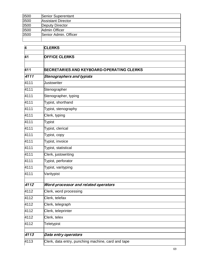| 3500 | Senior Superentant        |
|------|---------------------------|
| 3500 | <b>Assistant Director</b> |
| 3500 | Deputy Director           |
| 3500 | Admin Officer             |
| 3500 | Senior Admin. Officer     |
|      |                           |

| 4               | <b>CLERKS</b>                                      |
|-----------------|----------------------------------------------------|
| $\overline{41}$ | <b>OFFICE CLERKS</b>                               |
|                 |                                                    |
| 411             | <b>SECRETARIES AND KEYBOARD-OPERATING CLERKS</b>   |
| 4111            | Stenographers and typists                          |
|                 | <b>Justowriter</b>                                 |
| 4111            |                                                    |
| 4111            | Stenographer                                       |
| 4111            | Stenographer, typing                               |
| 4111            | Typist, shorthand                                  |
| 4111            | Typist, stenography                                |
| 4111            | Clerk, typing                                      |
| 4111            | Typist                                             |
| 4111            | Typist, clerical                                   |
| 4111            | Typist, copy                                       |
| 4111            | Typist, invoice                                    |
| 4111            | Typist, statistical                                |
| 4111            | Clerk, justowriting                                |
| 4111            | Typist, perforator                                 |
| 4111            | Typist, varityping                                 |
| 4111            | Varitypist                                         |
|                 |                                                    |
| 4112            | Word-processor and related operators               |
| 4112            | Clerk, word processing                             |
| 4112            | Clerk, telefax                                     |
| 4112            | Clerk, telegraph                                   |
| 4112            | Clerk, teleprinter                                 |
| 4112            | Clerk, telex                                       |
| 4112            | Teletypist                                         |
|                 |                                                    |
| 4113            | Data entry operators                               |
| 4113            | Clerk, data entry, punching machine, card and tape |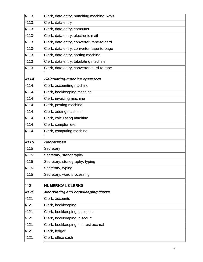| 4113 | Clerk, data entry, punching machine, keys  |
|------|--------------------------------------------|
| 4113 | Clerk, data entry                          |
| 4113 | Clerk, data entry, computer                |
| 4113 | Clerk, data entry, electronic mail         |
| 4113 | Clerk, data entry, converter, tape-to-card |
| 4113 | Clerk, data entry, converter, tape-to-page |
| 4113 | Clerk, data entry, sorting machine         |
| 4113 | Clerk, data entry, tabulating machine      |
| 4113 | Clerk, data entry, converter, card-to-tape |
| 4114 | Calculating-machine operators              |
| 4114 | Clerk, accounting machine                  |
| 4114 | Clerk, bookkeeping machine                 |
| 4114 | Clerk, invoicing machine                   |
| 4114 | Clerk, posting machine                     |
| 4114 | Clerk, adding machine                      |
| 4114 | Clerk, calculating machine                 |
| 4114 | Clerk, comptometer                         |
| 4114 | Clerk, computing machine                   |
| 4115 | Secretaries                                |
| 4115 | Secretary                                  |
| 4115 | Secretary, stenography                     |
| 4115 | Secretary, stenography, typing             |
| 4115 | Secretary, typing                          |
| 4115 | Secretary, word processing                 |
| 412  | <b>NUMERICAL CLERKS</b>                    |
| 4121 | Accounting and bookkeeping clerks          |
| 4121 | Clerk, accounts                            |
| 4121 | Clerk, bookkeeping                         |
| 4121 | Clerk, bookkeeping, accounts               |
| 4121 | Clerk, bookkeeping, discount               |
| 4121 | Clerk, bookkeeping, interest accrual       |
| 4121 |                                            |
|      | Clerk, ledger                              |
| 4121 | Clerk, office cash                         |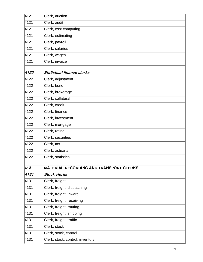| 4121 | Clerk, auction                                 |
|------|------------------------------------------------|
| 4121 | Clerk, audit                                   |
| 4121 | Clerk, cost computing                          |
| 4121 | Clerk, estimating                              |
| 4121 | Clerk, payroll                                 |
| 4121 | Clerk, salaries                                |
| 4121 | Clerk, wages                                   |
| 4121 | Clerk, invoice                                 |
|      |                                                |
| 4122 | Statistical finance clerks                     |
| 4122 | Clerk, adjustment                              |
| 4122 | Clerk, bond                                    |
| 4122 | Clerk, brokerage                               |
| 4122 | Clerk, collateral                              |
| 4122 | Clerk, credit                                  |
| 4122 | Clerk, finance                                 |
| 4122 | Clerk, investment                              |
| 4122 | Clerk, mortgage                                |
| 4122 | Clerk, rating                                  |
| 4122 | Clerk, securities                              |
| 4122 | Clerk, tax                                     |
| 4122 | Clerk, actuarial                               |
| 4122 | Clerk, statistical                             |
|      |                                                |
| 413  | <b>MATERIAL-RECORDING AND TRANSPORT CLERKS</b> |
| 4131 | <b>Stock clerks</b>                            |
| 4131 | Clerk, freight                                 |
| 4131 | Clerk, freight, dispatching                    |
| 4131 | Clerk, freight, inward                         |
| 4131 | Clerk, freight, receiving                      |
| 4131 | Clerk, freight, routing                        |
| 4131 | Clerk, freight, shipping                       |
| 4131 | Clerk, freight, traffic                        |
| 4131 | Clerk, stock                                   |
| 4131 | Clerk, stock, control                          |
| 4131 | Clerk, stock, control, inventory               |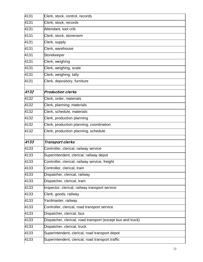| 4131 | Clerk, stock, control, records                              |
|------|-------------------------------------------------------------|
| 4131 | Clerk, stock, records                                       |
| 4131 | Attendant, tool crib                                        |
| 4131 | Clerk, stock, storeroom                                     |
| 4131 | Clerk, supply                                               |
| 4131 | Clerk, warehouse                                            |
| 4131 | Storekeeper                                                 |
| 4131 | Clerk, weighing                                             |
| 4131 | Clerk, weighing, scale                                      |
| 4131 | Clerk, weighing, tally                                      |
| 4131 | Clerk, depository, furniture                                |
| 4132 | <b>Production clerks</b>                                    |
| 4132 |                                                             |
|      | Clerk, order, materials                                     |
| 4132 | Clerk, planning, materials                                  |
| 4132 | Clerk, schedule, materials                                  |
| 4132 | Clerk, production planning                                  |
| 4132 | Clerk, production planning, coordination                    |
| 4132 | Clerk, production planning, schedule                        |
| 4133 | Transport clerks                                            |
| 4133 | Controller, clerical, railway service                       |
| 4133 | Superintendent, clerical, railway depot                     |
| 4133 | Controller, clerical, railway service, freight              |
| 4133 | Controller, clerical, train                                 |
| 4133 | Dispatcher, clerical, railway                               |
| 4133 | Dispatcher, clerical, train                                 |
| 4133 | Inspector, clerical, railway transport service              |
| 4133 | Clerk, goods, railway                                       |
| 4133 | Yardmaster, railway                                         |
| 4133 | Controller, clerical, road transport service                |
| 4133 | Dispatcher, clerical, bus                                   |
| 4133 | Dispatcher, clerical, road transport (except bus and truck) |
| 4133 | Dispatcher, clerical, truck                                 |
| 4133 | Superintendent, clerical, road transport depot              |
| 4133 | Superintendent, clerical, road transport traffic            |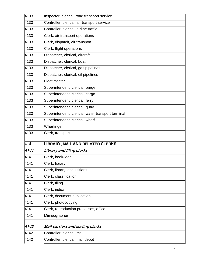| 4133 | Inspector, clerical, road transport service        |
|------|----------------------------------------------------|
| 4133 | Controller, clerical, air transport service        |
| 4133 | Controller, clerical, airline traffic              |
| 4133 | Clerk, air transport operations                    |
| 4133 | Clerk, dispatch, air transport                     |
| 4133 | Clerk, flight operations                           |
| 4133 | Dispatcher, clerical, aircraft                     |
| 4133 | Dispatcher, clerical, boat                         |
| 4133 | Dispatcher, clerical, gas pipelines                |
| 4133 | Dispatcher, clerical, oil pipelines                |
| 4133 | Float master                                       |
| 4133 | Superintendent, clerical, barge                    |
| 4133 | Superintendent, clerical, cargo                    |
| 4133 | Superintendent, clerical, ferry                    |
| 4133 | Superintendent, clerical, quay                     |
| 4133 | Superintendent, clerical, water transport terminal |
| 4133 | Superintendent, clerical, wharf                    |
| 4133 | Wharfinger                                         |
| 4133 | Clerk, transport                                   |
| 414  | LIBRARY, MAIL AND RELATED CLERKS                   |
| 4141 | Library and filing clerks                          |
| 4141 | Clerk, book-loan                                   |
|      |                                                    |
| 4141 | Clerk, library                                     |
| 4141 | Clerk, library, acquisitions                       |
| 4141 | Clerk, classification                              |
| 4141 | Clerk, filing                                      |
| 4141 | Clerk, index                                       |
| 4141 | Clerk, document duplication                        |
| 4141 | Clerk, photocopying                                |
| 4141 | Clerk, reproduction processes, office              |
| 4141 | Mimeographer                                       |
| 4142 |                                                    |
|      | Mail carriers and sorting clerks                   |
| 4142 | Controller, clerical, mail                         |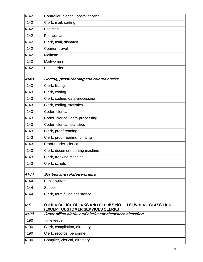| 4142 | Controller, clerical, postal service                                                                |
|------|-----------------------------------------------------------------------------------------------------|
| 4142 | Clerk, mail, sorting                                                                                |
| 4142 | Postman                                                                                             |
| 4142 | Postwoman                                                                                           |
| 4142 | Clerk, mail, dispatch                                                                               |
| 4142 | Courier, travel                                                                                     |
| 4142 | Mailman                                                                                             |
| 4142 | Mailwoman                                                                                           |
| 4142 | Post carrier                                                                                        |
| 4143 | Coding, proof-reading and related clerks                                                            |
| 4143 | Clerk, listing                                                                                      |
| 4143 | Clerk, coding                                                                                       |
| 4143 | Clerk, coding, data-processing                                                                      |
| 4143 | Clerk, coding, statistics                                                                           |
| 4143 | Coder, clerical                                                                                     |
| 4143 | Coder, clerical, data-processing                                                                    |
| 4143 | Coder, clerical, statistics                                                                         |
| 4143 | Clerk, proof reading                                                                                |
| 4143 | Clerk, proof reading, printing                                                                      |
| 4143 | Proof-reader, clerical                                                                              |
| 4143 | Clerk, document-sorting machine                                                                     |
| 4143 | Clerk, franking machine                                                                             |
| 4143 | Clerk, scripts                                                                                      |
| 4144 | Scribes and related workers                                                                         |
| 4144 | Public writer                                                                                       |
| 4144 | <b>Scribe</b>                                                                                       |
| 4144 | Clerk, form-filling assistance                                                                      |
| 419  | OTHER OFFICE CLERKS AND CLERKS NOT ELSEWHERE CLASSIFIED<br><b>(EXCEPT CUSTOMER SERVICES CLERKS)</b> |
| 4190 | Other office clerks and clerks not elsewhere classified                                             |
| 4190 | Timekeeper                                                                                          |
| 4190 | Clerk, compilation, directory                                                                       |
| 4190 | Clerk, records, personnel                                                                           |
| 4190 | Compiler, clerical, directory                                                                       |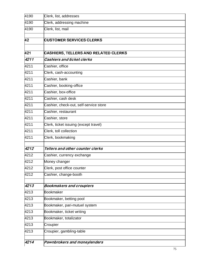| 4190 | Clerk, list, addresses                      |
|------|---------------------------------------------|
| 4190 | Clerk, addressing machine                   |
| 4190 | Clerk, list, mail                           |
|      |                                             |
| 42   | <b>CUSTOMER SERVICES CLERKS</b>             |
|      |                                             |
| 421  | <b>CASHIERS, TELLERS AND RELATED CLERKS</b> |
| 4211 | <b>Cashiers and ticket clerks</b>           |
| 4211 | Cashier, office                             |
| 4211 | Clerk, cash-accounting                      |
| 4211 | Cashier, bank                               |
| 4211 | Cashier, booking-office                     |
| 4211 | Cashier, box-office                         |
| 4211 | Cashier, cash desk                          |
| 4211 | Cashier, check-out, self-service store      |
| 4211 | Cashier, restaurant                         |
| 4211 | Cashier, store                              |
| 4211 | Clerk, ticket issuing (except travel)       |
| 4211 | Clerk, toll collection                      |
| 4211 | Clerk, bookmaking                           |
| 4212 | Tellers and other counter clerks            |
| 4212 | Cashier, currency exchange                  |
| 4212 | Money changer                               |
| 4212 | Clerk, post office counter                  |
| 4212 | Cashier, change-booth                       |
|      |                                             |
| 4213 | <b>Bookmakers and croupiers</b>             |
| 4213 | <b>Bookmaker</b>                            |
| 4213 | Bookmaker, betting pool                     |
| 4213 | Bookmaker, pari-mutuel system               |
| 4213 | Bookmaker, ticket writing                   |
| 4213 | Bookmaker, totalizator                      |
| 4213 | Croupier                                    |
| 4213 | Croupier, gambling-table                    |
|      |                                             |
| 4214 | Pawnbrokers and moneylenders                |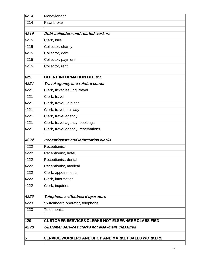| 4214 | Moneylender                                              |
|------|----------------------------------------------------------|
| 4214 | Pawnbroker                                               |
|      |                                                          |
| 4215 | Debt-collectors and related workers                      |
| 4215 | Clerk, bills                                             |
| 4215 | Collector, charity                                       |
| 4215 | Collector, debt                                          |
| 4215 | Collector, payment                                       |
| 4215 | Collector, rent                                          |
| 422  | <b>CLIENT INFORMATION CLERKS</b>                         |
| 4221 | Travel agency and related clerks                         |
| 4221 | Clerk, ticket issuing, travel                            |
| 4221 | Clerk, travel                                            |
| 4221 | Clerk, travel, airlines                                  |
| 4221 | Clerk, travel, railway                                   |
| 4221 | Clerk, travel agency                                     |
| 4221 | Clerk, travel agency, bookings                           |
| 4221 | Clerk, travel agency, reservations                       |
| 4222 | Receptionists and information clerks                     |
| 4222 | Receptionist                                             |
| 4222 | Receptionist, hotel                                      |
| 4222 | Receptionist, dental                                     |
| 4222 | Receptionist, medical                                    |
| 4222 | Clerk, appointments                                      |
| 4222 | Clerk, information                                       |
| 4222 | Clerk, inquiries                                         |
| 4223 | Telephone switchboard operators                          |
| 4223 | Switchboard operator, telephone                          |
| 4223 | Telephonist                                              |
| 429  | <b>CUSTOMER SERVICES CLERKS NOT ELSEWHERE CLASSIFIED</b> |
| 4290 | Customer services clerks not elsewhere classified        |
|      |                                                          |
| 5    | <b>SERVICE WORKERS AND SHOP AND MARKET SALES WORKERS</b> |
|      |                                                          |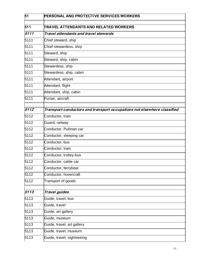| 51   | <b>PERSONAL AND PROTECTIVE SERVICES WORKERS</b>                         |
|------|-------------------------------------------------------------------------|
| 511  | TRAVEL ATTENDANTS AND RELATED WORKERS                                   |
| 5111 | Travel attendants and travel stewards                                   |
| 5111 | Chief steward, ship                                                     |
| 5111 | Chief stewardess, ship                                                  |
| 5111 | Steward, ship                                                           |
| 5111 | Steward, ship, cabin                                                    |
| 5111 | Stewardess, ship                                                        |
| 5111 | Stewardess, ship, cabin                                                 |
| 5111 | Attendant, airport                                                      |
| 5111 | Attendant, flight                                                       |
| 5111 | Attendant, ship, cabin                                                  |
| 5111 | Purser, aircraft                                                        |
| 5112 | Transport conductors and transport occupations not elsewhere classified |
| 5112 | Conductor, train                                                        |
| 5112 | Guard, railway                                                          |
| 5112 | Conductor, Pullman car                                                  |
| 5112 | Conductor, sleeping car                                                 |
| 5112 | Conductor, bus                                                          |
| 5112 | Conductor, tram                                                         |
| 5112 | Conductor, trolley-bus                                                  |
| 5112 | Conductor, cable car                                                    |
| 5112 | Conductor, ferryboat                                                    |
| 5112 | Conductor, hovercraft                                                   |
| 5112 | Transport of goods                                                      |
| 5113 | <b>Travel guides</b>                                                    |
| 5113 | Guide, travel, bus                                                      |
| 5113 | Guide, travel                                                           |
| 5113 | Guide, art gallery                                                      |
| 5113 | Guide, museum                                                           |
| 5113 | Guide, travel, art gallery                                              |
| 5113 | Guide, travel, museum                                                   |
| 5113 | Guide, travel, sightseeing                                              |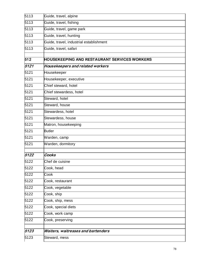| 5113 | Guide, travel, alpine                               |
|------|-----------------------------------------------------|
| 5113 | Guide, travel, fishing                              |
| 5113 | Guide, travel, game park                            |
| 5113 | Guide, travel, hunting                              |
| 5113 | Guide, travel, industrial establishment             |
| 5113 | Guide, travel, safari                               |
| 512  | <b>HOUSEKEEPING AND RESTAURANT SERVICES WORKERS</b> |
| 5121 |                                                     |
|      | Housekeepers and related workers                    |
| 5121 | Housekeeper                                         |
| 5121 | Housekeeper, executive                              |
| 5121 | Chief steward, hotel                                |
| 5121 | Chief stewardess, hotel                             |
| 5121 | Steward, hotel                                      |
| 5121 | Steward, house                                      |
| 5121 | Stewardess, hotel                                   |
| 5121 | Stewardess, house                                   |
| 5121 | Matron, housekeeping                                |
| 5121 | <b>Butler</b>                                       |
| 5121 | Warden, camp                                        |
| 5121 | Warden, dormitory                                   |
|      |                                                     |
| 5122 | Cooks                                               |
| 5122 | Chef de cuisine                                     |
| 5122 | Cook, head                                          |
| 5122 | Cook                                                |
| 5122 | Cook, restaurant                                    |
| 5122 | Cook, vegetable                                     |
| 5122 | Cook, ship                                          |
| 5122 | Cook, ship, mess                                    |
| 5122 | Cook, special diets                                 |
| 5122 | Cook, work camp                                     |
| 5122 | Cook, preserving                                    |
|      |                                                     |
| 5123 | <b>Waiters, waitresses and bartenders</b>           |
| 5123 | Steward, mess                                       |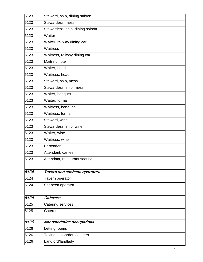| 5123 | Steward, ship, dining saloon    |
|------|---------------------------------|
| 5123 | Stewardess, mess                |
| 5123 | Stewardess, ship, dining saloon |
| 5123 | Waiter                          |
| 5123 | Waiter, railway dining car      |
| 5123 | Waitress                        |
| 5123 | Waitress, railway dining car    |
| 5123 | Maitre d'hotel                  |
| 5123 | Waiter, head                    |
| 5123 | Waitress, head                  |
| 5123 | Steward, ship, mess             |
| 5123 | Stewardess, ship, mess          |
| 5123 | Waiter, banquet                 |
| 5123 | Waiter, formal                  |
| 5123 | Waitress, banquet               |
| 5123 | Waitress, formal                |
| 5123 | Steward, wine                   |
| 5123 | Stewardess, ship, wine          |
| 5123 | Waiter, wine                    |
| 5123 | Waitress, wine                  |
| 5123 | <b>Bartender</b>                |
| 5123 | Attendant, canteen              |
| 5123 | Attendant, restaurant seating   |
|      |                                 |
| 5124 | Tavern and shebeen operators    |
| 5124 | Tavern operator                 |
| 5124 | Shebeen operator                |
| 5125 | <b>Caterers</b>                 |
| 5125 | Catering services               |
| 5125 | Caterer                         |
|      |                                 |
| 5126 | <b>Accomodation occupations</b> |
| 5126 | Letting rooms                   |
| 5126 | Taking in boarders/lodgers      |
| 5126 | Landlord/landlady               |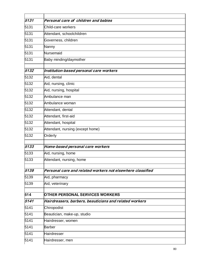| 5131 | Personal care of children and babies                       |
|------|------------------------------------------------------------|
| 5131 | Child-care workers                                         |
| 5131 | Attendant, schoolchildren                                  |
| 5131 | Governess, children                                        |
| 5131 | Nanny                                                      |
| 5131 | Nursemaid                                                  |
| 5131 | Baby minding/daymother                                     |
| 5132 | Institution-based personal care workers                    |
| 5132 | Aid, dental                                                |
| 5132 | Aid, nursing, clinic                                       |
| 5132 | Aid, nursing, hospital                                     |
| 5132 | Ambulance man                                              |
| 5132 | Ambulance woman                                            |
| 5132 | Attendant, dental                                          |
| 5132 | Attendant, first-aid                                       |
| 5132 | Attendant, hospital                                        |
| 5132 | Attendant, nursing (except home)                           |
| 5132 |                                                            |
|      | Orderly                                                    |
| 5133 | Home-based personal care workers                           |
| 5133 | Aid, nursing, home                                         |
| 5133 | Attendant, nursing, home                                   |
| 5139 | Personal care and related workers not elsewhere classified |
| 5139 | Aid, pharmacy                                              |
| 5139 | Aid, veterinary                                            |
|      |                                                            |
| 514  | <b>OTHER PERSONAL SERVICES WORKERS</b>                     |
| 5141 | Hairdressers, barbers, beauticians and related workers     |
| 5141 | Chiropodist                                                |
| 5141 | Beautician, make-up, studio                                |
| 5141 | Hairdresser, women                                         |
| 5141 | <b>Barber</b>                                              |
| 5141 | Hairdresser                                                |
| 5141 | Hairdresser, men                                           |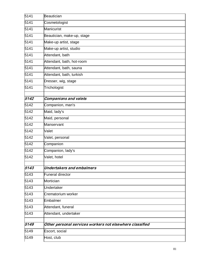| 5141 | Beautician                                               |
|------|----------------------------------------------------------|
| 5141 | Cosmetologist                                            |
| 5141 | Manicurist                                               |
| 5141 | Beautician, make-up, stage                               |
| 5141 | Make-up artist, stage                                    |
| 5141 | Make-up artist, studio                                   |
| 5141 | Attendant, bath                                          |
| 5141 | Attendant, bath, hot-room                                |
| 5141 | Attendant, bath, sauna                                   |
| 5141 | Attendant, bath, turkish                                 |
| 5141 | Dresser, wig, stage                                      |
| 5141 | Trichologist                                             |
|      |                                                          |
| 5142 | <b>Companions and valets</b>                             |
| 5142 | Companion, man's                                         |
| 5142 | Maid, lady's                                             |
| 5142 | Maid, personal                                           |
| 5142 | Manservant                                               |
| 5142 | Valet                                                    |
| 5142 | Valet, personal                                          |
| 5142 | Companion                                                |
| 5142 | Companion, lady's                                        |
| 5142 | Valet, hotel                                             |
| 5143 | <b>Undertakers and embalmers</b>                         |
| 5143 | <b>Funeral director</b>                                  |
| 5143 | Mortician                                                |
| 5143 | Undertaker                                               |
| 5143 | Crematorium worker                                       |
| 5143 | Embalmer                                                 |
| 5143 | Attendant, funeral                                       |
| 5143 | Attendant, undertaker                                    |
|      |                                                          |
| 5149 | Other personal services workers not elsewhere classified |
| 5149 | Escort, social                                           |
| 5149 | Host, club                                               |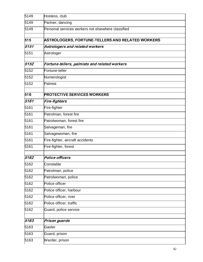| 5149 | Hostess, club                                      |
|------|----------------------------------------------------|
| 5149 | Partner, dancing                                   |
| 5149 | Personal services workers not elsewhere classified |
| 515  | ASTROLOGERS, FORTUNE-TELLERS AND RELATED WORKERS   |
| 5151 | Astrologers and related workers                    |
| 5151 | Astrologer                                         |
|      |                                                    |
| 5152 | Fortune-tellers, palmists and related workers      |
| 5152 | Fortune-teller                                     |
| 5152 | Numerologist                                       |
| 5152 | Palmist                                            |
| 516  | <b>PROTECTIVE SERVICES WORKERS</b>                 |
| 5161 | Fire-fighters                                      |
| 5161 | Fire-fighter                                       |
| 5161 | Patrolman, forest fire                             |
| 5161 | Patrolwoman, forest fire                           |
| 5161 | Salvageman, fire                                   |
| 5161 | Salvagewoman, fire                                 |
| 5161 | Fire-fighter, aircraft accidents                   |
| 5161 | Fire-fighter, forest                               |
| 5162 |                                                    |
|      | <b>Police officers</b>                             |
| 5162 | Constable                                          |
| 5162 | Patrolman, police                                  |
| 5162 | Patrolwoman, police                                |
| 5162 | Police officer                                     |
| 5162 | Police officer, harbour                            |
| 5162 | Police officer, river                              |
| 5162 | Police officer, traffic                            |
| 5162 | Guard, police service                              |
| 5163 | Prison guards                                      |
| 5163 | Gaoler                                             |
| 5163 | Guard, prison                                      |
| 5163 | Warder, prison                                     |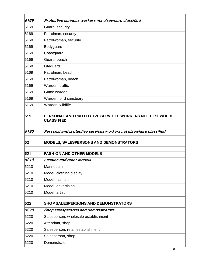| 5169 | Protective services workers not elsewhere classified                               |
|------|------------------------------------------------------------------------------------|
| 5169 | Guard, security                                                                    |
| 5169 | Patrolman, security                                                                |
| 5169 | Patrolwoman, security                                                              |
| 5169 | Bodyguard                                                                          |
| 5169 | Coastguard                                                                         |
| 5169 | Guard, beach                                                                       |
| 5169 | Lifeguard                                                                          |
| 5169 | Patrolman, beach                                                                   |
| 5169 | Patrolwoman, beach                                                                 |
| 5169 | Warden, traffic                                                                    |
| 5169 | Game warden                                                                        |
| 5169 | Warden, bird sanctuary                                                             |
| 5169 | Warden, wildlife                                                                   |
| 519  | <b>PERSONAL AND PROTECTIVE SERVICES WORKERS NOT ELSEWHERE</b><br><b>CLASSIFIED</b> |
| 5190 | Personal and protective services workers not elsewhere classified                  |
| 52   | <b>MODELS, SALESPERSONS AND DEMONSTRATORS</b>                                      |
| 521  | <b>FASHION AND OTHER MODELS</b>                                                    |
| 5210 | Fashion and other models                                                           |
| 5210 | Mannequin                                                                          |
| 5210 | Model, clothing display                                                            |
| 5210 | Model, fashion                                                                     |
| 5210 | Model, advertising                                                                 |
| 5210 | Model, artist                                                                      |
| 522  | <b>SHOP SALESPERSONS AND DEMONSTRATORS</b>                                         |
| 5220 | Shop salespersons and demonstrators                                                |
| 5220 | Salesperson, wholesale establishment                                               |
| 5220 | Attendant, shop                                                                    |
| 5220 | Salesperson, retail establishment                                                  |
| 5220 | Salesperson, shop                                                                  |
| 5220 | Demonstrator                                                                       |
|      |                                                                                    |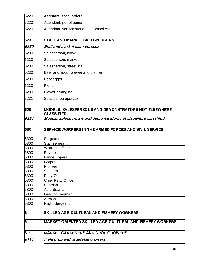| 6111         | Field crop and vegetable growers                                                                                                             |
|--------------|----------------------------------------------------------------------------------------------------------------------------------------------|
| 611          | <b>MARKET GARDENERS AND CROP GROWERS</b>                                                                                                     |
| 61           | <b>MARKET-ORIENTED SKILLED AGRICULTURAL AND FISHERY WORKERS</b>                                                                              |
| 6            | <b>SKILLED AGRICULTURAL AND FISHERY WORKERS</b>                                                                                              |
|              |                                                                                                                                              |
| 5300<br>5300 | Airman<br>Flight Sergeant                                                                                                                    |
| 5300         | eading Seaman.                                                                                                                               |
| 5300         | Able Seaman                                                                                                                                  |
| 5300         | lSeaman                                                                                                                                      |
| 5300         | <b>Chief Petty Officer</b>                                                                                                                   |
| 5300         | Petty Officer                                                                                                                                |
| 5300         | Soldiers                                                                                                                                     |
| 5300         | Pioneer                                                                                                                                      |
| 5300         | Corporal                                                                                                                                     |
| 5300         | Lance Koperal                                                                                                                                |
| 5300         | Private                                                                                                                                      |
| 5300<br>5300 | Staff sergeant<br><b>Warrant Officer</b>                                                                                                     |
| 5300         | Sergeant                                                                                                                                     |
| 530          | <b>SERVICE WORKERS IN THE ARMED FORCES AND SIVIL SERVICE</b>                                                                                 |
|              |                                                                                                                                              |
| 529<br>5291  | MODELS, SALESPERSONS AND DEMONSTRATORS NOT ELSEWHERE<br><b>CLASSIFIED</b><br>Models, salespersons and demonstrators not elsewhere classified |
|              |                                                                                                                                              |
| 5231         | Spaza shop operator                                                                                                                          |
| 5230         | Flower arranging                                                                                                                             |
| 5230         | Florist                                                                                                                                      |
| 5230         | Bootlegger                                                                                                                                   |
| 5230         | Beer and liqour brewer and distiller                                                                                                         |
| 5230         | Salesperson, street stall                                                                                                                    |
|              | Salesperson, market                                                                                                                          |
| 5230         |                                                                                                                                              |
| 5230         | Salesperson, kiosk                                                                                                                           |
| 5230         | Stall and market salespersons                                                                                                                |
| 523          | <b>STALL AND MARKET SALESPERSONS</b>                                                                                                         |
| 5220         | Attendant, service station, automobiles                                                                                                      |
| 5220         | Attendant, petrol pump                                                                                                                       |
| 5220         | Assistant, shop, orders                                                                                                                      |
|              |                                                                                                                                              |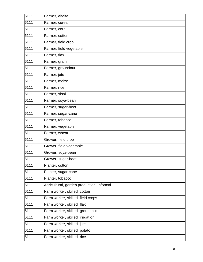| 6111 | Farmer, alfalfa                           |
|------|-------------------------------------------|
| 6111 | Farmer, cereal                            |
| 6111 | Farmer, corn                              |
| 6111 | Farmer, cotton                            |
| 6111 | Farmer, field crop                        |
| 6111 | Farmer, field vegetable                   |
| 6111 | Farmer, flax                              |
| 6111 | Farmer, grain                             |
| 6111 | Farmer, groundnut                         |
| 6111 | Farmer, jute                              |
| 6111 | Farmer, maize                             |
| 6111 | Farmer, rice                              |
| 6111 | Farmer, sisal                             |
| 6111 | Farmer, soya-bean                         |
| 6111 | Farmer, sugar-beet                        |
| 6111 | Farmer, sugar-cane                        |
| 6111 | Farmer, tobacco                           |
| 6111 | Farmer, vegetable                         |
| 6111 | Farmer, wheat                             |
| 6111 | Grower, field crop                        |
| 6111 | Grower, field vegetable                   |
| 6111 | Grower, soya-bean                         |
| 6111 | Grower, sugar-beet                        |
| 6111 | Planter, cotton                           |
| 6111 | Planter, sugar-cane                       |
| 6111 | Planter, tobacco                          |
| 6111 | Agricultural, garden production, informal |
| 6111 | Farm worker, skilled, cotton              |
| 6111 | Farm worker, skilled, field crops         |
| 6111 | Farm worker, skilled, flax                |
| 6111 | Farm worker, skilled, groundnut           |
| 6111 | Farm worker, skilled, irrigation          |
| 6111 | Farm worker, skilled, jute                |
| 6111 | Farm worker, skilled, potato              |
| 6111 | Farm worker, skilled, rice                |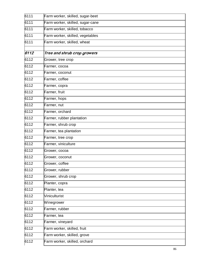| 6111 | Farm worker, skilled, sugar-beet |
|------|----------------------------------|
| 6111 | Farm worker, skilled, sugar-cane |
| 6111 | Farm worker, skilled, tobacco    |
| 6111 | Farm worker, skilled, vegetables |
| 6111 | Farm worker, skilled, wheat      |
|      |                                  |
| 6112 | Tree and shrub crop growers      |
| 6112 | Grower, tree crop                |
| 6112 | Farmer, cocoa                    |
| 6112 | Farmer, coconut                  |
| 6112 | Farmer, coffee                   |
| 6112 | Farmer, copra                    |
| 6112 | Farmer, fruit                    |
| 6112 | Farmer, hops                     |
| 6112 | Farmer, nut                      |
| 6112 | Farmer, orchard                  |
| 6112 | Farmer, rubber plantation        |
| 6112 | Farmer, shrub crop               |
| 6112 | Farmer, tea plantation           |
| 6112 | Farmer, tree crop                |
| 6112 | Farmer, viniculture              |
| 6112 | Grower, cocoa                    |
| 6112 | Grower, coconut                  |
| 6112 | Grower, coffee                   |
| 6112 | Grower, rubber                   |
| 6112 | Grower, shrub crop               |
| 6112 | Planter, copra                   |
| 6112 | Planter, tea                     |
| 6112 | Viniculturist                    |
| 6112 | Winegrower                       |
| 6112 | Farmer, rubber                   |
| 6112 | Farmer, tea                      |
| 6112 | Farmer, vineyard                 |
| 6112 | Farm worker, skilled, fruit      |
| 6112 | Farm worker, skilled, grove      |
| 6112 | Farm worker, skilled, orchard    |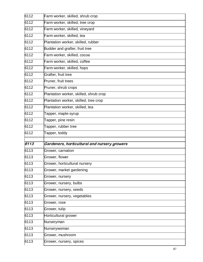| 6112 | Farm worker, skilled, shrub crop                 |
|------|--------------------------------------------------|
| 6112 | Farm worker, skilled, tree crop                  |
| 6112 | Farm worker, skilled, vineyard                   |
| 6112 | Farm worker, skilled, tea                        |
| 6112 | Plantation worker, skilled, rubber               |
| 6112 | Budder and grafter, fruit tree                   |
| 6112 | Farm worker, skilled, cocoa                      |
| 6112 | Farm worker, skilled, coffee                     |
| 6112 | Farm worker, skilled, hops                       |
| 6112 | Grafter, fruit tree                              |
| 6112 | Pruner, fruit trees                              |
| 6112 | Pruner, shrub crops                              |
| 6112 | Plantation worker, skilled, shrub crop           |
| 6112 | Plantation worker, skilled, tree crop            |
| 6112 | Plantation worker, skilled, tea                  |
| 6112 | Tapper, maple-syrup                              |
| 6112 | Tapper, pine resin                               |
| 6112 | Tapper, rubber tree                              |
| 6112 | Tapper, toddy                                    |
| 6113 | Gardeners, horticultural and nursery growers     |
| 6113 | Grower, carnation                                |
| 6113 | Grower, flower                                   |
| 6113 | Grower, horticultural nursery                    |
| 6113 | Grower, market gardening                         |
| 6113 | Grower, nursery                                  |
| 6113 |                                                  |
| 6113 | Grower, nursery, bulbs<br>Grower, nursery, seeds |
|      |                                                  |
| 6113 | Grower, nursery, vegetables                      |
| 6113 | Grower, rose                                     |
| 6113 | Grower, tulip                                    |
| 6113 | Horticultural grower                             |
| 6113 | Nurseryman                                       |
| 6113 | Nurserywoman                                     |
| 6113 | Grower, mushroom                                 |
| 6113 | Grower, nursery, spices                          |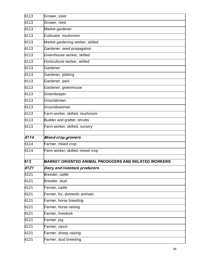| 6113 | Grower, osier                                        |
|------|------------------------------------------------------|
| 6113 | Grower, reed                                         |
| 6113 | Market gardener                                      |
| 6113 | Cultivator, mushroom                                 |
| 6113 | Market gardening worker, skilled                     |
| 6113 | Gardener, seed propagation                           |
| 6113 | Greenhouse worker, skilled                           |
| 6113 | Horticultural worker, skilled                        |
| 6113 | Gardener                                             |
| 6113 | Gardener, jobbing                                    |
| 6113 | Gardener, park                                       |
| 6113 | Gardener, greenhouse                                 |
| 6113 | Greenkeeper                                          |
| 6113 | Groundsman                                           |
| 6113 | Groundswoman                                         |
| 6113 | Farm worker, skilled, mushroom                       |
| 6113 | Budder and grafter, shrubs                           |
| 6113 | Farm worker, skilled, nursery                        |
| 6114 | <b>Mixed-crop growers</b>                            |
| 6114 | Farmer, mixed crop                                   |
| 6114 | Farm worker, skilled, mixed crop                     |
| 612  | MARKET-ORIENTED ANIMAL PRODUCERS AND RELATED WORKERS |
| 6121 | Dairy and livestock producers                        |
| 6121 | Breeder, cattle                                      |
| 6121 | Breeder, stud                                        |
| 6121 | Farmer, cattle                                       |
| 6121 | Farmer, fur, domestic animals                        |
| 6121 | Farmer, horse breeding                               |
| 6121 | Farmer, horse raising                                |
| 6121 | Farmer, livestock                                    |
| 6121 | Farmer, pig                                          |
| 6121 | Farmer, ranch                                        |
| 6121 | Farmer, sheep raising                                |
| 6121 | Farmer, stud breeding                                |
|      |                                                      |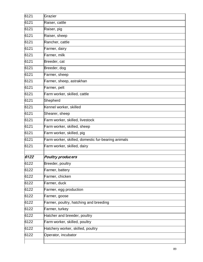| 6121 | Grazier                                            |
|------|----------------------------------------------------|
| 6121 | Raiser, cattle                                     |
| 6121 | Raiser, pig                                        |
| 6121 | Raiser, sheep                                      |
| 6121 | Rancher, cattle                                    |
| 6121 | Farmer, dairy                                      |
| 6121 | Farmer, milk                                       |
| 6121 | Breeder, cat                                       |
| 6121 | Breeder, dog                                       |
| 6121 | Farmer, sheep                                      |
| 6121 | Farmer, sheep, astrakhan                           |
| 6121 | Farmer, pelt                                       |
| 6121 | Farm worker, skilled, cattle                       |
| 6121 | Shepherd                                           |
| 6121 | Kennel worker, skilled                             |
| 6121 | Shearer, sheep                                     |
| 6121 | Farm worker, skilled, livestock                    |
| 6121 | Farm worker, skilled, sheep                        |
| 6121 | Farm worker, skilled, pig                          |
| 6121 | Farm worker, skilled, domestic fur-bearing animals |
| 6121 | Farm worker, skilled, dairy                        |
| 6122 | <b>Poultry producers</b>                           |
| 6122 | Breeder, poultry                                   |
| 6122 | Farmer, battery                                    |
| 6122 | Farmer, chicken                                    |
| 6122 | Farmer, duck                                       |
| 6122 | Farmer, egg production                             |
| 6122 | Farmer, goose                                      |
| 6122 | Farmer, poultry, hatching and breeding             |
| 6122 | Farmer, turkey                                     |
| 6122 | Hatcher and breeder, poultry                       |
| 6122 | Farm worker, skilled, poultry                      |
| 6122 |                                                    |
| 6122 | Hatchery worker, skilled, poultry                  |
|      | Operator, incubator                                |
|      |                                                    |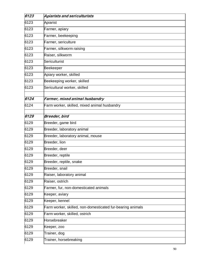| 6123 | Apiarists and sericulturists                               |
|------|------------------------------------------------------------|
| 6123 | Apiarist                                                   |
| 6123 | Farmer, apiary                                             |
| 6123 | Farmer, beekeeping                                         |
| 6123 | Farmer, sericulture                                        |
| 6123 | Farmer, silkworm raising                                   |
| 6123 | Raiser, silkworm                                           |
| 6123 | Sericulturist                                              |
| 6123 | Beekeeper                                                  |
| 6123 | Apiary worker, skilled                                     |
| 6123 | Beekeeping worker, skilled                                 |
| 6123 | Sericultural worker, skilled                               |
| 6124 | Farmer, mixed animal husbandry                             |
| 6124 | Farm worker, skilled, mixed animal husbandry               |
|      |                                                            |
| 6129 | Breeder, bird                                              |
| 6129 | Breeder, game bird                                         |
| 6129 | Breeder, laboratory animal                                 |
| 6129 | Breeder, laboratory animal, mouse                          |
| 6129 | Breeder, lion                                              |
| 6129 | Breeder, deer                                              |
| 6129 | Breeder, reptile                                           |
| 6129 | Breeder, reptile, snake                                    |
| 6129 | Breeder, snail                                             |
| 6129 | Raiser, laboratory animal                                  |
| 6129 | Raiser, ostrich                                            |
| 6129 | Farmer, fur, non-domesticated animals                      |
| 6129 | Keeper, aviary                                             |
| 6129 | Keeper, kennel                                             |
| 6129 | Farm worker, skilled, non-domesticated fur-bearing animals |
| 6129 | Farm worker, skilled, ostrich                              |
| 6129 | Horsebreaker                                               |
| 6129 | Keeper, zoo                                                |
| 6129 | Trainer, dog                                               |
| 6129 | Trainer, horsebreaking                                     |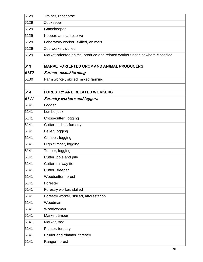| 6129 | Trainer, racehorse                                                          |
|------|-----------------------------------------------------------------------------|
| 6129 | Zookeeper                                                                   |
| 6129 | Gamekeeper                                                                  |
| 6129 | Keeper, animal reserve                                                      |
| 6129 | Laboratory worker, skilled, animals                                         |
| 6129 | Zoo worker, skilled                                                         |
| 6129 | Market-oriented animal produce and related workers not elsewhere classified |
| 613  | <b>MARKET-ORIENTED CROP AND ANIMAL PRODUCERS</b>                            |
| 6130 | Farmer, mixed farming                                                       |
| 6130 | Farm worker, skilled, mixed farming                                         |
|      |                                                                             |
| 614  | <b>FORESTRY AND RELATED WORKERS</b>                                         |
| 6141 | <b>Forestry workers and loggers</b>                                         |
| 6141 | Logger                                                                      |
| 6141 | Lumberjack                                                                  |
| 6141 | Cross-cutter, logging                                                       |
| 6141 | Cutter, timber, forestry                                                    |
| 6141 | Feller, logging                                                             |
| 6141 | Climber, logging                                                            |
| 6141 | High climber, logging                                                       |
| 6141 | Topper, logging                                                             |
| 6141 | Cutter, pole and pile                                                       |
| 6141 | Cutter, railway tie                                                         |
| 6141 | Cutter, sleeper                                                             |
| 6141 | Woodcutter, forest                                                          |
| 6141 | Forester                                                                    |
| 6141 | Forestry worker, skilled                                                    |
| 6141 | Forestry worker, skilled, afforestation                                     |
| 6141 | Woodman                                                                     |
| 6141 | Woodwoman                                                                   |
| 6141 | Marker, timber                                                              |
| 6141 | Marker, tree                                                                |
| 6141 | Planter, forestry                                                           |
| 6141 | Pruner and trimmer, forestry                                                |
| 6141 | Ranger, forest                                                              |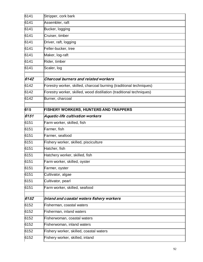| 6141 | Stripper, cork bark                                                  |
|------|----------------------------------------------------------------------|
| 6141 | Assembler, raft                                                      |
| 6141 | Bucker, logging                                                      |
| 6141 | Cruiser, timber                                                      |
| 6141 | Driver, raft, logging                                                |
| 6141 | Feller-bucker, tree                                                  |
| 6141 | Maker, log-raft                                                      |
| 6141 | Rider, timber                                                        |
| 6141 | Scaler, log                                                          |
| 6142 | Charcoal burners and related workers                                 |
| 6142 | Forestry worker, skilled, charcoal burning (traditional techniques)  |
| 6142 | Forestry worker, skilled, wood distillation (traditional techniques) |
| 6142 | Burner, charcoal                                                     |
| 615  | <b>FISHERY WORKERS, HUNTERS AND TRAPPERS</b>                         |
| 6151 | Aquatic-life cultivation workers                                     |
| 6151 | Farm worker, skilled, fish                                           |
| 6151 | Farmer, fish                                                         |
| 6151 | Farmer, seafood                                                      |
| 6151 | Fishery worker, skilled, pisciculture                                |
| 6151 | Hatcher, fish                                                        |
| 6151 | Hatchery worker, skilled, fish                                       |
| 6151 | Farm worker, skilled, oyster                                         |
| 6151 | Farmer, oyster                                                       |
| 6151 | Cultivator, algae                                                    |
| 6151 | Cultivator, pearl                                                    |
| 6151 | Farm worker, skilled, seafood                                        |
| 6152 | Inland and coastal waters fishery workers                            |
| 6152 | Fisherman, coastal waters                                            |
| 6152 | Fisherman, inland waters                                             |
| 6152 | Fisherwoman, coastal waters                                          |
| 6152 | Fisherwoman, inland waters                                           |
| 6152 | Fishery worker, skilled, coastal waters                              |
| 6152 | Fishery worker, skilled, inland                                      |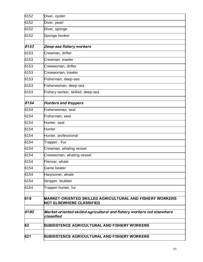| 6152 | Diver, oyster                                                                                      |
|------|----------------------------------------------------------------------------------------------------|
| 6152 | Diver, pearl                                                                                       |
| 6152 | Diver, sponge                                                                                      |
| 6152 | Sponge hooker                                                                                      |
| 6153 | Deep-sea fishery workers                                                                           |
| 6153 | Crewman, drifter                                                                                   |
| 6153 | Crewman, trawler                                                                                   |
| 6153 | Crewwoman, drifter                                                                                 |
| 6153 | Crewwoman, trawler                                                                                 |
| 6153 | Fisherman, deep-sea                                                                                |
| 6153 | Fisherwoman, deep-sea                                                                              |
| 6153 | Fishery worker, skilled, deep-sea                                                                  |
| 6154 | <b>Hunters and trappers</b>                                                                        |
| 6154 | Fisherwoman, seal                                                                                  |
| 6154 | Fisherman, seal                                                                                    |
| 6154 | Hunter, seal                                                                                       |
| 6154 | <b>Hunter</b>                                                                                      |
| 6154 | Hunter, professional                                                                               |
| 6154 | Trapper - Fur                                                                                      |
| 6154 | Crewman, whaling vessel                                                                            |
| 6154 | Crewwoman, whaling vessel                                                                          |
| 6154 | Flenser, whale                                                                                     |
| 6154 | Game beater                                                                                        |
| 6154 | Harpooner, whale                                                                                   |
| 6154 | Stripper, blubber                                                                                  |
| 6154 | Trapper-hunter, fur                                                                                |
| 619  | <b>MARKET-ORIENTED SKILLED AGRICULTURAL AND FISHERY WORKERS</b><br><b>NOT ELSEWHERE CLASSIFIED</b> |
| 6190 | Market-oriented skilled agricultural and fishery workers not elsewhere<br>classified               |
| 62   | <b>SUBSISTENCE AGRICULTURAL AND FISHERY WORKERS</b>                                                |
| 621  | <b>SUBSISTENCE AGRICULTURAL AND FISHERY WORKERS</b>                                                |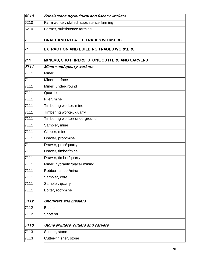| 6210 | Subsistence agricultural and fishery workers         |
|------|------------------------------------------------------|
| 6210 | Farm worker, skilled, subsistence farming            |
| 6210 | Farmer, subsistence farming                          |
|      |                                                      |
| 7    | <b>CRAFT AND RELATED TRADES WORKERS</b>              |
| 71   | <b>EXTRACTION AND BUILDING TRADES WORKERS</b>        |
| 711  | <b>MINERS, SHOTFIRERS, STONE CUTTERS AND CARVERS</b> |
| 7111 | Miners and quarry workers                            |
| 7111 | <b>Miner</b>                                         |
| 7111 | Miner, surface                                       |
| 7111 | Miner, underground                                   |
| 7111 | Quarrier                                             |
| 7111 | Piler, mine                                          |
| 7111 | Timbering worker, mine                               |
| 7111 | Timbering worker, quarry                             |
| 7111 | Timbering worker/ underground                        |
| 7111 | Sampler, mine                                        |
| 7111 | Clipper, mine                                        |
| 7111 | Drawer, prop/mine                                    |
| 7111 | Drawer, prop/quarry                                  |
| 7111 | Drawer, timber/mine                                  |
| 7111 | Drawer, timber/quarry                                |
| 7111 | Miner, hydraulic/placer mining                       |
| 7111 | Robber, timber/mine                                  |
| 7111 | Sampler, core                                        |
| 7111 | Sampler, quarry                                      |
| 7111 | Bolter, roof-mine                                    |
| 7112 | <b>Shotfirers and blasters</b>                       |
| 7112 | <b>Blaster</b>                                       |
| 7112 | Shotfirer                                            |
|      |                                                      |
| 7113 | Stone splitters, cutters and carvers                 |
| 7113 | Splitter, stone                                      |
| 7113 | Cutter-finisher, stone                               |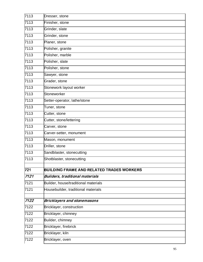| 7113<br>Dresser, stone                                  |  |
|---------------------------------------------------------|--|
| 7113<br>Finisher, stone                                 |  |
| 7113<br>Grinder, slate                                  |  |
| 7113<br>Grinder, stone                                  |  |
| 7113<br>Planer, stone                                   |  |
| 7113<br>Polisher, granite                               |  |
| 7113<br>Polisher, marble                                |  |
| 7113<br>Polisher, slate                                 |  |
| 7113<br>Polisher, stone                                 |  |
| 7113<br>Sawyer, stone                                   |  |
| 7113<br>Grader, stone                                   |  |
| 7113<br>Stonework layout worker                         |  |
| 7113<br>Stoneworker                                     |  |
| 7113<br>Setter-operator, lathe/stone                    |  |
| 7113<br>Tuner, stone                                    |  |
| 7113<br>Cutter, stone                                   |  |
| 7113<br>Cutter, stone/lettering                         |  |
| 7113<br>Carver, stone                                   |  |
| 7113<br>Carver-setter, monument                         |  |
| 7113<br>Mason, monument                                 |  |
| 7113<br>Driller, stone                                  |  |
| 7113<br>Sandblaster, stonecutting                       |  |
| 7113<br>Shotblaster, stonecutting                       |  |
| 721<br><b>BUILDING FRAME AND RELATED TRADES WORKERS</b> |  |
| 7121<br><b>Builders, traditional materials</b>          |  |
| 7121<br>Builder, house/traditional materials            |  |
| 7121<br>Housebuilder, traditional materials             |  |
| 7122<br><b>Bricklayers and stonemasons</b>              |  |
| 7122<br>Bricklayer, construction                        |  |
| 7122<br>Bricklayer, chimney                             |  |
| Builder, chimney<br>7122                                |  |
| Bricklayer, firebrick<br>7122                           |  |
| Bricklayer, kiln<br>7122                                |  |
| Bricklayer, oven<br>7122                                |  |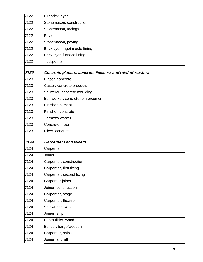| 7122 | Firebrick layer                                          |
|------|----------------------------------------------------------|
| 7122 | Stonemason, construction                                 |
| 7122 | Stonemason, facings                                      |
| 7122 | Paviour                                                  |
| 7122 | Stonemason, paving                                       |
| 7122 | Bricklayer, ingot mould lining                           |
| 7122 | Bricklayer, furnace lining                               |
| 7122 | Tuckpointer                                              |
|      |                                                          |
| 7123 | Concrete placers, concrete finishers and related workers |
| 7123 | Placer, concrete                                         |
| 7123 | Caster, concrete products                                |
| 7123 | Shutterer, concrete moulding                             |
| 7123 | Iron worker, concrete reinforcement                      |
| 7123 | Finisher, cement                                         |
| 7123 | Finisher, concrete                                       |
| 7123 | Terrazzo worker                                          |
| 7123 | Concrete mixer                                           |
| 7123 | Mixer, concrete                                          |
|      |                                                          |
|      |                                                          |
| 7124 | <b>Carpenters and joiners</b>                            |
| 7124 | Carpenter                                                |
| 7124 | Joiner                                                   |
| 7124 | Carpenter, construction                                  |
| 7124 | Carpenter, first fixing                                  |
| 7124 | Carpenter, second fixing                                 |
| 7124 | Carpenter-joiner                                         |
| 7124 | Joiner, construction                                     |
| 7124 | Carpenter, stage                                         |
| 7124 | Carpenter, theatre                                       |
| 7124 | Shipwright, wood                                         |
| 7124 | Joiner, ship                                             |
| 7124 | Boatbuilder, wood                                        |
| 7124 | Builder, barge/wooden                                    |
| 7124 | Carpenter, ship's                                        |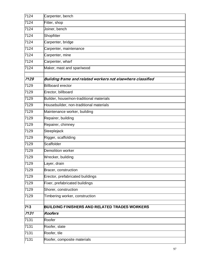| 7124 | Carpenter, bench                                            |
|------|-------------------------------------------------------------|
| 7124 | Fitter, shop                                                |
| 7124 | Joiner, bench                                               |
| 7124 | Shopfitter                                                  |
| 7124 | Carpenter, bridge                                           |
| 7124 | Carpenter, maintenance                                      |
| 7124 | Carpenter, mine                                             |
| 7124 | Carpenter, wharf                                            |
| 7124 | Maker, mast and spar/wood                                   |
| 7129 | Building frame and related workers not elsewhere classified |
| 7129 | <b>Billboard erector</b>                                    |
| 7129 | Erector, billboard                                          |
| 7129 | Builder, house/non-traditional materials                    |
| 7129 | Housebuilder, non-traditional materials                     |
| 7129 | Maintenance worker, building                                |
| 7129 | Repairer, building                                          |
| 7129 | Repairer, chimney                                           |
| 7129 | Steeplejack                                                 |
| 7129 | Rigger, scaffolding                                         |
| 7129 | Scaffolder                                                  |
| 7129 | Demolition worker                                           |
| 7129 | Wrecker, building                                           |
| 7129 | Layer, drain                                                |
| 7129 | Bracer, construction                                        |
| 7129 | Erector, prefabricated buildings                            |
| 7129 | Fixer, prefabricated buildings                              |
| 7129 | Shorer, construction                                        |
| 7129 | Timbering worker, construction                              |
| 713  | <b>BUILDING FINISHERS AND RELATED TRADES WORKERS</b>        |
| 7131 | Roofers                                                     |
| 7131 | Roofer                                                      |
| 7131 | Roofer, slate                                               |
| 7131 | Roofer, tile                                                |
| 7131 | Roofer, composite materials                                 |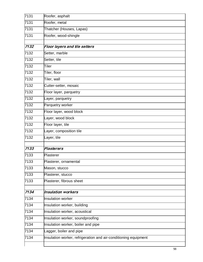| 7131 | Roofer, asphalt                                                 |
|------|-----------------------------------------------------------------|
| 7131 | Roofer, metal                                                   |
| 7131 | Thatcher (Houses, Lapas)                                        |
| 7131 | Roofer, wood-shingle                                            |
|      |                                                                 |
| 7132 | Floor layers and tile setters                                   |
| 7132 | Setter, marble                                                  |
| 7132 | Setter, tile                                                    |
| 7132 | Tiler                                                           |
| 7132 | Tiler, floor                                                    |
| 7132 | Tiler, wall                                                     |
| 7132 | Cutter-setter, mosaic                                           |
| 7132 | Floor layer, parquetry                                          |
| 7132 | Layer, parquetry                                                |
| 7132 | Parquetry worker                                                |
| 7132 | Floor layer, wood block                                         |
| 7132 | Layer, wood block                                               |
| 7132 | Floor layer, tile                                               |
| 7132 | Layer, composition tile                                         |
| 7132 | Layer, tile                                                     |
| 7133 | <b>Plasterers</b>                                               |
| 7133 | Plasterer                                                       |
| 7133 |                                                                 |
|      | Plasterer, ornamental                                           |
| 7133 | Mason, stucco                                                   |
| 7133 | Plasterer, stucco                                               |
| 7133 | Plasterer, fibrous sheet                                        |
| 7134 | <b>Insulation workers</b>                                       |
| 7134 | Insulation worker                                               |
| 7134 | Insulation worker, building                                     |
| 7134 | Insulation worker, acoustical                                   |
| 7134 | Insulation worker, soundproofing                                |
| 7134 | Insulation worker, boiler and pipe                              |
| 7134 | Lagger, boiler and pipe                                         |
| 7134 | Insulation worker, refrigeration and air-conditioning equipment |
|      |                                                                 |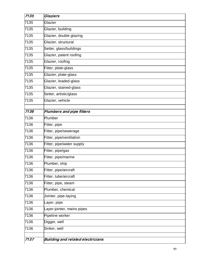| 7135 | Glaziers                                 |
|------|------------------------------------------|
| 7135 | Glazier                                  |
| 7135 | Glazier, building                        |
| 7135 | Glazier, double glazing                  |
| 7135 | Glazier, structural                      |
| 7135 | Setter, glass/buildings                  |
| 7135 | Glazier, patent roofing                  |
| 7135 | Glazier, roofing                         |
| 7135 | Fitter, plate-glass                      |
| 7135 | Glazier, plate-glass                     |
| 7135 | Glazier, leaded-glass                    |
| 7135 | Glazier, stained-glass                   |
| 7135 | Setter, artistic/glass                   |
| 7135 | Glazier, vehicle                         |
|      |                                          |
| 7136 | Plumbers and pipe fitters                |
| 7136 | Plumber                                  |
| 7136 | Fitter, pipe                             |
| 7136 | Fitter, pipe/sewerage                    |
| 7136 | Fitter, pipe/ventilation                 |
| 7136 | Fitter, pipe/water supply                |
| 7136 | Fitter, pipe/gas                         |
| 7136 | Fitter, pipe/marine                      |
| 7136 | Plumber, ship                            |
| 7136 | Fitter, pipe/aircraft                    |
| 7136 | Fitter, tube/aircraft                    |
| 7136 | Fitter, pipe, steam                      |
| 7136 | Plumber, chemical                        |
| 7136 | Jointer, pipe-laying                     |
| 7136 | Layer, pipe                              |
| 7136 | Layer-jointer, mains pipes               |
| 7136 | Pipeline worker                          |
| 7136 | Digger, well                             |
| 7136 | Sinker, well                             |
|      |                                          |
| 7137 | <b>Building and related electricians</b> |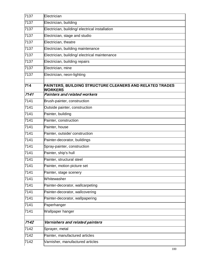| 7137 | Electrician                                                                |
|------|----------------------------------------------------------------------------|
| 7137 | Electrician, building                                                      |
| 7137 | Electrician, building/ electrical installation                             |
| 7137 | Electrician, stage and studio                                              |
| 7137 | Electrician, theatre                                                       |
| 7137 | Electrician, building maintenance                                          |
| 7137 | Electrician, building/ electrical maintenance                              |
| 7137 | Electrician, building repairs                                              |
| 7137 | Electrician, mine                                                          |
| 7137 | Electrician, neon-lighting                                                 |
| 714  | PAINTERS, BUILDING STRUCTURE CLEANERS AND RELATED TRADES<br><b>WORKERS</b> |
| 7141 | Painters and related workers                                               |
| 7141 | Brush-painter, construction                                                |
| 7141 | Outside painter, construction                                              |
| 7141 | Painter, building                                                          |
| 7141 | Painter, construction                                                      |
| 7141 | Painter, house                                                             |
| 7141 | Painter, outside/ construction                                             |
| 7141 | Painter-decorator, buildings                                               |
| 7141 | Spray-painter, construction                                                |
| 7141 | Painter, ship's hull                                                       |
| 7141 | Painter, structural steel                                                  |
| 7141 | Painter, motion picture set                                                |
| 7141 | Painter, stage scenery                                                     |
| 7141 | Whitewasher                                                                |
| 7141 | Painter-decorator, wallcarpeting                                           |
| 7141 | Painter-decorator, wallcovering                                            |
| 7141 | Painter-decorator, wallpapering                                            |
| 7141 | Paperhanger                                                                |
| 7141 | Wallpaper hanger                                                           |
| 7142 | Varnishers and related painters                                            |
| 7142 | Sprayer, metal                                                             |
| 7142 | Painter, manufactured articles                                             |
| 7142 | Varnisher, manufactured articles                                           |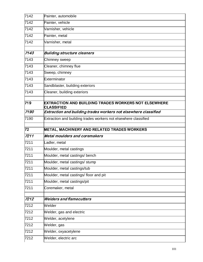| 7142 | Painter, automobile                                             |
|------|-----------------------------------------------------------------|
| 7142 | Painter, vehicle                                                |
| 7142 | Varnisher, vehicle                                              |
| 7142 | Painter, metal                                                  |
| 7142 | Varnisher, metal                                                |
|      |                                                                 |
| 7143 | <b>Building structure cleaners</b>                              |
| 7143 | Chimney sweep                                                   |
| 7143 | Cleaner, chimney flue                                           |
| 7143 | Sweep, chimney                                                  |
| 7143 | Exterminator                                                    |
| 7143 | Sandblaster, building exteriors                                 |
| 7143 | Cleaner, building exteriors                                     |
| 719  | EXTRACTION AND BUILDING TRADES WORKERS NOT ELSEWHERE            |
|      | <b>CLASSIFIED</b>                                               |
| 7190 | Extraction and building trades workers not elsewhere classified |
| 7190 | Extraction and building trades workers not elsewhere classified |
| 72   | <b>METAL, MACHINERY AND RELATED TRADES WORKERS</b>              |
|      |                                                                 |
| 7211 | Metal moulders and coremakers                                   |
| 7211 | Ladler, metal                                                   |
| 7211 | Moulder, metal castings                                         |
| 7211 | Moulder, metal castings/ bench                                  |
| 7211 | Moulder, metal castings/ stump                                  |
| 7211 | Moulder, metal castings/tub                                     |
| 7211 | Moulder, metal castings/ floor and pit                          |
| 7211 | Moulder, metal castings/pit                                     |
| 7211 | Coremaker, metal                                                |
| 7212 | <b>Welders and flamecutters</b>                                 |
| 7212 | Welder                                                          |
| 7212 | Welder, gas and electric                                        |
| 7212 | Welder, acetylene                                               |
| 7212 | Welder, gas                                                     |
| 7212 | Welder, oxyacetylene                                            |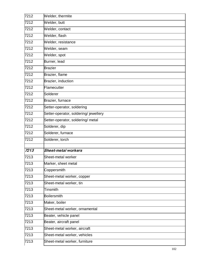| 7212 | Welder, thermite                     |
|------|--------------------------------------|
| 7212 | Welder, butt                         |
| 7212 | Welder, contact                      |
| 7212 | Welder, flash                        |
| 7212 | Welder, resistance                   |
| 7212 | Welder, seam                         |
| 7212 | Welder, spot                         |
| 7212 | Burner, lead                         |
| 7212 | <b>Brazier</b>                       |
| 7212 | Brazier, flame                       |
| 7212 | Brazier, induction                   |
| 7212 | Flamecutter                          |
| 7212 | Solderer                             |
| 7212 | Brazier, furnace                     |
| 7212 | Setter-operator, soldering           |
| 7212 | Setter-operator, soldering/jewellery |
| 7212 | Setter-operator, soldering/ metal    |
| 7212 | Solderer, dip                        |
| 7212 | Solderer, furnace                    |
| 7212 | Solderer, torch                      |
|      |                                      |
| 7213 | <b>Sheet-metal workers</b>           |
| 7213 | Sheet-metal worker                   |
| 7213 | Marker, sheet metal                  |
| 7213 | Coppersmith                          |
| 7213 | Sheet-metal worker, copper           |
| 7213 | Sheet-metal worker, tin              |
| 7213 | Tinsmith                             |
| 7213 | <b>Boilersmith</b>                   |
| 7213 | Maker, boiler                        |
| 7213 | Sheet-metal worker, ornamental       |
| 7213 | Beater, vehicle panel                |
| 7213 | Beater, aircraft panel               |
| 7213 | Sheet-metal worker, aircraft         |
| 7213 | Sheet-metal worker, vehicles         |
| 7213 | Sheet-metal worker, furniture        |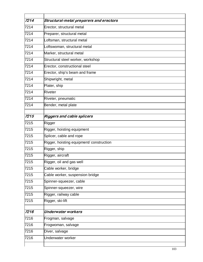| 7214 | Structural-metal preparers and erectors  |
|------|------------------------------------------|
| 7214 | Erector, structural metal                |
| 7214 | Preparer, structural metal               |
| 7214 | Loftsman, structural metal               |
| 7214 | Loftswoman, structural metal             |
| 7214 | Marker, structural metal                 |
| 7214 | Structural steel worker, workshop        |
| 7214 | Erector, constructional steel            |
| 7214 | Erector, ship's beam and frame           |
| 7214 | Shipwright, metal                        |
| 7214 | Plater, ship                             |
| 7214 | <b>Riveter</b>                           |
| 7214 | Riveter, pneumatic                       |
| 7214 | Bender, metal plate                      |
| 7215 | <b>Riggers and cable splicers</b>        |
| 7215 | Rigger                                   |
| 7215 | Rigger, hoisting equipment               |
| 7215 | Splicer, cable and rope                  |
| 7215 | Rigger, hoisting equipment/ construction |
| 7215 | Rigger, ship                             |
| 7215 | Rigger, aircraft                         |
| 7215 | Rigger, oil and gas well                 |
| 7215 | Cable worker, bridge                     |
| 7215 | Cable worker, suspension bridge          |
| 7215 | Spinner-squeezer, cable                  |
| 7215 | Spinner-squeezer, wire                   |
| 7215 | Rigger, railway cable                    |
| 7215 | Rigger, ski-lift                         |
| 7216 | <b>Underwater workers</b>                |
| 7216 | Frogman, salvage                         |
| 7216 | Frogwoman, salvage                       |
| 7216 | Diver, salvage                           |
| 7216 | Underwater worker                        |
|      |                                          |
|      |                                          |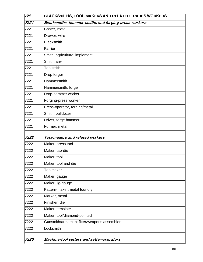| 722  | BLACKSMITHS, TOOL-MAKERS AND RELATED TRADES WORKERS  |
|------|------------------------------------------------------|
| 7221 | Blacksmiths, hammer-smiths and forging-press workers |
| 7221 | Caster, metal                                        |
| 7221 | Drawer, wire                                         |
| 7221 | Blacksmith                                           |
| 7221 | Farrier                                              |
| 7221 | Smith, agricultural implement                        |
| 7221 | Smith, anvil                                         |
| 7221 | Toolsmith                                            |
| 7221 | Drop forger                                          |
| 7221 | Hammersmith                                          |
| 7221 | Hammersmith, forge                                   |
| 7221 | Drop-hammer worker                                   |
| 7221 | Forging-press worker                                 |
| 7221 | Press-operator, forging/metal                        |
| 7221 | Smith, bulldozer                                     |
| 7221 | Driver, forge hammer                                 |
| 7221 | Former, metal                                        |
|      |                                                      |
| 7222 | Tool-makers and related workers                      |
| 7222 | Maker, press tool                                    |
| 7222 | Maker, tap-die                                       |
| 7222 | Maker, tool                                          |
| 7222 | Maker, tool and die                                  |
| 7222 | Toolmaker                                            |
| 7222 | Maker, gauge                                         |
| 7222 | Maker, jig-gauge                                     |
| 7222 | Pattern-maker, metal foundry                         |
| 7222 | Marker, metal                                        |
| 7222 | Finisher, die                                        |
| 7222 | Maker, template                                      |
| 7222 | Maker, tool/diamond-pointed                          |
| 7222 | Gunsmith/armament fitter/weapons assembler           |
| 7222 | Locksmith                                            |
|      |                                                      |
| 7223 | Machine-tool setters and setter-operators            |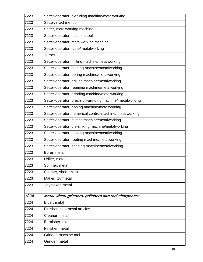| 7223 | Setter-operator, extruding machine/metalworking           |
|------|-----------------------------------------------------------|
| 7223 | Setter, machine tool                                      |
| 7223 | Setter, metalworking machine                              |
| 7223 | Setter-operator, machine tool                             |
| 7223 | Setter-operator, metalworking machine                     |
| 7223 | Setter-operator, lathe/ metalworking                      |
| 7223 | Turner                                                    |
| 7223 | Setter-operator, milling machine/metalworking             |
| 7223 | Setter-operator, planing machine/metalworking             |
| 7223 | Setter-operator, boring machine/metalworking              |
| 7223 | Setter-operator, drilling machine/metalworking            |
| 7223 | Setter-operator, reaming machine/metalworking             |
| 7223 | Setter-operator, grinding machine/metalworking            |
| 7223 | Setter-operator, precision-grinding machine/ metalworking |
| 7223 | Setter-operator, honing machine/metalworking              |
| 7223 | Setter-operator, numerical control machine/ metalworking  |
| 7223 | Setter-operator, cutting machine/metalworking             |
| 7223 | Setter-operator, die-sinking machine/metalworking         |
| 7223 | Setter-operator, lapping machine/metalworking             |
| 7223 | Setter-operator, routing machine/metalworking             |
| 7223 | Setter-operator, shaping machine/metalworking             |
| 7223 | Borer, metal                                              |
| 7223 | Driller, metal                                            |
| 7223 | Spinner, metal                                            |
| 7223 | Spinner, sheet-metal                                      |
| 7223 | Maker, toy/metal                                          |
| 7223 | Toymaker, metal                                           |
| 7224 | Metal wheel-grinders, polishers and tool sharpeners       |
| 7224 | Bluer, metal                                              |
| 7224 | Finisher, cast-metal articles                             |
| 7224 | Cleaner, metal                                            |
| 7224 | Burnisher, metal                                          |
| 7224 | Finisher, metal                                           |
| 7224 | Grinder, machine tool                                     |
| 7224 | Grinder, metal                                            |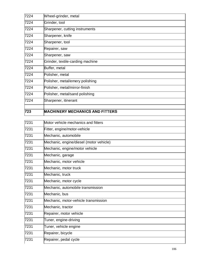| 723  | <b>MACHINERY MECHANICS AND FITTERS</b> |
|------|----------------------------------------|
|      |                                        |
| 7224 | Sharpener, itinerant                   |
| 7224 | Polisher, metal/sand polishing         |
| 7224 | Polisher, metal/mirror-finish          |
| 7224 | Polisher, metal/emery polishing        |
| 7224 | Polisher, metal                        |
| 7224 | Buffer, metal                          |
| 7224 | Grinder, textile-carding machine       |
| 7224 | Sharpener, saw                         |
| 7224 | Repairer, saw                          |
| 7224 | Sharpener, tool                        |
| 7224 | Sharpener, knife                       |
| 7224 | Sharpener, cutting instruments         |
| 7224 | Grinder, tool                          |
| 7224 | Wheel-grinder, metal                   |
|      |                                        |

| 7231 | Motor vehicle mechanics and fitters     |
|------|-----------------------------------------|
| 7231 | Fitter, engine/motor-vehicle            |
| 7231 | Mechanic, automobile                    |
| 7231 | Mechanic, engine/diesel (motor vehicle) |
| 7231 | Mechanic, engine/motor vehicle          |
| 7231 | Mechanic, garage                        |
| 7231 | Mechanic, motor vehicle                 |
| 7231 | Mechanic, motor truck                   |
| 7231 | Mechanic, truck                         |
| 7231 | Mechanic, motor cycle                   |
| 7231 | Mechanic, automobile transmission       |
| 7231 | Mechanic, bus                           |
| 7231 | Mechanic, motor-vehicle transmission    |
| 7231 | Mechanic, tractor                       |
| 7231 | Repairer, motor vehicle                 |
| 7231 | Tuner, engine-driving                   |
| 7231 | Tuner, vehicle engine                   |
| 7231 | Repairer, bicycle                       |
| 7231 | Repairer, pedal cycle                   |
|      |                                         |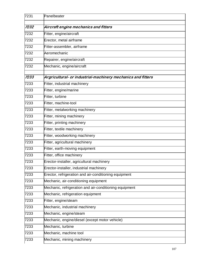| 7231 | Panelbeater                                                  |
|------|--------------------------------------------------------------|
| 7232 | Aircraft engine mechanics and fitters                        |
|      |                                                              |
| 7232 | Fitter, engine/aircraft                                      |
| 7232 | Erector, metal airframe                                      |
| 7232 | Fitter-assembler, airframe                                   |
| 7232 | Aeromechanic                                                 |
| 7232 | Repairer, engine/aircraft                                    |
| 7232 | Mechanic, engine/aircraft                                    |
| 7233 | Argricultural- or industrial-machinery mechanics and fitters |
| 7233 | Fitter, industrial machinery                                 |
| 7233 | Fitter, engine/marine                                        |
| 7233 | Fitter, turbine                                              |
| 7233 | Fitter, machine-tool                                         |
| 7233 | Fitter, metalworking machinery                               |
| 7233 | Fitter, mining machinery                                     |
| 7233 | Fitter, printing machinery                                   |
| 7233 | Fitter, textile machinery                                    |
| 7233 | Fitter, woodworking machinery                                |
| 7233 | Fitter, agricultural machinery                               |
| 7233 | Fitter, earth-moving equipment                               |
| 7233 | Fitter, office machinery                                     |
| 7233 | Erector-installer, agricultural machinery                    |
| 7233 | Erector-installer, industrial machinery                      |
| 7233 | Erector, refrigeration and air-conditioning equipment        |
| 7233 | Mechanic, air-conditioning equipment                         |
| 7233 | Mechanic, refrigeration and air-conditioning equipment       |
| 7233 | Mechanic, refrigeration equipment                            |
| 7233 | Fitter, engine/steam                                         |
| 7233 | Mechanic, industrial machinery                               |
| 7233 | Mechanic, engine/steam                                       |
| 7233 | Mechanic, engine/diesel (except motor vehicle)               |
| 7233 | Mechanic, turbine                                            |
| 7233 | Mechanic, machine tool                                       |
| 7233 | Mechanic, mining machinery                                   |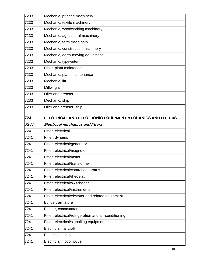| 7233 | Mechanic, printing machinery                                     |
|------|------------------------------------------------------------------|
| 7233 | Mechanic, textile machinery                                      |
| 7233 | Mechanic, woodworking machinery                                  |
| 7233 | Mechanic, agricultural machinery                                 |
| 7233 | Mechanic, farm machinery                                         |
| 7233 | Mechanic, construction machinery                                 |
| 7233 | Mechanic, earth-moving equipment                                 |
| 7233 | Mechanic, typewriter                                             |
| 7233 | Fitter, plant maintenance                                        |
| 7233 | Mechanic, plant maintenance                                      |
| 7233 | Mechanic, lift                                                   |
| 7233 | Millwright                                                       |
| 7233 | Oiler and greaser                                                |
| 7233 | Mechanic, ship                                                   |
| 7233 | Oiler and greaser, ship                                          |
| 724  | <b>ELECTRICAL AND ELECTRONIC EQUIPMENT MECHANICS AND FITTERS</b> |
| 7241 | <b>Electrical mechanics and fitters</b>                          |
| 7241 | Fitter, electrical                                               |
| 7241 | Fitter, dynamo                                                   |
| 7241 | Fitter, electrical/generator                                     |
| 7241 | Fitter, electrical/magneto                                       |
| 7241 | Fitter, electrical/motor                                         |
| 7241 | Fitter, electrical/transformer                                   |
| 7241 | Fitter, electrical/control apparatus                             |
| 7241 | Fitter, electrical/rheostat                                      |
| 7241 | Fitter, electrical/switchgear                                    |
| 7241 | Fitter, electrical/instruments                                   |
| 7241 | Fitter, electrical/elevator and related equipment                |
| 7241 | Builder, armature                                                |
| 7241 | Builder, commutator                                              |
| 7241 | Fitter, electrical/refrigeration and air-conditioning            |
| 7241 | Fitter, electrical/signalling equipment                          |
| 7241 | Electrician, aircraft                                            |
| 7241 |                                                                  |
|      | Electrician, ship                                                |
| 7241 | Electrician, locomotive                                          |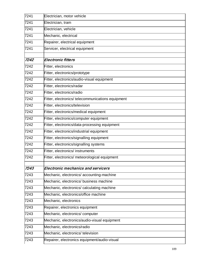| 7241 | Electrician, motor vehicle                        |
|------|---------------------------------------------------|
| 7241 | Electrician, tram                                 |
| 7241 | Electrician, vehicle                              |
| 7241 | Mechanic, electrical                              |
| 7241 | Repairer, electrical equipment                    |
| 7241 | Servicer, electrical equipment                    |
| 7242 | Electronic fitters                                |
| 7242 | Fitter, electronics                               |
| 7242 | Fitter, electronics/prototype                     |
| 7242 | Fitter, electronics/audio-visual equipment        |
| 7242 | Fitter, electronics/radar                         |
| 7242 | Fitter, electronics/radio                         |
| 7242 | Fitter, electronics/ telecommunications equipment |
| 7242 | Fitter, electronics/television                    |
| 7242 | Fitter, electronics/medical equipment             |
| 7242 | Fitter, electronics/computer equipment            |
| 7242 | Fitter, electronics/data-processing equipment     |
| 7242 | Fitter, electronics/industrial equipment          |
| 7242 | Fitter, electronics/signalling equipment          |
| 7242 | Fitter, electronics/signalling systems            |
| 7242 | Fitter, electronics/ instruments                  |
| 7242 | Fitter, electronics/ meteorological equipment     |
| 7243 | <b>Electronic mechanics and servicers</b>         |
| 7243 | Mechanic, electronics/accounting-machine          |
| 7243 | Mechanic, electronics/ business machine           |
| 7243 | Mechanic, electronics/ calculating machine        |
| 7243 | Mechanic, electronics/office machine              |
| 7243 | Mechanic, electronics                             |
| 7243 | Repairer, electronics equipment                   |
| 7243 | Mechanic, electronics/computer                    |
| 7243 | Mechanic, electronics/audio-visual equipment      |
| 7243 | Mechanic, electronics/radio                       |
| 7243 | Mechanic, electronics/ television                 |
| 7243 | Repairer, electronics equipment/audio-visual      |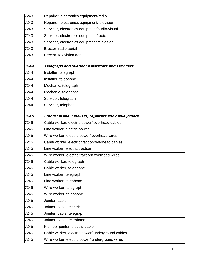| 7243 | Repairer, electronics equipment/radio                   |
|------|---------------------------------------------------------|
| 7243 | Repairer, electronics equipment/television              |
| 7243 | Servicer, electronics equipment/audio-visual            |
| 7243 | Servicer, electronics equipment/radio                   |
| 7243 | Servicer, electronics equipment/television              |
| 7243 | Erector, radio aerial                                   |
| 7243 | Erector, television aerial                              |
| 7244 | Telegraph and telephone installers and servicers        |
| 7244 | Installer, telegraph                                    |
| 7244 | Installer, telephone                                    |
| 7244 | Mechanic, telegraph                                     |
| 7244 | Mechanic, telephone                                     |
| 7244 | Servicer, telegraph                                     |
| 7244 | Servicer, telephone                                     |
| 7245 | Electrical line installers, repairers and cable joiners |
| 7245 | Cable worker, electric power/ overhead cables           |
| 7245 | Line worker, electric power                             |
| 7245 | Wire worker, electric power/ overhead wires             |
| 7245 | Cable worker, electric traction/overhead cables         |
| 7245 | Line worker, electric traction                          |
| 7245 | Wire worker, electric traction/overhead wires           |
| 7245 | Cable worker, telegraph                                 |
| 7245 | Cable worker, telephone                                 |
| 7245 | Line worker, telegraph                                  |
| 7245 | Line worker, telephone                                  |
| 7245 | Wire worker, telegraph                                  |
| 7245 | Wire worker, telephone                                  |
| 7245 | Jointer, cable                                          |
| 7245 | Jointer, cable, electric                                |
| 7245 | Jointer, cable, telegraph                               |
| 7245 | Jointer, cable, telephone                               |
| 7245 | Plumber-jointer, electric cable                         |
| 7245 | Cable worker, electric power/ underground cables        |
| 7245 | Wire worker, electric power/ underground wires          |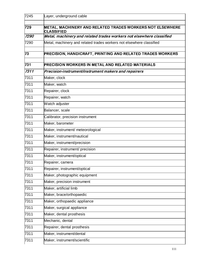| 7245 | Layer, underground cable                                             |
|------|----------------------------------------------------------------------|
| 729  | METAL, MACHINERY AND RELATED TRADES WORKERS NOT ELSEWHERE            |
|      | <b>CLASSIFIED</b>                                                    |
| 7290 | Metal, machinery and related trades workers not elsewhere classified |
| 7290 | Metal, machinery and related trades workers not elsewhere classified |
| 73   | PRECISION, HANDICRAFT, PRINTING AND RELATED TRADES WORKERS           |
| 731  | <b>PRECISION WORKERS IN METAL AND RELATED MATERIALS</b>              |
| 7311 | Precision-instrument/instrument makers and repairers                 |
| 7311 | Maker, clock                                                         |
| 7311 | Maker, watch                                                         |
| 7311 | Repairer, clock                                                      |
| 7311 | Repairer, watch                                                      |
| 7311 | Watch adjuster                                                       |
| 7311 | Balancer, scale                                                      |
| 7311 | Calibrator, precision instrument                                     |
| 7311 | Maker, barometer                                                     |
| 7311 | Maker, instrument/ meteorological                                    |
| 7311 | Maker, instrument/nautical                                           |
| 7311 | Maker, instrument/precision                                          |
| 7311 | Repairer, instrument/ precision                                      |
| 7311 | Maker, instrument/optical                                            |
| 7311 | Repairer, camera                                                     |
| 7311 | Repairer, instrument/optical                                         |
| 7311 | Maker, photographic equipment                                        |
| 7311 | Maker, precision instrument                                          |
| 7311 | Maker, artificial limb                                               |
| 7311 | Maker, brace/orthopaedic                                             |
| 7311 | Maker, orthopaedic appliance                                         |
| 7311 | Maker, surgical appliance                                            |
| 7311 | Maker, dental prosthesis                                             |
| 7311 | Mechanic, dental                                                     |
| 7311 | Repairer, dental prosthesis                                          |
| 7311 | Maker, instrument/dental                                             |
| 7311 | Maker, instrument/scientific                                         |
|      |                                                                      |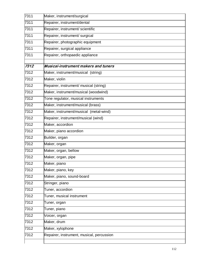| 7311 | Maker, instrument/surgical                  |
|------|---------------------------------------------|
| 7311 | Repairer, instrument/dental                 |
| 7311 | Repairer, instrument/ scientific            |
| 7311 | Repairer, instrument/ surgical              |
| 7311 | Repairer, photographic equipment            |
| 7311 | Repairer, surgical appliance                |
| 7311 | Repairer, orthopaedic appliance             |
| 7312 | <b>Musical-instrument makers and tuners</b> |
| 7312 | Maker, instrument/musical (string)          |
| 7312 |                                             |
|      | Maker, violin                               |
| 7312 | Repairer, instrument/ musical (string)      |
| 7312 | Maker, instrument/musical (woodwind)        |
| 7312 | Tone regulator, musical instruments         |
| 7312 | Maker, instrument/musical (brass)           |
| 7312 | Maker, instrument/musical (metal-wind)      |
| 7312 | Repairer, instrument/musical (wind)         |
| 7312 | Maker, accordion                            |
| 7312 | Maker, piano accordion                      |
| 7312 | Builder, organ                              |
| 7312 | Maker, organ                                |
| 7312 | Maker, organ, bellow                        |
| 7312 | Maker, organ, pipe                          |
| 7312 | Maker, piano                                |
| 7312 | Maker, piano, key                           |
| 7312 | Maker, piano, sound-board                   |
| 7312 | Stringer, piano                             |
| 7312 | Tuner, accordion                            |
| 7312 | Tuner, musical instrument                   |
| 7312 | Tuner, organ                                |
| 7312 | Tuner, piano                                |
| 7312 | Voicer, organ                               |
| 7312 | Maker, drum                                 |
| 7312 | Maker, xylophone                            |
| 7312 | Repairer, instrument, musical, percussion   |
|      |                                             |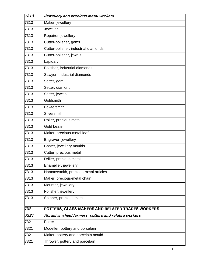| 7313 | Jewellery and precious-metal workers                |
|------|-----------------------------------------------------|
| 7313 | Maker, jewellery                                    |
| 7313 | Jeweller                                            |
| 7313 | Repairer, jewellery                                 |
| 7313 | Cutter-polisher, gems                               |
| 7313 | Cutter-polisher, industrial diamonds                |
| 7313 | Cutter-polisher, jewels                             |
| 7313 | Lapidary                                            |
| 7313 | Polisher, industrial diamonds                       |
| 7313 | Sawyer, industrial diamonds                         |
| 7313 | Setter, gem                                         |
| 7313 | Setter, diamond                                     |
| 7313 | Setter, jewels                                      |
| 7313 | Goldsmith                                           |
| 7313 | Pewtersmith                                         |
| 7313 | Silversmith                                         |
| 7313 | Roller, precious metal                              |
| 7313 | Gold beater                                         |
| 7313 | Maker, precious-metal leaf                          |
| 7313 | Engraver, jewellery                                 |
| 7313 | Caster, jewellery moulds                            |
| 7313 | Cutter, precious metal                              |
| 7313 | Driller, precious metal                             |
| 7313 | Enameller, jewellery                                |
| 7313 | Hammersmith, precious-metal articles                |
| 7313 | Maker, precious-metal chain                         |
| 7313 | Mounter, jewellery                                  |
| 7313 | Polisher, jewellery                                 |
| 7313 | Spinner, precious metal                             |
| 732  | POTTERS, GLASS-MAKERS AND RELATED TRADES WORKERS    |
| 7321 | Abrasive wheel formers, potters and related workers |
| 7321 | Potter                                              |
| 7321 | Modeller, pottery and porcelain                     |
| 7321 | Maker, pottery and porcelain mould                  |
| 7321 | Thrower, pottery and porcelain                      |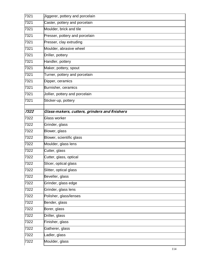| 7321 | Jiggerer, pottery and porcelain               |
|------|-----------------------------------------------|
| 7321 | Caster, pottery and porcelain                 |
| 7321 | Moulder, brick and tile                       |
| 7321 | Presser, pottery and porcelain                |
| 7321 | Presser, clay extruding                       |
| 7321 | Moulder, abrasive wheel                       |
| 7321 | Driller, pottery                              |
| 7321 | Handler, pottery                              |
| 7321 | Maker, pottery, spout                         |
| 7321 | Turner, pottery and porcelain                 |
| 7321 | Dipper, ceramics                              |
| 7321 | Burnisher, ceramics                           |
| 7321 | Jollier, pottery and porcelain                |
| 7321 | Sticker-up, pottery                           |
|      |                                               |
| 7322 | Glass-makers, cutters, grinders and finishers |
| 7322 | <b>Glass worker</b>                           |
| 7322 | Grinder, glass                                |
| 7322 | Blower, glass                                 |
| 7322 | Blower, scientific glass                      |
| 7322 | Moulder, glass lens                           |
| 7322 | Cutter, glass                                 |
| 7322 | Cutter, glass, optical                        |
| 7322 | Slicer, optical glass                         |
| 7322 | Slitter, optical glass                        |
| 7322 | Beveller, glass                               |
| 7322 | Grinder, glass edge                           |
| 7322 | Grinder, glass lens                           |
| 7322 | Polisher, glass/lenses                        |
| 7322 | Bender, glass                                 |
| 7322 | Borer, glass                                  |
| 7322 | Driller, glass                                |
| 7322 | Finisher, glass                               |
| 7322 | Gatherer, glass                               |
| 7322 | Ladler, glass                                 |
| 7322 | Moulder, glass                                |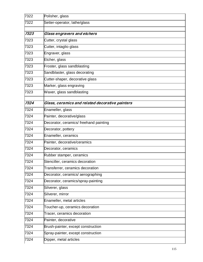| 7322 | Polisher, glass                                 |
|------|-------------------------------------------------|
| 7322 | Setter-operator, lathe/glass                    |
|      |                                                 |
| 7323 | Glass engravers and etchers                     |
| 7323 | Cutter, crystal glass                           |
| 7323 | Cutter, intaglio glass                          |
| 7323 | Engraver, glass                                 |
| 7323 | Etcher, glass                                   |
| 7323 | Froster, glass sandblasting                     |
| 7323 | Sandblaster, glass decorating                   |
| 7323 | Cutter-shaper, decorative glass                 |
| 7323 | Marker, glass engraving                         |
| 7323 | Waxer, glass sandblasting                       |
| 7324 | Glass, ceramics and related decorative painters |
| 7324 | Enameller, glass                                |
| 7324 | Painter, decorative/glass                       |
| 7324 | Decorator, ceramics/ freehand painting          |
| 7324 | Decorator, pottery                              |
| 7324 | Enameller, ceramics                             |
| 7324 | Painter, decorative/ceramics                    |
| 7324 | Decorator, ceramics                             |
| 7324 | Rubber stamper, ceramics                        |
| 7324 | Stenciller, ceramics decoration                 |
| 7324 | Transferrer, ceramics decoration                |
| 7324 | Decorator, ceramics/ aerographing               |
| 7324 | Decorator, ceramics/spray-painting              |
| 7324 | Silverer, glass                                 |
| 7324 | Silverer, mirror                                |
| 7324 | Enameller, metal articles                       |
| 7324 | Toucher-up, ceramics decoration                 |
| 7324 | Tracer, ceramics decoration                     |
| 7324 | Painter, decorative                             |
| 7324 | Brush-painter, except construction              |
| 7324 | Spray-painter, except construction              |
| 7324 | Dipper, metal articles                          |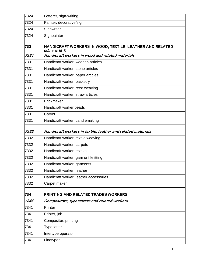| 7324 | Letterer, sign-writing                                                       |
|------|------------------------------------------------------------------------------|
| 7324 | Painter, decorative/sign                                                     |
| 7324 | Signwriter                                                                   |
| 7324 | Signpainter                                                                  |
| 733  | HANDICRAFT WORKERS IN WOOD, TEXTILE, LEATHER AND RELATED<br><b>MATERIALS</b> |
| 7331 | Handicraft workers in wood and related materials                             |
| 7331 | Handicraft worker, wooden articles                                           |
| 7331 | Handicraft worker, stone articles                                            |
| 7331 | Handicraft worker, paper articles                                            |
| 7331 | Handicraft worker, basketry                                                  |
| 7331 | Handicraft worker, reed weaving                                              |
| 7331 | Handicraft worker, straw articles                                            |
| 7331 | <b>Brickmaker</b>                                                            |
| 7331 | Handicraft worker, beads                                                     |
| 7331 | Carver                                                                       |
| 7331 | Handicraft worker, candlemaking                                              |
| 7332 | Handicraft workers in textile, leather and related materials                 |
| 7332 | Handicraft worker, textile weaving                                           |
| 7332 | Handicraft worker, carpets                                                   |
| 7332 | Handicraft worker, textiles                                                  |
| 7332 | Handicraft worker, garment knitting                                          |
| 7332 | Handicraft worker, garments                                                  |
| 7332 | Handicraft worker, leather                                                   |
| 7332 | Handicraft worker, leather accessories                                       |
| 7332 | Carpet maker                                                                 |
| 734  | <b>PRINTING AND RELATED TRADES WORKERS</b>                                   |
| 7341 | Compositors, typesetters and related workers                                 |
| 7341 | Printer                                                                      |
| 7341 | Printer, job                                                                 |
| 7341 | Compositor, printing                                                         |
| 7341 | Typesetter                                                                   |
| 7341 | Intertype operator                                                           |
| 7341 | Linotyper                                                                    |
|      |                                                                              |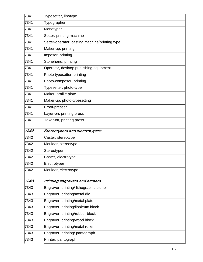| 7341 | Typesetter, linotype                                                     |
|------|--------------------------------------------------------------------------|
| 7341 | Typographer                                                              |
| 7341 | Monotyper                                                                |
| 7341 | Setter, printing machine                                                 |
| 7341 | Setter-operator, casting machine/printing type                           |
| 7341 | Maker-up, printing                                                       |
| 7341 | Imposer, printing                                                        |
| 7341 | Stonehand, printing                                                      |
| 7341 | Operator, desktop publishing equipment                                   |
| 7341 | Photo typesetter, printing                                               |
| 7341 | Photo-composer, printing                                                 |
| 7341 | Typesetter, photo-type                                                   |
| 7341 | Maker, braille plate                                                     |
| 7341 | Maker-up, photo-typesetting                                              |
| 7341 | Proof-presser                                                            |
| 7341 | Layer-on, printing press                                                 |
| 7341 | Taker-off, printing press                                                |
|      |                                                                          |
| 7342 | Stereotypers and electrotypers                                           |
| 7342 | Caster, stereotype                                                       |
| 7342 | Moulder, stereotype                                                      |
| 7342 | Stereotyper                                                              |
| 7342 | Caster, electrotype                                                      |
| 7342 | Electrotyper                                                             |
| 7342 | Moulder, electrotype                                                     |
| 7343 |                                                                          |
| 7343 | Printing engravers and etchers<br>Engraver, printing/ lithographic stone |
| 7343 | Engraver, printing/metal die                                             |
| 7343 | Engraver, printing/metal plate                                           |
| 7343 | Engraver, printing/linoleum block                                        |
| 7343 | Engraver, printing/rubber block                                          |
| 7343 | Engraver, printing/wood block                                            |
| 7343 | Engraver, printing/metal roller                                          |
| 7343 | Engraver, printing/ pantograph                                           |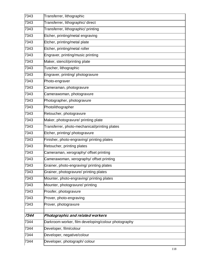| 7343 | Transferrer, lithographic                           |
|------|-----------------------------------------------------|
| 7343 | Transferrer, lithographic/ direct                   |
| 7343 | Transferrer, lithographic/ printing                 |
| 7343 | Etcher, printing/metal engraving                    |
| 7343 | Etcher, printing/metal plate                        |
| 7343 | Etcher, printing/metal roller                       |
| 7343 | Engraver, printing/music printing                   |
| 7343 | Maker, stencil/printing plate                       |
| 7343 | Tuscher, lithographic                               |
| 7343 | Engraver, printing/ photogravure                    |
| 7343 | Photo-engraver                                      |
| 7343 | Cameraman, photogravure                             |
| 7343 | Camerawoman, photogravure                           |
| 7343 | Photographer, photogravure                          |
| 7343 | Photolithographer                                   |
| 7343 | Retoucher, photogravure                             |
| 7343 | Maker, photogravure/ printing plate                 |
| 7343 | Transferrer, photo-mechanical/printing plates       |
| 7343 | Etcher, printing/ photogravure                      |
| 7343 | Finisher, photo-engraving/ printing plates          |
| 7343 | Retoucher, printing plates                          |
| 7343 | Cameraman, xerography/ offset printing              |
| 7343 | Camerawoman, xerography/ offset printing            |
| 7343 | Grainer, photo-engraving/ printing plates           |
| 7343 | Grainer, photogravure/ printing plates              |
| 7343 | Mounter, photo-engraving/ printing plates           |
| 7343 | Mounter, photogravure/ printing                     |
| 7343 | Proofer, photogravure                               |
| 7343 | Prover, photo-engraving                             |
| 7343 | Prover, photogravure                                |
| 7344 | Photographic and related workers                    |
| 7344 | Darkroom worker, film developing/colour photography |
| 7344 | Developer, film/colour                              |
| 7344 | Developer, negative/colour                          |
| 7344 | Developer, photograph/colour                        |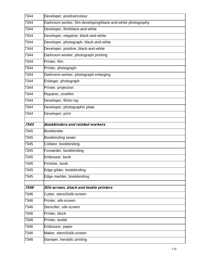| 7344 | Developer, positive/colour                                   |
|------|--------------------------------------------------------------|
| 7344 | Darkroom worker, film developing/black-and-white photography |
| 7344 | Developer, film/black-and-white                              |
| 7344 | Developer, negative, black-and-white                         |
| 7344 | Developer, photograph, black-and-white                       |
| 7344 | Developer, positive, black-and-white                         |
| 7344 | Darkroom worker, photograph printing                         |
| 7344 | Printer, film                                                |
| 7344 | Printer, photograph                                          |
| 7344 | Darkroom worker, photograph enlarging                        |
| 7344 | Enlarger, photograph                                         |
| 7344 | Printer, projection                                          |
| 7344 | Repairer, cinefilm                                           |
| 7344 | Developer, film/x-ray                                        |
| 7344 | Developer, photographic plate                                |
| 7344 | Developer, print                                             |
| 7345 | Bookbinders and related workers                              |
| 7345 | <b>Bookbinder</b>                                            |
| 7345 | <b>Bookbinding sewer</b>                                     |
| 7345 | Collator, bookbinding                                        |
| 7345 | Forwarder, bookbinding                                       |
| 7345 | Embosser, book                                               |
| 7345 | Finisher, book                                               |
| 7345 | Edge gilder, bookbinding                                     |
| 7345 | Edge marbler, bookbinding                                    |
| 7346 | Silk-screen, block and textile printers                      |
| 7346 | Cutter, stencil/silk-screen                                  |
| 7346 | Printer, silk-screen                                         |
| 7346 | Stenciller, silk-screen                                      |
| 7346 | Printer, block                                               |
| 7346 | Printer, textile                                             |
| 7346 | Embosser, paper                                              |
| 7346 | Maker, stencil/silk-screen                                   |
| 7346 | Stamper, heraldic printing                                   |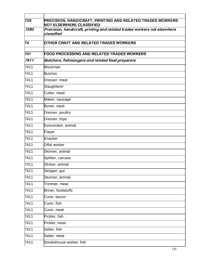| 739               | <b>PRECISION, HANDICRAFT, PRINTING AND RELATED TRADES WORKERS</b><br><b>NOT ELSEWHERE CLASSIFIED</b> |
|-------------------|------------------------------------------------------------------------------------------------------|
| 7390              | Precision, handicraft, printing and related trades workers not elsewhere<br>classified               |
| 74                | OTHER CRAFT AND RELATED TRADES WORKERS                                                               |
| 741               | <b>FOOD PROCESSING AND RELATED TRADES WORKERS</b>                                                    |
| 7411              | Butchers, fishmongers and related food preparers                                                     |
| 7411              | <b>Blockman</b>                                                                                      |
| 7411              | <b>Butcher</b>                                                                                       |
| 7411              | Dresser, meat                                                                                        |
| 7411              | Slaughterer                                                                                          |
| 7411              | Cutter, meat                                                                                         |
| $\overline{7}411$ | Maker, sausage                                                                                       |
| 7411              | Boner, meat                                                                                          |
| 7411              | Dresser, poultry                                                                                     |
| 7411              | Dresser, tripe                                                                                       |
| 7411              | Eviscerator, animal                                                                                  |
| 7411              | Flayer                                                                                               |
| 7411              | Knacker                                                                                              |
| 7411              | Offal worker                                                                                         |
| 7411              | Skinner, animal                                                                                      |
| 7411              | Splitter, carcass                                                                                    |
| 7411              | Sticker, animal                                                                                      |
| 7411              | Stripper, gut                                                                                        |
| 7411              | Stunner, animal                                                                                      |
| 7411              | Trimmer, meat                                                                                        |
| 7411              | Briner, foodstuffs                                                                                   |
| 7411              | Curer, bacon                                                                                         |
| 7411              | Curer, fish                                                                                          |
| 7411              | Curer, meat                                                                                          |
| 7411              | Pickler, fish                                                                                        |
| 7411              | Pickler, meat                                                                                        |
| 7411              | Salter, fish                                                                                         |
| 7411              | Salter, meat                                                                                         |
| 7411              | Smokehouse worker, fish                                                                              |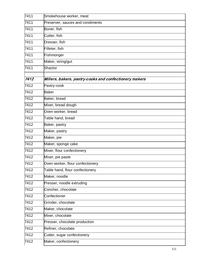| 7411 | Smokehouse worker, meat                                |
|------|--------------------------------------------------------|
| 7411 | Preserver, sauces and condiments                       |
| 7411 | Boner, fish                                            |
| 7411 | Cutter, fish                                           |
| 7411 | Dresser, fish                                          |
| 7411 | Filleter, fish                                         |
| 7411 | Fishmonger                                             |
| 7411 | Maker, string/gut                                      |
| 7411 | Shactor                                                |
| 7412 | Millers, bakers, pastry-cooks and confectionery makers |
| 7412 | Pastry-cook                                            |
| 7412 | <b>Baker</b>                                           |
| 7412 | Baker, bread                                           |
| 7412 | Mixer, bread dough                                     |
| 7412 | Oven worker, bread                                     |
| 7412 | Table hand, bread                                      |
| 7412 | Baker, pastry                                          |
| 7412 | Maker, pastry                                          |
| 7412 | Maker, pie                                             |
| 7412 | Maker, sponge cake                                     |
| 7412 | Mixer, flour confectionery                             |
| 7412 | Mixer, pie paste                                       |
| 7412 | Oven worker, flour confectionery                       |
| 7412 | Table hand, flour confectionery                        |
| 7412 | Maker, noodle                                          |
| 7412 | Presser, noodle extruding                              |
| 7412 | Concher, chocolate                                     |
| 7412 | Confectioner                                           |
| 7412 | Grinder, chocolate                                     |
| 7412 | Maker, chocolate                                       |
| 7412 | Mixer, chocolate                                       |
| 7412 | Presser, chocolate production                          |
| 7412 | Refiner, chocolate                                     |
| 7412 | Cutter, sugar confectionery                            |
| 7412 | Maker, confectionery                                   |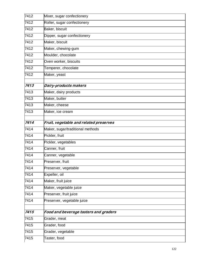| 7412 | Mixer, sugar confectionery             |
|------|----------------------------------------|
| 7412 | Roller, sugar confectionery            |
| 7412 | Baker, biscuit                         |
| 7412 | Dipper, sugar confectionery            |
| 7412 | Maker, biscuit                         |
| 7412 | Maker, chewing-gum                     |
| 7412 | Moulder, chocolate                     |
| 7412 | Oven worker, biscuits                  |
| 7412 | Temperer, chocolate                    |
| 7412 | Maker, yeast                           |
|      |                                        |
| 7413 | Dairy-products makers                  |
| 7413 | Maker, dairy products                  |
| 7413 | Maker, butter                          |
| 7413 | Maker, cheese                          |
| 7413 | Maker, ice cream                       |
| 7414 | Fruit, vegetable and related preserves |
| 7414 | Maker, sugar/traditional methods       |
| 7414 | Pickler, fruit                         |
| 7414 | Pickler, vegetables                    |
| 7414 | Canner, fruit                          |
| 7414 | Canner, vegetable                      |
| 7414 | Preserver, fruit                       |
| 7414 | Preserver, vegetable                   |
| 7414 | Expeller, oil                          |
| 7414 | Maker, fruit juice                     |
| 7414 | Maker, vegetable juice                 |
| 7414 | Preserver, fruit juice                 |
| 7414 | Preserver, vegetable juice             |
|      |                                        |
| 7415 | Food and beverage tasters and graders  |
| 7415 | Grader, meat                           |
| 7415 | Grader, food                           |
| 7415 | Grader, vegetable                      |
| 7415 | Taster, food                           |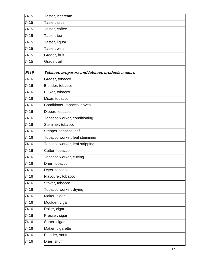| 7415 | Taster, icecream                              |
|------|-----------------------------------------------|
| 7415 | Taster, juice                                 |
| 7415 | Taster, coffee                                |
| 7415 | Taster, tea                                   |
| 7415 | Taster, liquor                                |
| 7415 | Taster, wine                                  |
| 7415 | Grader, fruit                                 |
| 7415 | Grader, oil                                   |
|      |                                               |
| 7416 | Tobacco preparers and tobacco products makers |
| 7416 | Grader, tobacco                               |
| 7416 | Blender, tobacco                              |
| 7416 | Bulker, tobacco                               |
| 7416 | Mixer, tobacco                                |
| 7416 | Conditioner, tobacco leaves                   |
| 7416 | Dipper, tobacco                               |
| 7416 | Tobacco worker, conditioning                  |
| 7416 | Stemmer, tobacco                              |
| 7416 | Stripper, tobacco leaf                        |
| 7416 | Tobacco worker, leaf stemming                 |
| 7416 | Tobacco worker, leaf stripping                |
| 7416 | Cutter, tobacco                               |
| 7416 | Tobacco worker, cutting                       |
| 7416 | Drier, tobacco                                |
| 7416 | Dryer, tobacco                                |
| 7416 | Flavourer, tobacco                            |
| 7416 | Stover, tobacco                               |
| 7416 | Tobacco worker, drying                        |
| 7416 | Maker, cigar                                  |
| 7416 | Moulder, cigar                                |
| 7416 | Roller, cigar                                 |
| 7416 | Presser, cigar                                |
| 7416 | Sorter, cigar                                 |
| 7416 | Maker, cigarette                              |
| 7416 | Blender, snuff                                |
| 7416 | Drier, snuff                                  |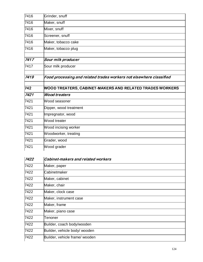| 7416         | Grinder, snuff                                                      |
|--------------|---------------------------------------------------------------------|
| 7416         | Maker, snuff                                                        |
| 7416         | Mixer, snuff                                                        |
| 7416         | Screener, snuff                                                     |
| 7416         | Maker, tobacco cake                                                 |
| 7416         | Maker, tobacco plug                                                 |
| 7417         | Sour milk producer                                                  |
| 7417         | Sour milk producer                                                  |
| 7419         | Food processing and related trades workers not elsewhere classified |
|              |                                                                     |
| 742          | <b>WOOD TREATERS, CABINET-MAKERS AND RELATED TRADES WORKERS</b>     |
| 7421         | <b>Wood treaters</b>                                                |
| 7421         | Wood seasoner                                                       |
| 7421         | Dipper, wood treatment                                              |
| 7421         | Impregnator, wood                                                   |
| 7421         | Wood treater                                                        |
| 7421         | Wood incising worker                                                |
|              | Woodworker, treating                                                |
| 7421<br>7421 | Grader, wood                                                        |

| 7422 | Cabinet-makers and related workers |
|------|------------------------------------|
| 7422 | Maker, paper                       |
| 7422 | Cabinetmaker                       |
| 7422 | Maker, cabinet                     |
| 7422 | Maker, chair                       |
| 7422 | Maker, clock case                  |
| 7422 | Maker, instrument case             |
| 7422 | Maker, frame                       |
| 7422 | Maker, piano case                  |
| 7422 | Tenoner                            |
| 7422 | Builder, coach body/wooden         |
| 7422 | Builder, vehicle body/ wooden      |
| 7422 | Builder, vehicle frame/ wooden     |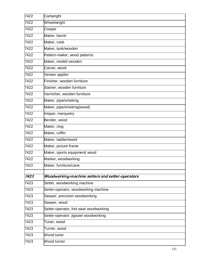| 7422 | Cartwright                                       |
|------|--------------------------------------------------|
| 7422 | Wheelwright                                      |
| 7422 | Cooper                                           |
| 7422 | Maker, barrel                                    |
| 7422 | Maker, cask                                      |
| 7422 | Maker, tank/wooden                               |
| 7422 | Pattern-maker, wood patterns                     |
| 7422 | Maker, model/ wooden                             |
| 7422 | Carver, wood                                     |
| 7422 | Veneer applier                                   |
| 7422 | Finisher, wooden furniture                       |
| 7422 | Stainer, wooden furniture                        |
| 7422 | Varnisher, wooden furniture                      |
| 7422 | Maker, pipe/smoking                              |
| 7422 | Maker, pipe/smoking(wood)                        |
| 7422 | Inlayer, marquetry                               |
| 7422 | Bender, wood                                     |
| 7422 | Maker, clog                                      |
| 7422 | Maker, coffin                                    |
| 7422 | Maker, ladder/wood                               |
| 7422 | Maker, picture frame                             |
| 7422 | Maker, sports equipment/ wood                    |
| 7422 | Marker, woodworking                              |
| 7422 | Maker, furniture/cane                            |
| 7423 | Woodworking-machine setters and setter-operators |
| 7423 | Setter, woodworking machine                      |
| 7423 | Setter-operator, woodworking machine             |
| 7423 | Sawyer, precision woodworking                    |
| 7423 | Sawyer, wood                                     |
| 7423 | Setter-operator, fret-saw/ woodworking           |
| 7423 | Setter-operator, jigsaw/ woodworking             |
| 7423 | Tuner, wood                                      |
| 7423 | Turner, wood                                     |
| 7423 | Wood tuner                                       |
| 7423 | Wood turner                                      |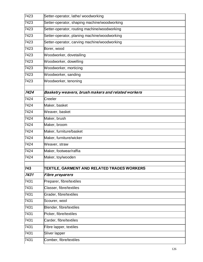| 7423 | Setter-operator, lathe/ woodworking                |
|------|----------------------------------------------------|
| 7423 | Setter-operator, shaping machine/woodworking       |
| 7423 | Setter-operator, routing machine/woodworking       |
| 7423 | Setter-operator, planing machine/woodworking       |
| 7423 | Setter-operator, carving machine/woodworking       |
| 7423 | Borer, wood                                        |
| 7423 | Woodworker, dovetailing                            |
| 7423 | Woodworker, dowelling                              |
| 7423 | Woodworker, morticing                              |
| 7423 | Woodworker, sanding                                |
| 7423 | Woodworker, tenoning                               |
| 7424 | Basketry weavers, brush makers and related workers |
| 7424 | Creeler                                            |
| 7424 | Maker, basket                                      |
| 7424 | Weaver, basket                                     |
| 7424 | Maker, brush                                       |
| 7424 | Maker, broom                                       |
| 7424 | Maker, furniture/basket                            |
| 7424 | Maker, furniture/wicker                            |
| 7424 | Weaver, straw                                      |
| 7424 | Maker, footwear/raffia                             |
| 7424 | Maker, toy/wooden                                  |
| 743  | TEXTILE, GARMENT AND RELATED TRADES WORKERS        |
| 7431 | <b>Fibre preparers</b>                             |
| 7431 | Preparer, fibre/textiles                           |
| 7431 | Classer, fibre/textiles                            |
| 7431 | Grader, fibre/textiles                             |
| 7431 | Scourer, wool                                      |
| 7431 | Blender, fibre/textiles                            |
| 7431 | Picker, fibre/textiles                             |
| 7431 | Carder, fibre/textiles                             |
| 7431 | Fibre lapper, textiles                             |
| 7431 | Sliver lapper                                      |
| 7431 | Comber, fibre/textiles                             |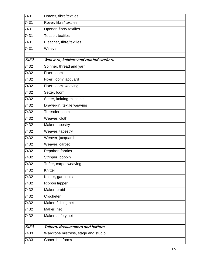| 7431 | Drawer, fibre/textiles                |
|------|---------------------------------------|
| 7431 | Rover, fibre/ textiles                |
| 7431 | Opener, fibre/ textiles               |
| 7431 | Teaser, textiles                      |
| 7431 | Bleacher, fibre/textiles              |
| 7431 | Willeyer                              |
|      |                                       |
| 7432 | Weavers, knitters and related workers |
| 7432 | Spinner, thread and yarn              |
| 7432 | Fixer, loom                           |
| 7432 | Fixer, loom/ jacquard                 |
| 7432 | Fixer, loom, weaving                  |
| 7432 | Setter, loom                          |
| 7432 | Setter, knitting-machine              |
| 7432 | Drawer-in, textile weaving            |
| 7432 | Threader, loom                        |
| 7432 | Weaver, cloth                         |
| 7432 | Maker, tapestry                       |
| 7432 | Weaver, tapestry                      |
| 7432 | Weaver, jacquard                      |
| 7432 | Weaver, carpet                        |
| 7432 | Repairer, fabrics                     |
| 7432 | Stripper, bobbin                      |
| 7432 | Tufter, carpet weaving                |
| 7432 | Knitter                               |
| 7432 | Knitter, garments                     |
| 7432 | Ribbon lapper                         |
| 7432 | Maker, braid                          |
| 7432 | Crocheter                             |
| 7432 | Maker, fishing net                    |
| 7432 | Maker, net                            |
| 7432 | Maker, safety net                     |
|      |                                       |
| 7433 | Tailors, dressmakers and hatters      |
| 7433 | Wardrobe mistress, stage and studio   |
| 7433 | Coner, hat forms                      |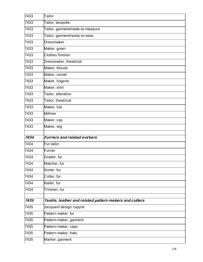| 7433 | Tailor                                                  |
|------|---------------------------------------------------------|
| 7433 | Tailor, bespoke                                         |
| 7433 | Tailor, garment/made-to-measure                         |
| 7433 | Tailor, garment/ready-to-wear                           |
| 7433 | Dressmaker                                              |
| 7433 | Maker, gown                                             |
| 7433 | <b>Clothes finisher</b>                                 |
| 7433 | Dressmaker, theatrical                                  |
| 7433 | Maker, blouse                                           |
| 7433 | Maker, corset                                           |
| 7433 | Maker, lingerie                                         |
| 7433 | Maker, shirt                                            |
| 7433 | Tailor, alteration                                      |
| 7433 | Tailor, theatrical                                      |
| 7433 | Maker, hat                                              |
| 7433 | <b>Milliner</b>                                         |
| 7433 | Maker, cap                                              |
| 7433 | Maker, wig                                              |
|      | <b>Furriers and related workers</b>                     |
| 7434 |                                                         |
| 7434 | Fur tailor                                              |
| 7434 | Furrier                                                 |
| 7434 | Grader, fur                                             |
| 7434 | Matcher, fur                                            |
| 7434 | Sorter, fur                                             |
| 7434 | Cutter, fur                                             |
| 7434 | Nailer, fur                                             |
| 7434 | Trimmer, fur                                            |
| 7435 | Textile, leather and related pattern-makers and cutters |
| 7435 | Jacquard design copyist                                 |
| 7435 | Pattern-maker, fur                                      |
| 7435 | Pattern-maker, garment                                  |
| 7435 | Pattern-maker, caps                                     |
| 7435 | Pattern-maker, hats                                     |
| 7435 | Marker, garment                                         |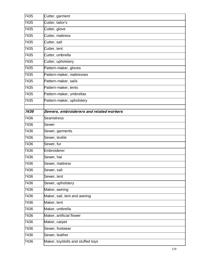| 7435 | Cutter, garment                          |
|------|------------------------------------------|
| 7435 | Cutter, tailor's                         |
| 7435 | Cutter, glove                            |
| 7435 | Cutter, mattress                         |
| 7435 | Cutter, sail                             |
| 7435 | Cutter, tent                             |
| 7435 | Cutter, umbrella                         |
| 7435 | Cutter, upholstery                       |
| 7435 | Pattern-maker, gloves                    |
| 7435 | Pattern-maker, mattresses                |
| 7435 | Pattern-maker, sails                     |
| 7435 | Pattern-maker, tents                     |
| 7435 | Pattern-maker, umbrellas                 |
| 7435 | Pattern-maker, upholstery                |
|      |                                          |
| 7436 | Sewers, embroiderers and related workers |
| 7436 | <b>Seamstress</b>                        |
| 7436 | Sewer                                    |
| 7436 | Sewer, garments                          |
| 7436 | Sewer, textile                           |
| 7436 | Sewer, fur                               |
| 7436 | Embroiderer                              |
| 7436 | Sewer, hat                               |
| 7436 | Sewer, mattress                          |
| 7436 | Sewer, sail                              |
| 7436 | Sewer, tent                              |
| 7436 | Sewer, upholstery                        |
| 7436 | Maker, awning                            |
| 7436 | Maker, sail, tent and awning             |
| 7436 | Maker, tent                              |
| 7436 | Maker, umbrella                          |
| 7436 | Maker, artificial flower                 |
| 7436 | Maker, carpet                            |
| 7436 | Sewer, footwear                          |
| 7436 | Sewer, leather                           |
| 7436 | Maker, toy/dolls and stuffed toys        |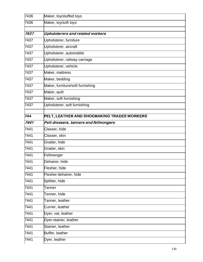| 7436 | Maker, toy/stuffed toys                     |
|------|---------------------------------------------|
| 7436 | Maker, toy/soft toys                        |
|      |                                             |
| 7437 | Upholsterers and related workers            |
| 7437 | Upholsterer, furniture                      |
| 7437 | Upholsterer, aircraft                       |
| 7437 | Upholsterer, automobile                     |
| 7437 | Upholsterer, railway carriage               |
| 7437 | Upholsterer, vehicle                        |
| 7437 | Maker, mattress                             |
| 7437 | Maker, bedding                              |
| 7437 | Maker, furniture/soft furnishing            |
| 7437 | Maker, quilt                                |
| 7437 | Maker, soft furnishing                      |
| 7437 | Upholsterer, soft furnishing                |
| 744  | PELT, LEATHER AND SHOEMAKING TRADES WORKERS |
| 7441 | Pelt dressers, tanners and fellmongers      |
| 7441 | Classer, hide                               |
| 7441 | Classer, skin                               |
| 7441 | Grader, hide                                |
| 7441 | Grader, skin                                |
| 7441 | Fellmonger                                  |
| 7441 | Dehairer, hide                              |
| 7441 | Flesher, hide                               |
| 7441 | Flesher-dehairer, hide                      |
| 7441 | Splitter, hide                              |
| 7441 | Tanner                                      |
| 7441 | Tanner, hide                                |
| 7441 | Tanner, leather                             |
| 7441 | Currier, leather                            |
| 7441 | Dyer, vat, leather                          |
| 7441 | Dyer-stainer, leather                       |
| 7441 | Stainer, leather                            |
| 7441 | Buffer, leather                             |
| 7441 | Dyer, leather                               |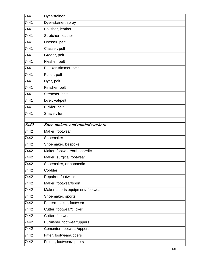| 7441 | Dyer-stainer                      |
|------|-----------------------------------|
| 7441 | Dyer-stainer, spray               |
| 7441 | Polisher, leather                 |
| 7441 | Stretcher, leather                |
| 7441 | Dresser, pelt                     |
| 7441 | Classer, pelt                     |
| 7441 | Grader, pelt                      |
| 7441 | Flesher, pelt                     |
| 7441 | Plucker-trimmer, pelt             |
| 7441 | Puller, pelt                      |
| 7441 | Dyer, pelt                        |
| 7441 | Finisher, pelt                    |
| 7441 | Stretcher, pelt                   |
| 7441 | Dyer, vat/pelt                    |
| 7441 | Pickler, pelt                     |
| 7441 | Shaver, fur                       |
| 7442 | Shoe-makers and related workers   |
| 7442 | Maker, footwear                   |
| 7442 | Shoemaker                         |
| 7442 | Shoemaker, bespoke                |
| 7442 | Maker, footwear/orthopaedic       |
| 7442 | Maker, surgical footwear          |
| 7442 | Shoemaker, orthopaedic            |
| 7442 | Cobbler                           |
| 7442 | Repairer, footwear                |
| 7442 | Maker, footwear/sport             |
| 7442 | Maker, sports equipment/ footwear |
| 7442 | Shoemaker, sports                 |
| 7442 | Pattern-maker, footwear           |
| 7442 | Cutter, footwear/clicker          |
| 7442 | Cutter, footwear                  |
| 7442 | Burnisher, footwear/uppers        |
| 7442 | Cementer, footwear/uppers         |
| 7442 | Fitter, footwear/uppers           |
| 7442 | Folder, footwear/uppers           |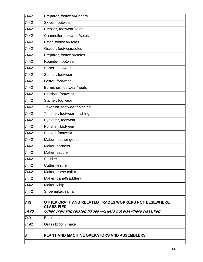| 7442 | Preparer, footwear/uppers                                                 |
|------|---------------------------------------------------------------------------|
| 7442 | Skiver, footwear                                                          |
| 7442 | Presser, footwear/soles                                                   |
| 7442 | Channeller, footwear/soles                                                |
| 7442 | Fitter, footwear/soles                                                    |
| 7442 | Grader, footwear/soles                                                    |
| 7442 | Preparer, footwear/soles                                                  |
| 7442 | Rounder, footwear                                                         |
| 7442 | Sorter, footwear                                                          |
| 7442 | Splitter, footwear                                                        |
| 7442 | Laster, footwear                                                          |
| 7442 | Burnisher, footwear/heels                                                 |
| 7442 | Finisher, footwear                                                        |
| 7442 | Stainer, footwear                                                         |
| 7442 | Taker-off, footwear finishing                                             |
| 7442 | Trimmer, footwear finishing                                               |
| 7442 | Eyeletter, footwear                                                       |
| 7442 | Polisher, footwear                                                        |
| 7442 | Socker, footwear                                                          |
| 7442 | Maker, leather goods                                                      |
| 7442 | Maker, harness                                                            |
| 7442 | Maker, saddle                                                             |
| 7442 | Saddler                                                                   |
| 7442 | Cutter, leather                                                           |
| 7442 | Maker, horse collar                                                       |
| 7442 | Maker, panel/saddlery                                                     |
| 7442 | Maker, whip                                                               |
| 7442 | Shoemaker, raffia                                                         |
| 749  | OTHER CRAFT AND RELATED TRADES WORKERS NOT ELSEWHERE<br><b>CLASSIFIED</b> |
| 7490 | Other craft and related trades workers not elsewhere classified           |
| 7491 | <b>Basket maker</b>                                                       |
| 7492 | Grass broom maker                                                         |
| 8    | PLANT AND MACHINE OPERATORS AND ASSEMBLERS                                |
|      |                                                                           |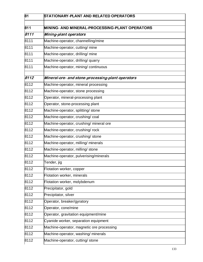| 81   | STATIONARY-PLANT AND RELATED OPERATORS            |
|------|---------------------------------------------------|
| 811  | MINING- AND MINERAL-PROCESSING-PLANT OPERATORS    |
| 8111 | Mining-plant operators                            |
| 8111 | Machine-operator, channelling/mine                |
| 8111 | Machine-operator, cutting/ mine                   |
| 8111 | Machine-operator, drilling/ mine                  |
| 8111 | Machine-operator, drilling/ quarry                |
| 8111 | Machine-operator, mining/ continuous              |
| 8112 | Mineral-ore- and stone-processing-plant operators |
| 8112 | Machine-operator, mineral processing              |
| 8112 | Machine-operator, stone processing                |
| 8112 | Operator, mineral-processing plant                |
| 8112 | Operator, stone-processing plant                  |
| 8112 | Machine-operator, splitting/ stone                |
| 8112 | Machine-operator, crushing/coal                   |
| 8112 | Machine-operator, crushing/ mineral ore           |
| 8112 | Machine-operator, crushing/rock                   |
| 8112 | Machine-operator, crushing/ stone                 |
| 8112 | Machine-operator, milling/ minerals               |
| 8112 | Machine-operator, milling/ stone                  |
| 8112 | Machine-operator, pulverising/minerals            |
| 8112 | Tender, jig                                       |
| 8112 | Flotation worker, copper                          |
| 8112 | Flotation worker, minerals                        |
| 8112 | Flotation worker, molybdenum                      |
| 8112 | Precipitator, gold                                |
| 8112 | Precipitator, silver                              |
| 8112 | Operator, breaker/gyratory                        |
| 8112 | Operator, cone/mine                               |
| 8112 | Operator, gravitation equipment/mine              |
| 8112 | Cyanide worker, separation equipment              |
| 8112 | Machine-operator, magnetic ore processing         |
| 8112 | Machine-operator, washing/ minerals               |
| 8112 | Machine-operator, cutting/ stone                  |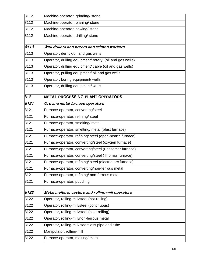| 8112 | Machine-operator, grinding/stone                          |
|------|-----------------------------------------------------------|
| 8112 | Machine-operator, planing/ stone                          |
| 8112 | Machine-operator, sawing/ stone                           |
| 8112 | Machine-operator, drilling/ stone                         |
|      |                                                           |
| 8113 | Well drillers and borers and related workers              |
| 8113 | Operator, derrick/oil and gas wells                       |
| 8113 | Operator, drilling equipment/ rotary, (oil and gas wells) |
| 8113 | Operator, drilling equipment/ cable (oil and gas wells)   |
| 8113 | Operator, pulling equipment/ oil and gas wells            |
| 8113 | Operator, boring equipment/ wells                         |
| 8113 | Operator, drilling equipment/ wells                       |
| 812  | <b>METAL-PROCESSING-PLANT OPERATORS</b>                   |
| 8121 | Ore and metal furnace operators                           |
| 8121 | Furnace-operator, converting/steel                        |
| 8121 | Furnace-operator, refining/ steel                         |
| 8121 | Furnace-operator, smelting/ metal                         |
| 8121 | Furnace-operator, smelting/ metal (blast furnace)         |
| 8121 | Furnace-operator, refining/ steel (open-hearth furnace)   |
| 8121 | Furnace-operator, converting/steel (oxygen furnace)       |
| 8121 | Furnace-operator, converting/steel (Bessemer furnace)     |
| 8121 | Furnace-operator, converting/steel (Thomas furnace)       |
| 8121 | Furnace-operator, refining/ steel (electric-arc furnace)  |
| 8121 | Furnace-operator, converting/non-ferrous metal            |
| 8121 | Furnace-operator, refining/ non-ferrous metal             |
| 8121 | Furnace-operator, puddling                                |
| 8122 | Metal melters, casters and rolling-mill operators         |
| 8122 | Operator, rolling-mill/steel (hot-rolling)                |
| 8122 | Operator, rolling-mill/steel (continuous)                 |
| 8122 | Operator, rolling-mill/steel (cold-rolling)               |
| 8122 | Operator, rolling-mill/non-ferrous metal                  |
| 8122 | Operator, rolling-mill/ seamless pipe and tube            |
| 8122 | Manipulator, rolling-mill                                 |
| 8122 | Furnace-operator, melting/ metal                          |
|      |                                                           |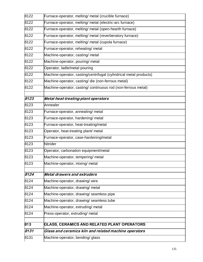| 8122 | Furnace-operator, melting/ metal (crucible furnace)                |
|------|--------------------------------------------------------------------|
| 8122 | Furnace-operator, melting/ metal (electric-arc furnace)            |
| 8122 | Furnace-operator, melting/ metal (open-hearth furnace)             |
| 8122 | Furnace-operator, melting/ metal (reverberatory furnace)           |
| 8122 | Furnace-operator, melting/ metal (cupola furnace)                  |
| 8122 | Furnace-operator, reheating/ metal                                 |
| 8122 | Machine-operator, casting/ metal                                   |
| 8122 | Machine-operator, pouring/ metal                                   |
| 8122 | Operator, ladle/metal pouring                                      |
| 8122 | Machine-operator, casting/centrifugal (cylindrical metal products) |
| 8122 | Machine-operator, casting/ die (non-ferrous metal)                 |
| 8122 | Machine-operator, casting/ continuous rod (non-ferrous metal)      |
| 8123 | Metal-heat-treating-plant operators                                |
| 8123 | Annealer                                                           |
| 8123 | Furnace-operator, annealing/ metal                                 |
| 8123 | Furnace-operator, hardening/ metal                                 |
| 8123 | Furnace-operator, heat-treating/metal                              |
| 8123 | Operator, heat-treating plant/ metal                               |
| 8123 | Furnace-operator, case-hardening/metal                             |
| 8123 | <b>Nitrider</b>                                                    |
| 8123 | Operator, carbonation equipment/metal                              |
| 8123 | Machine-operator, tempering/ metal                                 |
| 8123 | Machine-operator, mixing/ metal                                    |
| 8124 | <b>Metal drawers and extruders</b>                                 |
| 8124 | Machine-operator, drawing/wire                                     |
| 8124 | Machine-operator, drawing/ metal                                   |
| 8124 | Machine-operator, drawing/ seamless pipe                           |
| 8124 | Machine-operator, drawing/ seamless tube                           |
| 8124 | Machine-operator, extruding/ metal                                 |
| 8124 | Press-operator, extruding/ metal                                   |
| 813  | <b>GLASS, CERAMICS AND RELATED PLANT OPERATORS</b>                 |
| 8131 | Glass and ceramics kiln and related machine operators              |
| 8131 | Machine-operator, bending/ glass                                   |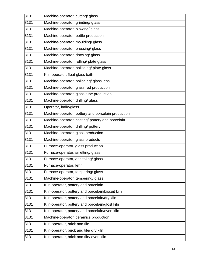| 8131 | Machine-operator, cutting/ glass                   |
|------|----------------------------------------------------|
| 8131 | Machine-operator, grinding/ glass                  |
| 8131 | Machine-operator, blowing/ glass                   |
| 8131 | Machine-operator, bottle production                |
| 8131 | Machine-operator, moulding/ glass                  |
| 8131 | Machine-operator, pressing/ glass                  |
| 8131 | Machine-operator, drawing/ glass                   |
| 8131 | Machine-operator, rolling/ plate glass             |
| 8131 | Machine-operator, polishing/ plate glass           |
| 8131 | Kiln-operator, float glass bath                    |
| 8131 | Machine-operator, polishing/ glass lens            |
| 8131 | Machine-operator, glass rod production             |
| 8131 | Machine-operator, glass tube production            |
| 8131 | Machine-operator, drilling/ glass                  |
| 8131 | Operator, ladle/glass                              |
| 8131 | Machine-operator, pottery and porcelain production |
| 8131 | Machine-operator, casting/ pottery and porcelain   |
| 8131 | Machine-operator, drilling/ pottery                |
| 8131 | Machine-operator, glass production                 |
| 8131 | Machine-operator, glass products                   |
| 8131 | Furnace-operator, glass production                 |
| 8131 | Furnace-operator, smelting/ glass                  |
| 8131 | Furnace-operator, annealing/ glass                 |
| 8131 | Furnace-operator, lehr                             |
| 8131 | Furnace-operator, tempering/ glass                 |
| 8131 | Machine-operator, tempering/ glass                 |
| 8131 | Kiln-operator, pottery and porcelain               |
| 8131 | Kiln-operator, pottery and porcelain/biscuit kiln  |
| 8131 | Kiln-operator, pottery and porcelain/dry kiln      |
| 8131 | Kiln-operator, pottery and porcelain/glost kiln    |
| 8131 | Kiln-operator, pottery and porcelain/oven kiln     |
| 8131 | Machine-operator, ceramics production              |
| 8131 | Kiln-operator, brick and tile                      |
| 8131 | Kiln-operator, brick and tile/ dry kiln            |
| 8131 | Kiln-operator, brick and tile/ oven kiln           |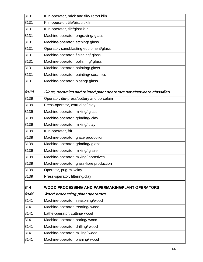| 8131 | Kiln-operator, brick and tile/ retort kiln                           |
|------|----------------------------------------------------------------------|
| 8131 | Kiln-operator, tile/biscuit kiln                                     |
| 8131 | Kiln-operator, tile/glost kiln                                       |
| 8131 | Machine-operator, engraving/ glass                                   |
| 8131 | Machine-operator, etching/ glass                                     |
| 8131 | Operator, sandblasting equipment/glass                               |
| 8131 | Machine-operator, finishing/ glass                                   |
| 8131 | Machine-operator, polishing/ glass                                   |
| 8131 | Machine-operator, painting/ glass                                    |
| 8131 | Machine-operator, painting/ ceramics                                 |
| 8131 | Machine-operator, plating/ glass                                     |
| 8139 | Glass, ceramics and related plant operators not elsewhere classified |
| 8139 | Operator, die-press/pottery and porcelain                            |
| 8139 | Press-operator, extruding/clay                                       |
| 8139 | Machine-operator, mixing/ glass                                      |
| 8139 | Machine-operator, grinding/clay                                      |
| 8139 | Machine-operator, mixing/clay                                        |
| 8139 | Kiln-operator, frit                                                  |
| 8139 | Machine-operator, glaze production                                   |
| 8139 | Machine-operator, grinding/ glaze                                    |
| 8139 | Machine-operator, mixing/ glaze                                      |
| 8139 | Machine-operator, mixing/abrasives                                   |
| 8139 | Machine-operator, glass-fibre production                             |
| 8139 | Operator, pug-mill/clay                                              |
| 8139 | Press-operator, filtering/clay                                       |
| 814  | WOOD-PROCESSING-AND PAPERMAKINGPLANT OPERATORS                       |
| 8141 | Wood-processing-plant operators                                      |
| 8141 | Machine-operator, seasoning/wood                                     |
| 8141 | Machine-operator, treating/wood                                      |
| 8141 | _athe-operator, cutting/wood                                         |
| 8141 | Machine-operator, boring/wood                                        |
| 8141 | Machine-operator, drilling/wood                                      |
| 8141 | Machine-operator, milling/wood                                       |
| 8141 | Machine-operator, planing/wood                                       |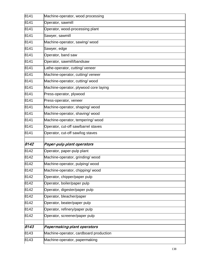| 8141 | Machine-operator, wood processing      |
|------|----------------------------------------|
| 8141 | Operator, sawmill                      |
| 8141 | Operator, wood-processing plant        |
| 8141 | Sawyer, sawmill                        |
| 8141 | Machine-operator, sawing/wood          |
| 8141 | Sawyer, edge                           |
| 8141 | Operator, band saw                     |
| 8141 | Operator, sawmill/bandsaw              |
| 8141 | Lathe-operator, cutting/veneer         |
| 8141 | Machine-operator, cutting/ veneer      |
| 8141 | Machine-operator, cutting/wood         |
| 8141 | Machine-operator, plywood core laying  |
| 8141 | Press-operator, plywood                |
| 8141 | Press-operator, veneer                 |
| 8141 | Machine-operator, shaping/wood         |
| 8141 | Machine-operator, shaving/wood         |
| 8141 | Machine-operator, tempering/wood       |
| 8141 | Operator, cut-off saw/barrel staves    |
| 8141 | Operator, cut-off saw/log staves       |
| 8142 | Paper-pulp plant operators             |
| 8142 | Operator, paper-pulp plant             |
| 8142 | Machine-operator, grinding/wood        |
| 8142 | Machine-operator, pulping/wood         |
| 8142 | Machine-operator, chipping/wood        |
| 8142 |                                        |
|      | Operator, chipper/paper pulp           |
| 8142 | Operator, boiler/paper pulp            |
| 8142 | Operator, digester/paper pulp          |
| 8142 | Operator, bleacher/paper               |
| 8142 | Operator, beater/paper pulp            |
| 8142 | Operator, refinery/paper pulp          |
| 8142 | Operator, screener/paper pulp          |
| 8143 | Papermaking-plant operators            |
| 8143 | Machine-operator, cardboard production |
| 8143 | Machine-operator, papermaking          |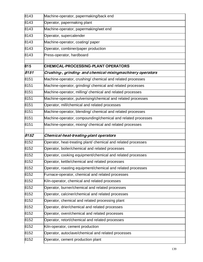| 8143 | Machine-operator, papermaking/back end                        |
|------|---------------------------------------------------------------|
| 8143 | Operator, papermaking plant                                   |
| 8143 | Machine-operator, papermaking/wet end                         |
| 8143 | Operator, supercalender                                       |
| 8143 | Machine-operator, coating/ paper                              |
| 8143 | Operator, combiner/paper production                           |
| 8143 | Press-operator, hardboard                                     |
| 815  | <b>CHEMICAL-PROCESSING-PLANT OPERATORS</b>                    |
| 8151 | Crushing-, grinding- and chemical-mixingmachinery operators   |
| 8151 | Machine-operator, crushing/ chemical and related processes    |
| 8151 | Machine-operator, grinding/ chemical and related processes    |
| 8151 | Machine-operator, milling/ chemical and related processes     |
| 8151 | Machine-operator, pulverising/chemical and related processes  |
| 8151 | Operator, mill/chemical and related processes                 |
| 8151 | Machine-operator, blending/ chemical and related processes    |
| 8151 | Machine-operator, compounding/chemical and related processes  |
| 8151 | Machine-operator, mixing/ chemical and related processes      |
|      |                                                               |
| 8152 | Chemical-heat-treating-plant operators                        |
| 8152 | Operator, heat-treating plant/ chemical and related processes |
| 8152 | Operator, boiler/chemical and related processes               |
| 8152 | Operator, cooking equipment/chemical and related processes    |
| 8152 | Operator, kettle/chemical and related processes               |
| 8152 | Operator, roasting equipment/chemical and related processes   |
| 8152 | Furnace-operator, chemical and related processes              |
| 8152 | Kiln-operator, chemical and related processes                 |
| 8152 | Operator, burner/chemical and related processes               |
| 8152 | Operator, calciner/chemical and related processes             |
| 8152 | Operator, chemical and related processing plant               |
| 8152 | Operator, drier/chemical and related processes                |
| 8152 | Operator, oven/chemical and related processes                 |
| 8152 | Operator, retort/chemical and related processes               |
| 8152 | Kiln-operator, cement production                              |
| 8152 | Operator, autoclave/chemical and related processes            |
| 8152 | Operator, cement production plant                             |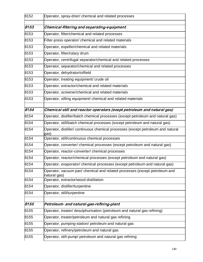| 8152 | Operator, spray-drier/ chemical and related processes                                      |
|------|--------------------------------------------------------------------------------------------|
| 8153 | Chemical-filtering and separating-equipment                                                |
| 8153 | Operator, filter/chemical and related processes                                            |
| 8153 | Filter-press operator/ chemical and related materials                                      |
| 8153 | Operator, expeller/chemical and related materials                                          |
| 8153 | Operator, filter/rotary drum                                                               |
| 8153 | Operator, centrifugal separator/chemical and related processes                             |
| 8153 | Operator, separator/chemical and related processes                                         |
| 8153 | Operator, dehydrator/oilfield                                                              |
| 8153 | Operator, treating equipment/ crude oil                                                    |
| 8153 | Operator, extractor/chemical and related materials                                         |
| 8153 | Operator, screener/chemical and related materials                                          |
| 8153 | Operator, sifting equipment/ chemical and related materials                                |
| 8154 | Chemical-still and reactor operators (exept petroleum and natural gas)                     |
| 8154 | Operator, distiller/batch chemical processes (except petroleum and natural gas)            |
| 8154 | Operator, still/batch chemical processes (except petroleum and natural gas)                |
| 8154 | Operator, distiller/ continuous chemical processes (except petroleum and natural<br>gas)   |
| 8154 | Operator, still/continuous chemical processes                                              |
| 8154 | Operator, converter/ chemical processes (except petroleum and natural gas)                 |
| 8154 | Operator, reactor-converter/ chemical processes                                            |
| 8154 | Operator, reactor/chemical processes (except petroleum and natural gas)                    |
| 8154 | Operator, evaporator/ chemical processes (except petroleum and natural gas)                |
| 8154 | Operator, vacuum pan/ chemical and related processes (except petroleum and<br>natural gas) |
| 8154 | Operator, extractor/wood distillation                                                      |
| 8154 | Operator, distiller/turpentine                                                             |
| 8154 | Operator, still/turpentine                                                                 |
| 8155 | Petroleum- and natural-gas-refining-plant                                                  |
| 8155 | Operator, treater/ desulphurisation (petroleum and natural gas refining)                   |
| 8155 | Operator, treater/petroleum and natural gas refining                                       |
| 8155 | Operator, pumping-station/ petroleum and natural gas                                       |
| 8155 | Operator, refinery/petroleum and natural gas                                               |
| 8155 | Operator, still-pump/ petroleum and natural gas refining                                   |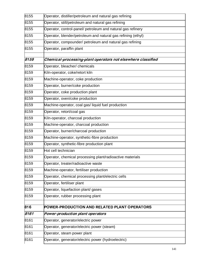| 8155 | Operator, distiller/petroleum and natural gas refining       |
|------|--------------------------------------------------------------|
| 8155 | Operator, still/petroleum and natural gas refining           |
| 8155 | Operator, control-panel/ petroleum and natural gas refinery  |
| 8155 | Operator, blender/petroleum and natural gas refining (ethyl) |
| 8155 | Operator, compounder/ petroleum and natural gas refining     |
| 8155 | Operator, paraffin plant                                     |
| 8159 | Chemical-processing-plant operators not elsewhere classified |
| 8159 | Operator, bleacher/ chemicals                                |
| 8159 | Kiln-operator, coke/retort kiln                              |
| 8159 | Machine-operator, coke production                            |
| 8159 | Operator, burner/coke production                             |
| 8159 | Operator, coke production plant                              |
| 8159 | Operator, oven/coke production                               |
| 8159 |                                                              |
|      | Machine-operator, coal gas/liquid fuel production            |
| 8159 | Operator, retort/coal gas                                    |
| 8159 | Kiln-operator, charcoal production                           |
| 8159 | Machine-operator, charcoal production                        |
| 8159 | Operator, burner/charcoal production                         |
| 8159 | Machine-operator, synthetic-fibre production                 |
| 8159 | Operator, synthetic-fibre production plant                   |
| 8159 | Hot cell technician                                          |
| 8159 | Operator, chemical processing plant/radioactive materials    |
| 8159 | Operator, treater/radioactive waste                          |
| 8159 | Machine-operator, fertiliser production                      |
| 8159 | Operator, chemical processing plant/electric cells           |
| 8159 | Operator, fertiliser plant                                   |
| 8159 | Operator, liquefaction plant/ gases                          |
| 8159 | Operator, rubber processing plant                            |
| 816  | POWER-PRODUCTION AND RELATED PLANT OPERATORS                 |
| 8161 | Power-production plant operators                             |
| 8161 | Operator, generator/electric power                           |
| 8161 | Operator, generator/electric power (steam)                   |
| 8161 | Operator, steam power plant                                  |
|      |                                                              |
| 8161 | Operator, generator/electric power (hydroelectric)           |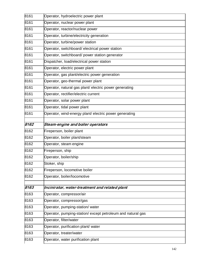| 8161 | Operator, hydroelectric power plant                         |
|------|-------------------------------------------------------------|
| 8161 | Operator, nuclear power plant                               |
| 8161 | Operator, reactor/nuclear power                             |
| 8161 | Operator, turbine/electricity generation                    |
| 8161 | Operator, turbine/power station                             |
| 8161 | Operator, switchboard/ electrical power station             |
| 8161 | Operator, switchboard/ power station generator              |
| 8161 | Dispatcher, load/electrical power station                   |
| 8161 | Operator, electric power plant                              |
| 8161 | Operator, gas plant/electric power generation               |
| 8161 | Operator, geo-thermal power plant                           |
| 8161 | Operator, natural gas plant/ electric power generating      |
| 8161 | Operator, rectifier/electric current                        |
| 8161 | Operator, solar power plant                                 |
| 8161 | Operator, tidal power plant                                 |
| 8161 | Operator, wind-energy plant/ electric power generating      |
| 8162 | Steam-engine and boiler operators                           |
| 8162 | Fireperson, boiler plant                                    |
| 8162 | Operator, boiler plant/steam                                |
| 8162 | Operator, steam engine                                      |
| 8162 | Fireperson, ship                                            |
| 8162 | Operator, boiler/ship                                       |
| 8162 | Stoker, ship                                                |
| 8162 | Fireperson, locomotive boiler                               |
| 8162 | Operator, boiler/locomotive                                 |
| 8163 | Incinirator, water-treatment and related plant              |
| 8163 | Operator, compressor/air                                    |
| 8163 | Operator, compressor/gas                                    |
| 8163 | Operator, pumping-station/water                             |
| 8163 | Operator, pumping-station/ except petroleum and natural gas |
| 8163 | Operator, filter/water                                      |
| 8163 | Operator, purification plant/ water                         |
| 8163 | Operator, treater/water                                     |
| 8163 | Operator, water purification plant                          |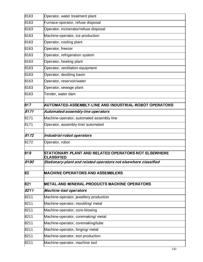| 8163 | Operator, water treatment plant                                           |
|------|---------------------------------------------------------------------------|
| 8163 | Furnace-operator, refuse disposal                                         |
| 8163 | Operator, incinerator/refuse disposal                                     |
| 8163 | Machine-operator, ice production                                          |
| 8163 | Operator, cooling plant                                                   |
| 8163 | Operator, freezer                                                         |
| 8163 | Operator, refrigeration system                                            |
| 8163 | Operator, heating plant                                                   |
| 8163 | Operator, ventilation equipment                                           |
| 8163 | Operator, desilting basin                                                 |
| 8163 | Operator, reservoir/water                                                 |
| 8163 | Operator, sewage plant                                                    |
| 8163 | Tender, water dam                                                         |
| 817  | AUTOMATED-ASSEMBLY-LINE AND INDUSTRIAL-ROBOT OPERATORS                    |
| 8171 | Automated-assembly-line operators                                         |
| 8171 | Machine-operator, automated assembly line                                 |
| 8171 | Operator, assembly-line/ automated                                        |
| 8172 | Industrial-robot operators                                                |
| 8172 | Operator, robot                                                           |
| 819  | STATIONARY-PLANT AND RELATED OPERATORS NOT ELSEWHERE<br><b>CLASSIFIED</b> |
| 8190 | Stationary-plant and related operators not elsewhere classified           |
| 82   | <b>MACHINE OPERATORS AND ASSEMBLERS</b>                                   |
| 821  | METAL-AND MINERAL-PRODUCTS MACHINE OPERATORS                              |
| 8211 | <b>Machine-tool operators</b>                                             |
| 8211 | Machine-operator, jewellery production                                    |
| 8211 | Machine-operator, moulding/ metal                                         |
| 8211 | Machine-operator, core-blowing                                            |
| 8211 | Machine-operator, coremaking/ metal                                       |
| 8211 | Machine-operator, coremaking/tube                                         |
| 8211 | Machine-operator, forging/ metal                                          |
| 8211 | Machine-operator, tool production                                         |
| 8211 | Machine-operator, machine tool                                            |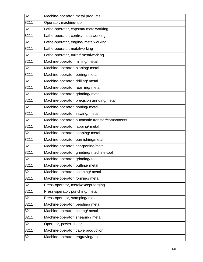| 8211 | Machine-operator, metal products                |
|------|-------------------------------------------------|
| 8211 | Operator, machine-tool                          |
| 8211 | Lathe-operator, capstan/ metalworking           |
| 8211 | Lathe-operator, centre/ metalworking            |
| 8211 | Lathe-operator, engine/ metalworking            |
| 8211 | Lathe-operator, metalworking                    |
| 8211 | Lathe-operator, turret/ metalworking            |
| 8211 | Machine-operator, milling/ metal                |
| 8211 | Machine-operator, planing/ metal                |
| 8211 | Machine-operator, boring/ metal                 |
| 8211 | Machine-operator, drilling/ metal               |
| 8211 | Machine-operator, reaming/ metal                |
| 8211 | Machine-operator, grinding/ metal               |
| 8211 | Machine-operator, precision grinding/metal      |
| 8211 | Machine-operator, honing/ metal                 |
| 8211 | Machine-operator, sawing/ metal                 |
| 8211 | Machine-operator, automatic transfer/components |
| 8211 | Machine-operator, lapping/ metal                |
| 8211 | Machine-operator, shaping/ metal                |
| 8211 | Machine-operator, burnishing/metal              |
| 8211 | Machine-operator, sharpening/metal              |
| 8211 | Machine-operator, grinding/ machine-tool        |
| 8211 | Machine-operator, grinding/ tool                |
| 8211 | Machine-operator, buffing/ metal                |
| 8211 | Machine-operator, spinning/ metal               |
| 8211 | Machine-operator, forming/ metal                |
| 8211 | Press-operator, metal/except forging            |
| 8211 | Press-operator, punching/ metal                 |
| 8211 | Press-operator, stamping/ metal                 |
| 8211 | Machine-operator, bending/ metal                |
| 8211 | Machine-operator, cutting/ metal                |
| 8211 | Machine-operator, shearing/ metal               |
| 8211 | Operator, power-shear                           |
| 8211 | Machine-operator, cable production              |
| 8211 | Machine-operator, engraving/ metal              |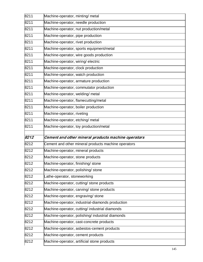| 8211 | Machine-operator, minting/ metal                    |
|------|-----------------------------------------------------|
| 8211 | Machine-operator, needle production                 |
| 8211 | Machine-operator, nut production/metal              |
| 8211 | Machine-operator, pipe production                   |
| 8211 | Machine-operator, rivet production                  |
| 8211 | Machine-operator, sports equipment/metal            |
| 8211 | Machine-operator, wire goods production             |
| 8211 | Machine-operator, wiring/electric                   |
| 8211 | Machine-operator, clock production                  |
| 8211 | Machine-operator, watch production                  |
| 8211 | Machine-operator, armature production               |
| 8211 | Machine-operator, commutator production             |
| 8211 | Machine-operator, welding/ metal                    |
| 8211 | Machine-operator, flamecutting/metal                |
| 8211 | Machine-operator, boiler production                 |
| 8211 | Machine-operator, riveting                          |
| 8211 | Machine-operator, etching/ metal                    |
| 8211 | Machine-operator, toy production/metal              |
| 8212 | Cement and other mineral products machine operators |
| 8212 | Cement and other mineral products machine operators |
| 8212 | Machine-operator, mineral products                  |
| 8212 | Machine-operator, stone products                    |
| 8212 | Machine-operator, finishing/ stone                  |
| 8212 | Machine-operator, polishing/ stone                  |
| 8212 | Lathe-operator, stoneworking                        |
| 8212 | Machine-operator, cutting/ stone products           |
| 8212 | Machine-operator, carving/ stone products           |
| 8212 | Machine-operator, engraving/stone                   |
| 8212 | Machine-operator, industrial-diamonds production    |
| 8212 | Machine-operator, cutting/ industrial diamonds      |
| 8212 | Machine-operator, polishing/ industrial diamonds    |
| 8212 |                                                     |
|      | Machine-operator, cast-concrete products            |
| 8212 | Machine-operator, asbestos-cement products          |
| 8212 | Machine-operator, cement products                   |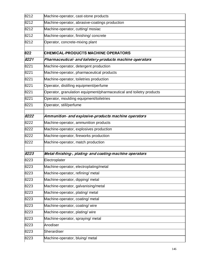| 8212 | Machine-operator, cast-stone products                                |
|------|----------------------------------------------------------------------|
| 8212 | Machine-operator, abrasive-coatings production                       |
| 8212 | Machine-operator, cutting/ mosiac                                    |
| 8212 | Machine-operator, finishing/concrete                                 |
| 8212 | Operator, concrete-mixing plant                                      |
|      |                                                                      |
| 822  | <b>CHEMICAL-PRODUCTS MACHINE OPERATORS</b>                           |
| 8221 | Pharmaceutical- and toiletery-products machine operators             |
| 8221 | Machine-operator, detergent production                               |
| 8221 | Machine-operator, pharmaceutical products                            |
| 8221 | Machine-operator, toiletries production                              |
| 8221 | Operator, distilling equipment/perfume                               |
| 8221 | Operator, granulation equipment/pharmaceutical and toiletry products |
| 8221 | Operator, moulding equipment/toiletries                              |
| 8221 | Operator, still/perfume                                              |
| 8222 | Ammunition- and explosive-products machine operators                 |
| 8222 | Machine-operator, ammunition products                                |
| 8222 | Machine-operator, explosives production                              |
| 8222 | Machine-operator, fireworks production                               |
| 8222 | Machine-operator, match production                                   |
|      |                                                                      |
| 8223 | Metal-finishing-, plating- and coating-machine operators             |
| 8223 | Electroplater                                                        |
| 8223 | Machine-operator, electroplating/metal                               |
| 8223 | Machine-operator, refining/ metal                                    |
| 8223 | Machine-operator, dipping/ metal                                     |
| 8223 | Machine-operator, galvanising/metal                                  |
| 8223 | Machine-operator, plating/ metal                                     |
| 8223 | Machine-operator, coating/ metal                                     |
| 8223 | Machine-operator, coating/wire                                       |
| 8223 | Machine-operator, plating/wire                                       |
| 8223 | Machine-operator, spraying/ metal                                    |
| 8223 | Anodiser                                                             |
| 8223 | Sherardiser                                                          |
| 8223 | Machine-operator, bluing/ metal                                      |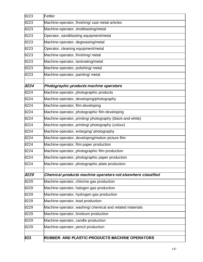| 8223 | Fettler                                                      |
|------|--------------------------------------------------------------|
| 8223 | Machine-operator, finishing/ cast metal articles             |
| 8223 | Machine-operator, shotblasting/metal                         |
| 8223 | Operator, sandblasting equipment/metal                       |
| 8223 | Machine-operator, degreasing/metal                           |
| 8223 | Operator, cleaning equipment/metal                           |
| 8223 | Machine-operator, finishing/ metal                           |
| 8223 | Machine-operator, laminating/metal                           |
| 8223 | Machine-operator, polishing/ metal                           |
| 8223 | Machine-operator, painting/ metal                            |
| 8224 | Photographic-products machine operators                      |
| 8224 | Machine-operator, photographic products                      |
| 8224 | Machine-operator, developing/photography                     |
| 8224 | Machine-operator, film developing                            |
| 8224 | Machine-operator, photographic film developing               |
| 8224 | Machine-operator, printing/ photography (black-and-white)    |
| 8224 | Machine-operator, printing/ photography (colour)             |
| 8224 | Machine-operator, enlarging/ photography                     |
| 8224 | Machine-operator, developing/motion picture film             |
| 8224 | Machine-operator, film paper production                      |
| 8224 | Machine-operator, photographic film production               |
| 8224 | Machine-operator, photographic paper production              |
| 8224 | Machine-operator, photographic plate production              |
| 8229 | Chemical-products machine operators not elsewhere classified |
| 8229 | Machine-operator, chlorine gas production                    |
| 8229 | Machine-operator, halogen gas production                     |
| 8229 | Machine-operator, hydrogen gas production                    |
| 8229 | Machine-operator, lead production                            |
| 8229 | Machine-operator, washing/ chemical and related materials    |
| 8229 | Machine-operator, linoleum production                        |
| 8229 | Machine-operator, candle production                          |
| 8229 | Machine-operator, pencil production                          |
| 823  | <b>RUBBER- AND PLASTIC-PRODUCTS MACHINE OPERATORS</b>        |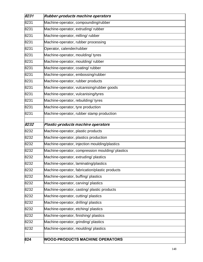| 8231 | Rubber-products machine operators                |
|------|--------------------------------------------------|
| 8231 | Machine-operator, compounding/rubber             |
| 8231 | Machine-operator, extruding/rubber               |
| 8231 | Machine-operator, milling/rubber                 |
| 8231 | Machine-operator, rubber processing              |
| 8231 | Operator, calender/rubber                        |
| 8231 | Machine-operator, moulding/tyres                 |
| 8231 | Machine-operator, moulding/rubber                |
| 8231 | Machine-operator, coating/rubber                 |
| 8231 | Machine-operator, embossing/rubber               |
| 8231 | Machine-operator, rubber products                |
| 8231 | Machine-operator, vulcanising/rubber goods       |
| 8231 | Machine-operator, vulcanising/tyres              |
| 8231 | Machine-operator, rebuilding/ tyres              |
| 8231 | Machine-operator, tyre production                |
| 8231 | Machine-operator, rubber stamp production        |
|      |                                                  |
| 8232 | Plastic-products machine operators               |
| 8232 | Machine-operator, plastic products               |
| 8232 | Machine-operator, plastics production            |
| 8232 | Machine-operator, injection moulding/plastics    |
| 8232 | Machine-operator, compression moulding/ plastics |
| 8232 | Machine-operator, extruding/ plastics            |
| 8232 | Machine-operator, laminating/plastics            |
| 8232 | Machine-operator, fabrication/plastic products   |
| 8232 | Machine-operator, buffing/ plastics              |
| 8232 | Machine-operator, carving/ plastics              |
| 8232 | Machine-operator, casting/ plastic products      |
| 8232 | Machine-operator, cutting/ plastics              |
| 8232 | Machine-operator, drilling/ plastics             |
| 8232 | Machine-operator, etching/ plastics              |
| 8232 | Machine-operator, finishing/ plastics            |
| 8232 | Machine-operator, grinding/ plastics             |
| 8232 | Machine-operator, moulding/ plastics             |
|      |                                                  |
| 824  | <b>WOOD-PRODUCTS MACHINE OPERATORS</b>           |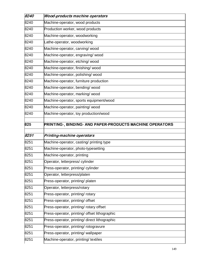| 8240 | <b>Wood-products machine operators</b>                   |
|------|----------------------------------------------------------|
| 8240 | Machine-operator, wood products                          |
| 8240 | Production worker, wood products                         |
| 8240 | Machine-operator, woodworking                            |
| 8240 | Lathe-operator, woodworking                              |
| 8240 | Machine-operator, carving/wood                           |
| 8240 | Machine-operator, engraving/wood                         |
| 8240 | Machine-operator, etching/wood                           |
| 8240 | Machine-operator, finishing/wood                         |
| 8240 | Machine-operator, polishing/wood                         |
| 8240 | Machine-operator, furniture production                   |
| 8240 | Machine-operator, bending/wood                           |
| 8240 | Machine-operator, marking/wood                           |
| 8240 | Machine-operator, sports equipment/wood                  |
| 8240 | Machine-operator, painting/wood                          |
| 8240 | Machine-operator, toy production/wood                    |
| 825  | PRINTING-, BINDING- AND PAPER-PRODUCTS MACHINE OPERATORS |
| 8251 | Printing-machine operators                               |
| 8251 | Machine-operator, casting/ printing type                 |
| 8251 | Machine-operator, photo-typesetting                      |
| 8251 | Machine-operator, printing                               |
| 8251 | Operator, letterpress/cylinder                           |
| 8251 | Press-operator, printing/ cylinder                       |
| 8251 | Operator, letterpress/platen                             |
| 8251 | Press-operator, printing/ platen                         |
| 8251 | Operator, letterpress/rotary                             |
| 8251 | Press-operator, printing/ rotary                         |
| 8251 | Press-operator, printing/ offset                         |
| 8251 | Press-operator, printing/ rotary offset                  |
| 8251 | Press-operator, printing/ offset lithographic            |
| 8251 | Press-operator, printing/ direct lithographic            |
| 8251 | Press-operator, printing/ rotogravure                    |
| 8251 | Press-operator, printing/ wallpaper                      |
| 8251 | Machine-operator, printing/ textiles                     |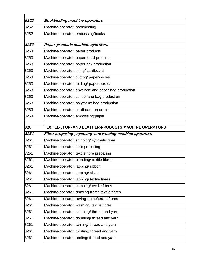| 8252 | <b>Bookbinding-machine operators</b>                      |
|------|-----------------------------------------------------------|
| 8252 | Machine-operator, bookbinding                             |
| 8252 | Machine-operator, embossing/books                         |
|      |                                                           |
| 8253 | Paper-products machine operators                          |
| 8253 | Machine-operator, paper products                          |
| 8253 | Machine-operator, paperboard products                     |
| 8253 | Machine-operator, paper box production                    |
| 8253 | Machine-operator, lining/cardboard                        |
| 8253 | Machine-operator, cutting/ paper-boxes                    |
| 8253 | Machine-operator, folding/ paper boxes                    |
| 8253 | Machine-operator, envelope and paper bag production       |
| 8253 | Machine-operator, cellophane bag production               |
| 8253 | Machine-operator, polythene bag production                |
| 8253 | Machine-operator, cardboard products                      |
| 8253 | Machine-operator, embossing/paper                         |
| 826  | TEXTILE-, FUR- AND LEATHER-PRODUCTS MACHINE OPERATORS     |
| 8261 | Fibre-preparing-, spinning- and winding-machine operators |
|      |                                                           |
| 8261 | Machine-operator, spinning/ synthetic fibre               |
| 8261 | Machine-operator, fibre preparing                         |
| 8261 | Machine-operator, textile fibre preparing                 |
| 8261 | Machine-operator, blending/ textile fibres                |
| 8261 | Machine-operator, lapping/ribbon                          |
| 8261 | Machine-operator, lapping/sliver                          |
| 8261 | Machine-operator, lapping/ textile fibres                 |
| 8261 | Machine-operator, combing/ textile fibres                 |
| 8261 | Machine-operator, drawing-frame/textile fibres            |
| 8261 | Machine-operator, roving-frame/textile fibres             |
| 8261 | Machine-operator, washing/ textile fibres                 |
| 8261 | Machine-operator, spinning/ thread and yarn               |
| 8261 | Machine-operator, doubling/ thread and yarn               |
| 8261 | Machine-operator, twining/ thread and yarn                |
| 8261 | Machine-operator, twisting/ thread and yarn               |
| 8261 | Machine-operator, reeling/ thread and yarn                |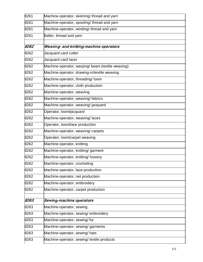| 8261 | Machine-operator, skeining/ thread and yarn       |
|------|---------------------------------------------------|
| 8261 | Machine-operator, spooling/ thread and yarn       |
| 8261 | Machine-operator, winding/ thread and yarn        |
| 8261 | Baller, thread and yarn                           |
| 8262 | Weaving- and knitting-machine operators           |
| 8262 | Jacquard card cutter                              |
| 8262 | Jacquard card lacer                               |
| 8262 | Machine-operator, warping/ beam (textile weaving) |
| 8262 | Machine-operator, drawing-in/textile weaving      |
| 8262 | Machine-operator, threading/ loom                 |
| 8262 | Machine-operator, cloth production                |
| 8262 | Machine-operator, weaving                         |
| 8262 | Machine-operator, weaving/fabrics                 |
| 8262 | Machine-operator, weaving/jacquard                |
| 8262 | Operator, loom/jacquard                           |
| 8262 | Machine-operator, weaving/laces                   |
| 8262 | Operator, loom/lace production                    |
| 8262 | Machine-operator, weaving/ carpets                |
| 8262 | Operator, loom/carpet weaving                     |
| 8262 | Machine-operator, knitting                        |
| 8262 | Machine-operator, knitting/ garment               |
| 8262 | Machine-operator, knitting/hosiery                |
| 8262 | Machine-operator, crocheting                      |
| 8262 | Machine-operator, lace production                 |
| 8262 | Machine-operator, net production                  |
| 8262 | Machine-operator, embroidery                      |
| 8262 | Machine-operator, carpet production               |
| 8263 | Sewing-machine operators                          |
| 8263 | Machine-operator, sewing                          |
| 8263 | Machine-operator, sewing/embroidery               |
| 8263 | Machine-operator, sewing/fur                      |
| 8263 | Machine-operator, sewing/ garments                |
| 8263 | Machine-operator, sewing/hats                     |
| 8263 | Machine-operator, sewing/ textile products        |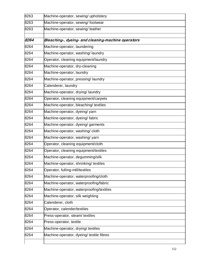| 8263 | Machine-operator, sewing/ upholstery               |
|------|----------------------------------------------------|
| 8263 | Machine-operator, sewing/footwear                  |
| 8263 | Machine-operator, sewing/leather                   |
|      |                                                    |
| 8264 | Bleaching-, dyeing- and cleaning-machine operators |
| 8264 | Machine-operator, laundering                       |
| 8264 | Machine-operator, washing/laundry                  |
| 8264 | Operator, cleaning equipment/laundry               |
| 8264 | Machine-operator, dry-cleaning                     |
| 8264 | Machine-operator, laundry                          |
| 8264 | Machine-operator, pressing/laundry                 |
| 8264 | Calenderer, laundry                                |
| 8264 | Machine-operator, drying/laundry                   |
| 8264 | Operator, cleaning equipment/carpets               |
| 8264 | Machine-operator, bleaching/ textiles              |
| 8264 | Machine-operator, dyeing/yarn                      |
| 8264 | Machine-operator, dyeing/fabric                    |
| 8264 | Machine-operator, dyeing/ garments                 |
| 8264 | Machine-operator, washing/cloth                    |
| 8264 | Machine-operator, washing/yarn                     |
| 8264 | Operator, cleaning equipment/cloth                 |
| 8264 | Operator, cleaning equipment/textiles              |
| 8264 | Machine-operator, degumming/silk                   |
| 8264 | Machine-operator, shrinking/ textiles              |
| 8264 | Operator, fulling-mill/textiles                    |
| 8264 | Machine-operator, waterproofing/cloth              |
| 8264 | Machine-operator, waterproofing/fabric             |
| 8264 | Machine-operator, waterproofing/textiles           |
| 8264 | Machine-operator, silk weighting                   |
| 8264 | Calenderer, cloth                                  |
| 8264 | Operator, calender/textiles                        |
| 8264 | Press-operator, steam/ textiles                    |
| 8264 | Press-operator, textile                            |
| 8264 | Machine-operator, drying/ textiles                 |
| 8264 | Machine-operator, dyeing/ textile fibres           |
|      |                                                    |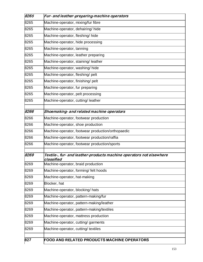| 8265 | Fur- and leather-preparing-machine operators                                      |
|------|-----------------------------------------------------------------------------------|
| 8265 | Machine-operator, mixing/fur fibre                                                |
| 8265 | Machine-operator, dehairing/hide                                                  |
| 8265 | Machine-operator, fleshing/ hide                                                  |
| 8265 | Machine-operator, hide processing                                                 |
| 8265 | Machine-operator, tanning                                                         |
| 8265 | Machine-operator, leather preparing                                               |
| 8265 | Machine-operator, staining/ leather                                               |
| 8265 | Machine-operator, washing/hide                                                    |
| 8265 | Machine-operator, fleshing/ pelt                                                  |
| 8265 | Machine-operator, finishing/ pelt                                                 |
| 8265 | Machine-operator, fur preparing                                                   |
| 8265 | Machine-operator, pelt processing                                                 |
| 8265 | Machine-operator, cutting/leather                                                 |
| 8266 | Shoemaking- and related machine operators                                         |
| 8266 | Machine-operator, footwear production                                             |
| 8266 | Machine-operator, shoe production                                                 |
| 8266 | Machine-operator, footwear production/orthopaedic                                 |
| 8266 | Machine-operator, footwear production/raffia                                      |
| 8266 | Machine-operator, footwear production/sports                                      |
| 8269 | Textile-, fur- and leather-products machine operators not elsewhere<br>classified |
| 8269 | Machine-operator, braid production                                                |
| 8269 | Machine-operator, forming/felt hoods                                              |
| 8269 | Machine-operator, hat-making                                                      |
| 8269 | Blocker, hat                                                                      |
| 8269 | Machine-operator, blocking/hats                                                   |
| 8269 | Machine-operator, pattern-making/fur                                              |
| 8269 | Machine-operator, pattern-making/leather                                          |
| 8269 | Machine-operator, pattern-making/textiles                                         |
| 8269 | Machine-operator, mattress production                                             |
| 8269 | Machine-operator, cutting/ garments                                               |
| 8269 | Machine-operator, cutting/ textiles                                               |
| 827  | FOOD AND RELATED PRODUCTS MACHINE OPERATORS                                       |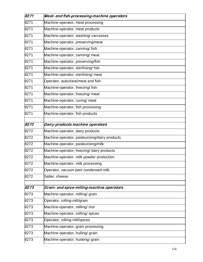| 8271 | Meat- and fish-processing-machine operators   |
|------|-----------------------------------------------|
| 8271 | Machine-operator, meat processing             |
| 8271 | Machine-operator, meat products               |
| 8271 | Machine-operator, washing/carcasses           |
| 8271 | Machine-operator, preserving/meat             |
| 8271 | Machine-operator, canning/ fish               |
| 8271 | Machine-operator, canning/ meat               |
| 8271 | Machine-operator, preserving/fish             |
| 8271 | Machine-operator, sterilising/fish            |
| 8271 | Machine-operator, sterilising/ meat           |
| 8271 | Operator, autoclave/meat and fish             |
| 8271 | Machine-operator, freezing/fish               |
| 8271 | Machine-operator, freezing/ meat              |
| 8271 | Machine-operator, curing/ meat                |
| 8271 | Machine-operator, fish processing             |
| 8271 | Machine-operator, fish products               |
| 8272 | Dairy-products machine operators              |
| 8272 | Machine-operator, dairy products              |
| 8272 | Machine-operator, pasteurising/dairy products |
| 8272 | Machine-operator, pasteurising/milk           |
| 8272 | Machine-operator, freezing/ dairy products    |
| 8272 | Machine-operator, milk powder production      |
| 8272 | Machine-operator, milk processing             |
| 8272 | Operator, vacuum pan/ condensed milk          |
| 8272 | Salter, cheese                                |
| 8273 | Grain- and spice-milling-machine operators    |
| 8273 | Machine-operator, milling/ grain              |
| 8273 | Operator, rolling-mill/grain                  |
| 8273 | Machine-operator, milling/rice                |
| 8273 | Machine-operator, milling/ spices             |
| 8273 | Operator, rolling-mill/spices                 |
| 8273 | Machine-operator, grain processing            |
| 8273 | Machine-operator, hulling/ grain              |
| 8273 | Machine-operator, husking/ grain              |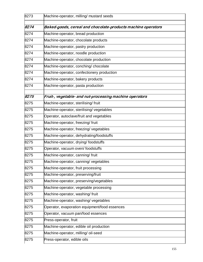| 8273 | Machine-operator, milling/ mustard seeds                     |
|------|--------------------------------------------------------------|
| 8274 | Baked-goods, cereal and chocolate-products machine operators |
| 8274 | Machine-operator, bread production                           |
| 8274 | Machine-operator, chocolate products                         |
| 8274 | Machine-operator, pastry production                          |
| 8274 | Machine-operator, noodle production                          |
| 8274 | Machine-operator, chocolate production                       |
| 8274 | Machine-operator, conching/ chocolate                        |
| 8274 | Machine-operator, confectionery production                   |
| 8274 | Machine-operator, bakery products                            |
| 8274 | Machine-operator, pasta production                           |
| 8275 | Fruit-, vegetable- and nut-processing machine operators      |
| 8275 | Machine-operator, sterilising/fruit                          |
| 8275 | Machine-operator, sterilising/ vegetables                    |
| 8275 | Operator, autoclave/fruit and vegetables                     |
| 8275 | Machine-operator, freezing/fruit                             |
| 8275 | Machine-operator, freezing/ vegetables                       |
| 8275 | Machine-operator, dehydrating/foodstuffs                     |
| 8275 | Machine-operator, drying/foodstuffs                          |
| 8275 | Operator, vacuum oven/foodstuffs                             |
| 8275 | Machine-operator, canning/ fruit                             |
| 8275 | Machine-operator, canning/ vegetables                        |
| 8275 | Machine-operator, fruit processing                           |
| 8275 | Machine-operator, preserving/fruit                           |
| 8275 | Machine-operator, preserving/vegetables                      |
| 8275 | Machine-operator, vegetable processing                       |
| 8275 | Machine-operator, washing/fruit                              |
| 8275 | Machine-operator, washing/vegetables                         |
| 8275 | Operator, evaporation equipment/food essences                |
| 8275 | Operator, vacuum pan/food essences                           |
| 8275 | Press-operator, fruit                                        |
| 8275 | Machine-operator, edible oil production                      |
| 8275 | Machine-operator, milling/oil-seed                           |
| 8275 | Press-operator, edible oils                                  |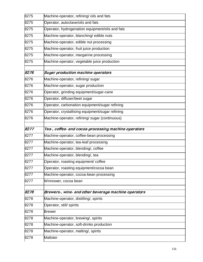| 8275 | Machine-operator, refining/ oils and fats            |
|------|------------------------------------------------------|
| 8275 | Operator, autoclave/oils and fats                    |
| 8275 | Operator, hydrogenation equipment/oils and fats      |
| 8275 | Machine-operator, blanching/ edible nuts             |
| 8275 | Machine-operator, edible nut processing              |
| 8275 | Machine-operator, fruit juice production             |
| 8275 | Machine-operator, margarine processing               |
| 8275 | Machine-operator, vegetable juice production         |
| 8276 | <b>Sugar production machine operators</b>            |
| 8276 |                                                      |
| 8276 | Machine-operator, refining/ sugar                    |
|      | Machine-operator, sugar production                   |
| 8276 | Operator, grinding equipment/sugar-cane              |
| 8276 | Operator, diffuser/beet sugar                        |
| 8276 | Operator, carbonation equipment/sugar refining       |
| 8276 | Operator, crystallising equipment/sugar refining     |
| 8276 | Machine-operator, refining/ sugar (continuous)       |
| 8277 | Tea-, coffee- and cocoa-processing machine operators |
| 8277 | Machine-operator, coffee-bean processing             |
| 8277 | Machine-operator, tea-leaf processing                |
| 8277 | Machine-operator, blending/, coffee                  |
| 8277 | Machine-operator, blending/, tea                     |
| 8277 | Operator, roasting equipment/ coffee                 |
| 8277 | Operator, roasting equipment/cocoa bean              |
| 8277 | Machine-operator, cocoa-bean processing              |
| 8277 | Winnower, cocoa bean                                 |
| 8278 | Brewers-, wine- and other beverage machine operators |
| 8278 | Machine-operator, distilling/, spirits               |
| 8278 | Operator, still/ spirits                             |
|      |                                                      |
| 8278 | <b>Brewer</b>                                        |
| 8278 | Machine-operator, brewing/, spirits                  |
| 8278 | Machine-operator, soft-drinks production             |
| 8278 | Machine-operator, malting/, spirits                  |
| 8278 | <b>Maltster</b>                                      |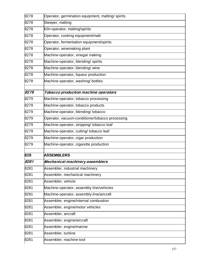| 8278 | Operator, germination equipment, malting/spirits |
|------|--------------------------------------------------|
| 8278 | Steeper, malting                                 |
| 8278 | Kiln-operator, malting/spirits                   |
| 8278 | Operator, cooking equipment/malt                 |
| 8278 | Operator, fermentation equipment/spirits         |
| 8278 | Operator, winemaking plant                       |
| 8278 | Machine-operator, vinegar making                 |
| 8278 | Machine-operator, blending/ spirits              |
| 8278 | Machine-operator, blending/wine                  |
| 8278 | Machine-operator, liqueur production             |
| 8278 | Machine-operator, washing/ bottles               |
|      |                                                  |
| 8279 | Tobacco production machine operators             |
| 8279 | Machine-operator, tobacco processing             |
| 8279 | Machine-operator, tobacco products               |
| 8279 | Machine-operator, blending/ tobacco              |
| 8279 | Operator, vacuum-conditioner/tobacco processing  |
| 8279 | Machine-operator, stripping/ tobacco leaf        |
| 8279 | Machine-operator, cutting/ tobacco leaf          |
| 8279 | Machine-operator, cigar production               |
| 8279 | Machine-operator, cigarette production           |
| 828  | <b>ASSEMBLERS</b>                                |
| 8281 | Mechanical-machinery assemblers                  |
| 8281 | Assembler, industrial machinery                  |
| 8281 | Assembler, mechanical machinery                  |
| 8281 | Assembler, vehicle                               |
| 8281 | Machine-operator, assembly line/vehicles         |
| 8281 | Machine-operator, assembly-line/aircraft         |
| 8281 | Assembler, engine/internal combustion            |
| 8281 | Assembler, engine/motor vehicles                 |
| 8281 | Assembler, aircraft                              |
| 8281 | Assembler, engine/aircraft                       |
| 8281 | Assembler, engine/marine                         |
| 8281 | Assembler, turbine                               |
| 8281 | Assembler, machine-tool                          |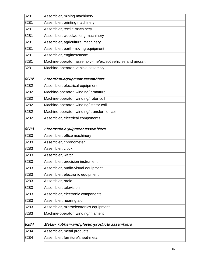| 8281 | Assembler, mining machinery                                  |
|------|--------------------------------------------------------------|
| 8281 | Assembler, printing machinery                                |
| 8281 | Assembler, textile machinery                                 |
| 8281 | Assembler, woodworking machinery                             |
| 8281 | Assembler, agricultural machinery                            |
| 8281 | Assembler, earth-moving equipment                            |
| 8281 | Assembler, engines/steam                                     |
| 8281 | Machine-operator, assembly-line/except vehicles and aircraft |
| 8281 | Machine-operator, vehicle assembly                           |
| 8282 | Electrical-equipment assemblers                              |
| 8282 | Assembler, electrical equipment                              |
| 8282 | Machine-operator, winding/armature                           |
| 8282 | Machine-operator, winding/ rotor coil                        |
| 8282 | Machine-operator, winding/ stator coil                       |
| 8282 | Machine-operator, winding/transformer coil                   |
| 8282 | Assembler, electrical components                             |
| 8283 | Electronic-equipment assemblers                              |
| 8283 | Assembler, office machinery                                  |
| 8283 | Assembler, chronometer                                       |
| 8283 | Assembler, clock                                             |
| 8283 | Assembler, watch                                             |
| 8283 | Assembler, precision instrument                              |
| 8283 | Assembler, audio-visual equipment                            |
| 8283 | Assembler, electronic equipment                              |
| 8283 | Assembler, radio                                             |
| 8283 | Assembler, television                                        |
| 8283 | Assembler, electronic components                             |
| 8283 | Assembler, hearing aid                                       |
| 8283 | Assembler, microelectronics equipment                        |
| 8283 | Machine-operator, winding/filament                           |
| 8284 | Metal-, rubber- and plastic-products assemblers              |
| 8284 | Assembler, metal products                                    |
| 8284 | Assembler, furniture/sheet-metal                             |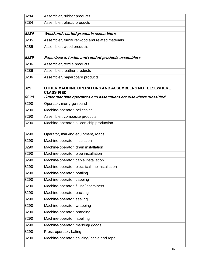| 8284  | Assembler, rubber products                                                |
|-------|---------------------------------------------------------------------------|
| 8284  | Assembler, plastic products                                               |
| 8285  | Wood and related products assemblers                                      |
| 8285  | Assembler, furniture/wood and related materials                           |
| 8285  | Assembler, wood products                                                  |
| 8286  | Paperboard, textile and related products assemblers                       |
| 8286  | Assembler, textile products                                               |
| 8286  | Assembler, leather products                                               |
| 8286  | Assembler, paperboard products                                            |
| 829   | OTHER MACHINE OPERATORS AND ASSEMBLERS NOT ELSEWHERE<br><b>CLASSIFIED</b> |
| 8290  | Other machine operators and assemblers not elsewhere classified           |
| 8290  | Operator, merry-go-round                                                  |
| 8290  | Machine-operator, pelletising                                             |
| 8290  | Assembler, composite products                                             |
| 8290  | Machine-operator, silicon chip production                                 |
| 8290  | Operator, marking equipment, roads                                        |
| 8290  | Machine-operator, insulation                                              |
| 8290  | Machine-operator, drain installation                                      |
| 8290  | Machine-operator, pipe installation                                       |
| 0.000 | $\mathbf{1}$                                                              |

| 8290 | Machine-operator, pipe installation            |
|------|------------------------------------------------|
| 8290 | Machine-operator, cable installation           |
| 8290 | Machine-operator, electrical line installation |
| 8290 | Machine-operator, bottling                     |
| 8290 | Machine-operator, capping                      |
| 8290 | Machine-operator, filling/containers           |
| 8290 | Machine-operator, packing                      |
| 8290 | Machine-operator, sealing                      |
| 8290 | Machine-operator, wrapping                     |
| 8290 | Machine-operator, branding                     |
| 8290 | Machine-operator, labelling                    |
| 8290 | Machine-operator, marking/ goods               |
| 8290 | Press-operator, baling                         |
| 8290 | Machine-operator, splicing/ cable and rope     |
|      |                                                |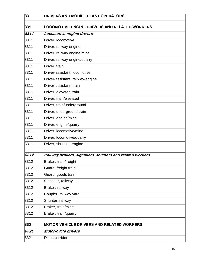| 83   | <b>DRIVERS AND MOBILE-PLANT OPERATORS</b>                 |
|------|-----------------------------------------------------------|
| 831  | <b>LOCOMOTIVE-ENGINE DRIVERS AND RELATED WORKERS</b>      |
| 8311 | Locomotive-engine drivers                                 |
| 8311 | Driver, locomotive                                        |
| 8311 | Driver, railway engine                                    |
| 8311 | Driver, railway engine/mine                               |
| 8311 | Driver, railway engine/quarry                             |
| 8311 | Driver, train                                             |
| 8311 | Driver-assistant, locomotive                              |
| 8311 | Driver-assistant, railway-engine                          |
| 8311 | Driver-assistant, train                                   |
| 8311 | Driver, elevated train                                    |
| 8311 | Driver, train/elevated                                    |
| 8311 | Driver, train/underground                                 |
| 8311 | Driver, underground train                                 |
| 8311 | Driver, engine/mine                                       |
| 8311 | Driver, engine/quarry                                     |
| 8311 | Driver, locomotive/mine                                   |
| 8311 | Driver, locomotive/quarry                                 |
| 8311 | Driver, shunting-engine                                   |
| 8312 | Railway brakers, signallers, shunters and related workers |
| 8312 | Braker, train/freight                                     |
| 8312 | Guard, freight train                                      |
| 8312 | Guard, goods train                                        |
| 8312 | Signaller, railway                                        |
| 8312 | Braker, railway                                           |
| 8312 | Coupler, railway yard                                     |
| 8312 | Shunter, railway                                          |
| 8312 | Braker, train/mine                                        |
| 8312 | Braker, train/quarry                                      |
| 832  | <b>MOTOR-VEHICLE DRIVERS AND RELATED WORKERS</b>          |
| 8321 | Motor-cycle drivers                                       |
| 8321 | Dispatch rider                                            |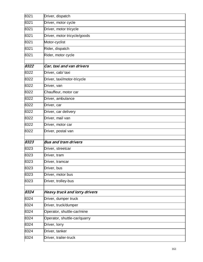| 8321 | Driver, dispatch                     |
|------|--------------------------------------|
| 8321 | Driver, motor cycle                  |
| 8321 | Driver, motor tricycle               |
| 8321 | Driver, motor tricycle/goods         |
| 8321 | Motor-cyclist                        |
| 8321 | Rider, dispatch                      |
| 8321 | Rider, motor cycle                   |
| 8322 |                                      |
| 8322 | Car, taxi and van drivers            |
|      | Driver, cab/ taxi                    |
| 8322 | Driver, taxi/motor-tricycle          |
| 8322 | Driver, van                          |
| 8322 | Chauffeur, motor car                 |
| 8322 | Driver, ambulance                    |
| 8322 | Driver, car                          |
| 8322 | Driver, car delivery                 |
| 8322 | Driver, mail van                     |
| 8322 | Driver, motor car                    |
| 8322 | Driver, postal van                   |
| 8323 |                                      |
|      | <b>Bus and tram drivers</b>          |
| 8323 | Driver, streetcar                    |
| 8323 | Driver, tram                         |
| 8323 | Driver, tramcar                      |
| 8323 | Driver, bus                          |
| 8323 | Driver, motor bus                    |
| 8323 | Driver, trolley-bus                  |
| 8324 | <b>Heavy truck and lorry drivers</b> |
| 8324 | Driver, dumper truck                 |
| 8324 |                                      |
|      | Driver, truck/dumper                 |
| 8324 | Operator, shuttle-car/mine           |
| 8324 | Operator, shuttle-car/quarry         |
| 8324 | Driver, lorry                        |
| 8324 | Driver, tanker                       |
| 8324 | Driver, trailer-truck                |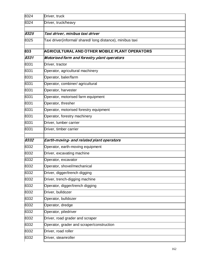| 8324 | Driver, truck                                              |
|------|------------------------------------------------------------|
| 8324 | Driver, truck/heavy                                        |
|      |                                                            |
| 8325 | Taxi driver, minibus taxi driver                           |
| 8325 | Taxi driver(informal/ shared/ long distance), minibus taxi |
| 833  | AGRICULTURAL AND OTHER MOBILE PLANT OPERATORS              |
| 8331 | Motorised farm and forestry plant operators                |
| 8331 | Driver, tractor                                            |
| 8331 | Operator, agricultural machinery                           |
| 8331 | Operator, baler/farm                                       |
| 8331 | Operator, combiner/ agricultural                           |
| 8331 | Operator, harvester                                        |
| 8331 | Operator, motorised farm equipment                         |
| 8331 | Operator, thresher                                         |
| 8331 | Operator, motorised forestry equipment                     |
| 8331 | Operator, forestry machinery                               |
| 8331 | Driver, lumber carrier                                     |
| 8331 | Driver, timber carrier                                     |
| 8332 | Earth-moving- and related plant operators                  |
| 8332 | Operator, earth-moving equipment                           |
| 8332 | Driver, excavating machine                                 |
| 8332 | Operator, excavator                                        |
| 8332 | Operator, shovel/mechanical                                |
| 8332 | Driver, digger/trench digging                              |
| 8332 | Driver, trench-digging machine                             |
| 8332 | Operator, digger/trench digging                            |
| 8332 | Driver, bulldozer                                          |
| 8332 | Operator, bulldozer                                        |
| 8332 | Operator, dredge                                           |
| 8332 | Operator, piledriver                                       |
| 8332 | Driver, road grader and scraper                            |
| 8332 | Operator, grader and scraper/construction                  |
| 8332 | Driver, road roller                                        |
| 8332 | Driver, steamroller                                        |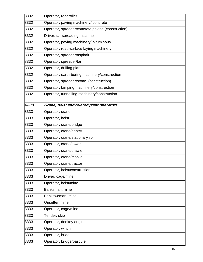| 8332 | Operator, roadroller                              |
|------|---------------------------------------------------|
| 8332 | Operator, paving machinery/ concrete              |
| 8332 | Operator, spreader/concrete paving (construction) |
| 8332 | Driver, tar-spreading machine                     |
| 8332 | Operator, paving machinery/ bituminous            |
| 8332 | Operator, road-surface laying machinery           |
| 8332 | Operator, spreader/asphalt                        |
| 8332 | Operator, spreader/tar                            |
| 8332 | Operator, drilling plant                          |
| 8332 | Operator, earth-boring machinery/construction     |
| 8332 | Operator, spreader/stone (construction)           |
| 8332 | Operator, tamping machinery/construction          |
| 8332 | Operator, tunnelling machinery/construction       |
| 8333 |                                                   |
|      | Crane, hoist and related plant operators          |
| 8333 | Operator, crane                                   |
| 8333 | Operator, hoist                                   |
| 8333 | Operator, crane/bridge                            |
| 8333 | Operator, crane/gantry                            |
| 8333 | Operator, crane/stationary jib                    |
| 8333 | Operator, crane/tower                             |
| 8333 | Operator, crane/crawler                           |
| 8333 | Operator, crane/mobile                            |
| 8333 | Operator, crane/tractor                           |
| 8333 | Operator, hoist/construction                      |
| 8333 | Driver, cage/mine                                 |
| 8333 | Operator, hoist/mine                              |
| 8333 | Banksman, mine                                    |
| 8333 | Bankswoman, mine                                  |
| 8333 | Onsetter, mine                                    |
| 8333 | Operator, cage/mine                               |
| 8333 | Tender, skip                                      |
| 8333 | Operator, donkey engine                           |
| 8333 | Operator, winch                                   |
| 8333 | Operator, bridge                                  |
| 8333 | Operator, bridge/bascule                          |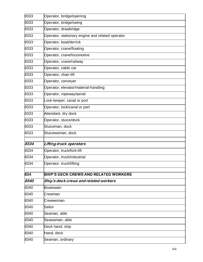| 8333 | Operator, bridge/opening                         |
|------|--------------------------------------------------|
| 8333 | Operator, bridge/swing                           |
| 8333 | Operator, drawbridge                             |
| 8333 | Operator, stationary engine and related operator |
| 8333 | Operator, boat/derrick                           |
| 8333 | Operator, crane/floating                         |
| 8333 | Operator, crane/locomotive                       |
| 8333 | Operator, crane/railway                          |
| 8333 | Operator, cable car                              |
| 8333 | Operator, chair-lift                             |
| 8333 | Operator, conveyer                               |
| 8333 | Operator, elevator/material-handling             |
| 8333 | Operator, ropeway/aerial                         |
| 8333 | Lock-keeper, canal or port                       |
| 8333 | Operator, lock/canal or port                     |
| 8333 | Attendant, dry dock                              |
| 8333 | Operator, sluice/dock                            |
| 8333 | Sluiceman, dock                                  |
| 8333 | Sluicewoman, dock                                |
| 8334 |                                                  |
| 8334 | Lifting-truck operators                          |
|      | Operator, truck/fork-lift                        |
| 8334 | Operator, truck/industrial                       |
| 8334 | Operator, truck/lifting                          |
| 834  | <b>SHIP'S DECK CREWS AND RELATED WORKERS</b>     |
| 8340 | Ship's deck crews and related workers            |
| 8340 | Boatswain                                        |
| 8340 | Crewman                                          |
| 8340 | Crewwoman                                        |
| 8340 | Sailor                                           |
| 8340 | Seaman, able                                     |
| 8340 | Seawoman, able                                   |
| 8340 | Deck hand, ship                                  |
| 8340 | Hand, deck                                       |
| 8340 | Seaman, ordinary                                 |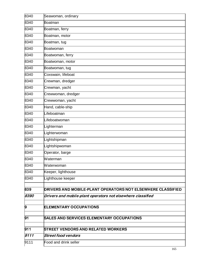| 8340 | Seawoman, ordinary                                                 |
|------|--------------------------------------------------------------------|
| 8340 | Boatman                                                            |
| 8340 | Boatman, ferry                                                     |
| 8340 | Boatman, motor                                                     |
| 8340 | Boatman, tug                                                       |
| 8340 | Boatwoman                                                          |
| 8340 | Boatwoman, ferry                                                   |
| 8340 | Boatwoman, motor                                                   |
| 8340 | Boatwoman, tug                                                     |
| 8340 | Coxswain, lifeboat                                                 |
| 8340 | Crewman, dredger                                                   |
| 8340 | Crewman, yacht                                                     |
| 8340 | Crewwoman, dredger                                                 |
| 8340 | Crewwoman, yacht                                                   |
| 8340 | Hand, cable-ship                                                   |
| 8340 | Lifeboatman                                                        |
| 8340 | Lifeboatwoman                                                      |
| 8340 | Lighterman                                                         |
| 8340 | Lighterwoman                                                       |
| 8340 | Lightshipman                                                       |
| 8340 | Lightshipwoman                                                     |
| 8340 | Operator, barge                                                    |
| 8340 | Waterman                                                           |
| 8340 | Waterwoman                                                         |
| 8340 | Keeper, lighthouse                                                 |
| 8340 | Lighthouse keeper                                                  |
| 839  | <b>DRIVERS AND MOBILE-PLANT OPERATORS NOT ELSEWHERE CLASSIFIED</b> |
| 8390 | Drivers and mobile-plant operators not elsewhere classified        |
| 9    | <b>ELEMENTARY OCCUPATIONS</b>                                      |
| 91   | <b>SALES AND SERVICES ELEMENTARY OCCUPATIONS</b>                   |
|      |                                                                    |
| 911  | <b>STREET VENDORS AND RELATED WORKERS</b>                          |
| 9111 | <b>Street food vendors</b>                                         |
| 9111 | Food and drink seller                                              |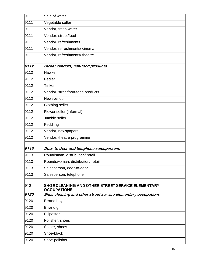| 9111 | Sale of water                                                                  |
|------|--------------------------------------------------------------------------------|
| 9111 | Vegetable seller                                                               |
| 9111 | Vendor, fresh-water                                                            |
| 9111 | Vendor, street/food                                                            |
| 9111 | Vendor, refreshments                                                           |
| 9111 | Vendor, refreshments/cinema                                                    |
| 9111 | Vendor, refreshments/ theatre                                                  |
| 9112 | Street vendors, non-food products                                              |
| 9112 | <b>Hawker</b>                                                                  |
| 9112 | Pedlar                                                                         |
| 9112 | <b>Tinker</b>                                                                  |
| 9112 | Vendor, street/non-food products                                               |
| 9112 | Newsvendor                                                                     |
| 9112 | Clothing seller                                                                |
| 9112 | Flower seller (informal)                                                       |
| 9112 | Jumble seller                                                                  |
| 9112 | Peddling                                                                       |
| 9112 | Vendor, newspapers                                                             |
| 9112 | Vendor, theatre programme                                                      |
| 9113 | Door-to-door and telephone salespersons                                        |
| 9113 | Roundsman, distribution/retail                                                 |
| 9113 | Roundswoman, distribution/retail                                               |
| 9113 | Salesperson, door-to-door                                                      |
| 9113 | Salesperson, telephone                                                         |
| 912  | <b>SHOE CLEANING AND OTHER STREET SERVICE ELEMENTARY</b><br><b>OCCUPATIONS</b> |
| 9120 | Shoe cleaning and other street service elementary occupations                  |
| 9120 | Errand boy                                                                     |
| 9120 | Errand girl                                                                    |
| 9120 | Billposter                                                                     |
| 9120 | Polisher, shoes                                                                |
| 9120 | Shiner, shoes                                                                  |
| 9120 | Shoe-black                                                                     |
| 9120 | Shoe-polisher                                                                  |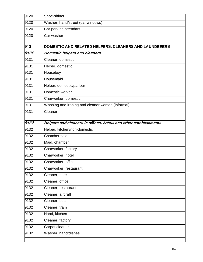| 9120 | Shoe-shiner                                                      |
|------|------------------------------------------------------------------|
| 9120 | Washer, hand/street (car windows)                                |
| 9120 | Car parking attendant                                            |
| 9120 | Car washer                                                       |
| 913  | DOMESTIC AND RELATED HELPERS, CLEANERS AND LAUNDERERS            |
| 9131 | Domestic helpers and cleaners                                    |
| 9131 | Cleaner, domestic                                                |
| 9131 | Helper, domestic                                                 |
| 9131 | Houseboy                                                         |
| 9131 | Housemaid                                                        |
| 9131 | Helper, domestic/parlour                                         |
| 9131 | Domestic worker                                                  |
| 9131 | Charworker, domestic                                             |
| 9131 | Washing and ironing and cleaner woman (informal)                 |
| 9131 | Cleaner                                                          |
| 9132 | Helpers and cleaners in offices, hotels and other establishments |
| 9132 | Helper, kitchen/non-domestic                                     |
| 9132 | Chambermaid                                                      |
| 9132 | Maid, chamber                                                    |
| 9132 | Charworker, factory                                              |
| 9132 | Charworker, hotel                                                |
| 9132 | Charworker, office                                               |
| 9132 | Charworker, restaurant                                           |
| 9132 | Cleaner, hotel                                                   |
| 9132 | Cleaner, office                                                  |
| 9132 | Cleaner, restaurant                                              |
| 9132 | Cleaner, aircraft                                                |
| 9132 | Cleaner, bus                                                     |
| 9132 | Cleaner, train                                                   |
| 9132 | Hand, kitchen                                                    |
| 9132 | Cleaner, factory                                                 |
| 9132 | Carpet cleaner                                                   |
| 9132 | Washer, hand/dishes                                              |
|      |                                                                  |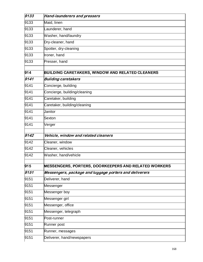| 9133 | <b>Hand-launderers and pressers</b>                     |
|------|---------------------------------------------------------|
| 9133 | Maid, linen                                             |
| 9133 | Launderer, hand                                         |
| 9133 | Washer, hand/laundry                                    |
| 9133 | Dry-cleaner, hand                                       |
| 9133 | Spotter, dry-cleaning                                   |
| 9133 | Ironer, hand                                            |
| 9133 | Presser, hand                                           |
| 914  | <b>BUILDING CARETAKERS, WINDOW AND RELATED CLEANERS</b> |
| 9141 | <b>Building caretakers</b>                              |
| 9141 | Concierge, building                                     |
| 9141 | Concierge, building/cleaning                            |
| 9141 | Caretaker, building                                     |
| 9141 | Caretaker, building/cleaning                            |
| 9141 | Janitor                                                 |
| 9141 | Sexton                                                  |
| 9141 | Verger                                                  |
| 9142 | Vehicle, window and related cleaners                    |
| 9142 | Cleaner, window                                         |
| 9142 | Cleaner, vehicles                                       |
| 9142 | Washer, hand/vehicle                                    |
| 915  | MESSENGERS, PORTERS, DOORKEEPERS AND RELATED WORKERS    |
| 9151 | Messengers, package and luggage porters and deliverers  |
| 9151 | Deliverer, hand                                         |
| 9151 | Messenger                                               |
| 9151 | Messenger boy                                           |
| 9151 | Messenger girl                                          |
| 9151 | Messenger, office                                       |
| 9151 | Messenger, telegraph                                    |
| 9151 | Post-runner                                             |
| 9151 | Runner post                                             |
| 9151 | Runner, messages                                        |
| 9151 | Deliverer, hand/newspapers                              |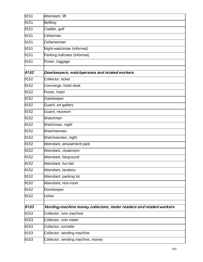| 9151 | Attendant, lift                                                     |
|------|---------------------------------------------------------------------|
| 9151 | <b>Bellboy</b>                                                      |
| 9151 | Caddie, golf                                                        |
| 9151 | Cellarman                                                           |
| 9151 | Cellarwoman                                                         |
| 9151 | Night-watchman (informal)                                           |
| 9151 | Parking indicator (informal)                                        |
| 9151 | Porter, luggage                                                     |
|      |                                                                     |
| 9152 | Doorkeepers, watchpersons and related workers                       |
| 9152 | Collector, ticket                                                   |
| 9152 | Concierge, hotel desk                                               |
| 9152 | Porter, hotel                                                       |
| 9152 | Gatekeeper                                                          |
| 9152 | Guard, art gallery                                                  |
| 9152 | Guard, museum                                                       |
| 9152 | Watchman                                                            |
| 9152 | Watchman, night                                                     |
| 9152 | Watchwoman                                                          |
| 9152 | Watchwoman, night                                                   |
| 9152 | Attendant, amusement park                                           |
| 9152 | Attendant, cloakroom                                                |
| 9152 | Attendant, fairground                                               |
| 9152 | Attendant, fun-fair                                                 |
| 9152 | Attendant, lavatory                                                 |
| 9152 | Attendant, parking lot                                              |
| 9152 | Attendant, rest-room                                                |
| 9152 | Doorkeeper                                                          |
| 9152 | <b>Usher</b>                                                        |
|      |                                                                     |
| 9153 | Vending-machine money collectors, meter readers and related workers |
| 9153 | Collector, coin machine                                             |
| 9153 | Collector, coin meter                                               |
| 9153 | Collector, turnstile                                                |
| 9153 | Collector, vending machine                                          |
| 9153 | Collector, vending machine, money                                   |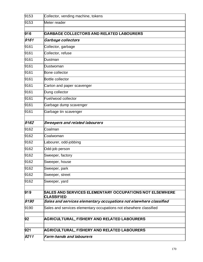| 9153       | Collector, vending machine, tokens                                                  |
|------------|-------------------------------------------------------------------------------------|
| 9153       | Meter reader                                                                        |
| 916        | GARBAGE COLLECTORS AND RELATED LABOURERS                                            |
| 9161       | Garbage collectors                                                                  |
| 9161       | Collector, garbage                                                                  |
| 9161       | Collector, refuse                                                                   |
| 9161       | Dustman                                                                             |
| 9161       | Dustwoman                                                                           |
| 9161       | Bone collector                                                                      |
| 9161       | Bottle collector                                                                    |
| 9161       | Carton and paper scavenger                                                          |
| 9161       | Dung collector                                                                      |
| 9161       | Fuel/wood collector                                                                 |
| 9161       | Garbage dump scavenger                                                              |
| 9161       | Garbage tin scavenger                                                               |
| 9162       | <b>Sweepers and related labourers</b>                                               |
| 9162       | Coalman                                                                             |
| 9162       | Coalwoman                                                                           |
| 9162       | Labourer, odd-jobbing                                                               |
| 9162       | Odd-job person                                                                      |
| 9162       | Sweeper, factory                                                                    |
| 9162       | Sweeper, house                                                                      |
| 9162       | Sweeper, park                                                                       |
| 9162       | Sweeper, street                                                                     |
| 9162       | Sweeper, yard                                                                       |
| 919        | <b>SALES AND SERVICES ELEMENTARY OCCUPATIONS NOT ELSEWHERE</b><br><b>CLASSIFIED</b> |
| 9190       | Sales and services elementary occupations not elsewhere classified                  |
| 9190       | Sales and services elementary occupations not elsewhere classified                  |
|            | <b>AGRICULTURAL, FISHERY AND RELATED LABOURERS</b>                                  |
|            |                                                                                     |
| 92<br> 921 | <b>AGRICULTURAL, FISHERY AND RELATED LABOURERS</b>                                  |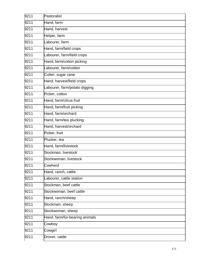| 9211 | Pastoralist                    |
|------|--------------------------------|
| 9211 | Hand, farm                     |
| 9211 | Hand, harvest                  |
| 9211 | Helper, farm                   |
| 9211 | Labourer, farm                 |
| 9211 | Hand, farm/field crops         |
| 9211 | Labourer, farm/field crops     |
| 9211 | Hand, farm/cotton picking      |
| 9211 | Labourer, farm/cotton          |
| 9211 | Cutter, sugar cane             |
| 9211 | Hand, harvest/field crops      |
| 9211 | Labourer, farm/potato digging  |
| 9211 | Picker, cotton                 |
| 9211 | Hand, farm/citrus fruit        |
| 9211 | Hand, farm/fruit picking       |
| 9211 | Hand, farm/orchard             |
| 9211 | Hand, farm/tea plucking        |
| 9211 | Hand, harvest/orchard          |
| 9211 | Picker, fruit                  |
| 9211 | Plucker, tea                   |
| 9211 | Hand, farm/livestock           |
| 9211 | Stockman, livestock            |
| 9211 | Stockwoman, livestock          |
| 9211 | Cowherd                        |
| 9211 | Hand, ranch, cattle            |
| 9211 | Labourer, cattle station       |
| 9211 | Stockman, beef cattle          |
| 9211 | Stockwoman, beef cattle        |
| 9211 | Hand, ranch/sheep              |
| 9211 | Stockman, sheep                |
| 9211 | Stockwoman, sheep              |
| 9211 | Hand, farm/fur-bearing animals |
| 9211 | Cowboy                         |
| 9211 | Cowgirl                        |
| 9211 | Drover, cattle                 |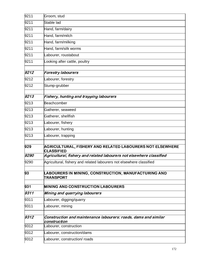| 9211 | Groom, stud                                                                     |
|------|---------------------------------------------------------------------------------|
| 9211 | Stable lad                                                                      |
| 9211 | Hand, farm/dairy                                                                |
| 9211 | Hand, farm/milch                                                                |
| 9211 | Hand, farm/milking                                                              |
| 9211 | Hand, farm/silk worms                                                           |
| 9211 | Labourer, roustabout                                                            |
| 9211 | Looking after cattle, poultry                                                   |
| 9212 | <b>Forestry labourers</b>                                                       |
| 9212 | Labourer, forestry                                                              |
| 9212 | Stump-grubber                                                                   |
| 9213 | Fishery, hunting and trapping labourers                                         |
| 9213 | Beachcomber                                                                     |
| 9213 | Gatherer, seaweed                                                               |
| 9213 | Gatherer, shellfish                                                             |
| 9213 | Labourer, fishery                                                               |
| 9213 | Labourer, hunting                                                               |
| 9213 | Labourer, trapping                                                              |
| 929  | AGRICULTURAL, FISHERY AND RELATED LABOURERS NOT ELSEWHERE<br><b>CLASSIFIED</b>  |
| 9290 | Agricultural, fishery and related labourers not elsewhere classified            |
| 9290 | Agricultural, fishery and related labourers not elsewhere classified            |
| 93   | LABOURERS IN MINING, CONSTRUCTION, MANUFACTURING AND<br><b>TRANSPORT</b>        |
| 931  | <b>MINING AND CONSTRUCTION LABOURERS</b>                                        |
| 9311 | Mining and quarrying labourers                                                  |
| 9311 | Labourer, digging/quarry                                                        |
| 9311 | Labourer, mining                                                                |
| 9312 | Construction and maintenance labourers: roads, dams and similar<br>construction |
| 9312 | Labourer, construction                                                          |
| 9312 | Labourer, construction/dams                                                     |
| 9312 | Labourer, construction/ roads                                                   |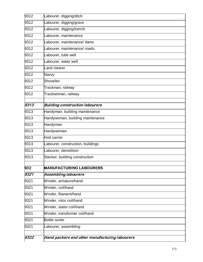| 9312 | Labourer, digging/ditch                        |
|------|------------------------------------------------|
| 9312 | Labourer, digging/grave                        |
| 9312 | Labourer, digging/trench                       |
| 9312 | Labourer, maintenance                          |
| 9312 | Labourer, maintenance/ dams                    |
| 9312 | Labourer, maintenance/ roads                   |
| 9312 | Labourer, tube well                            |
| 9312 | Labourer, water well                           |
| 9312 | Land clearer                                   |
| 9312 | Navvy                                          |
| 9312 | Shoveller                                      |
| 9312 | Trackman, railway                              |
| 9312 | Trackwoman, railway                            |
|      |                                                |
| 9313 | <b>Building construction labourers</b>         |
| 9313 | Handyman, building maintenance                 |
| 9313 | Handywoman, building maintenance               |
| 9313 | Handyman                                       |
| 9313 | Handywoman                                     |
| 9313 | Hod carrier                                    |
| 9313 | Labourer, construction, buildings              |
| 9313 | Labourer, demolition                           |
| 9313 | Stacker, building construction                 |
| 932  | <b>MANUFACTURING LABOURERS</b>                 |
| 9321 | <b>Assembling labourers</b>                    |
| 9321 | Winder, armature/hand                          |
| 9321 | Winder, coil/hand                              |
| 9321 | Winder, filament/hand                          |
| 9321 | Winder, rotor coil/hand                        |
| 9321 | Winder, stator coil/hand                       |
| 9321 | Winder, transformer coil/hand                  |
| 9321 | <b>Bottle sorter</b>                           |
| 9321 | Labourer, assembling                           |
| 9322 | Hand packers and other manufacturing labourers |
|      |                                                |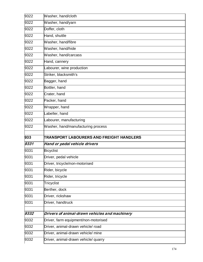| 9322         | Washer, hand/cloth                                                         |
|--------------|----------------------------------------------------------------------------|
| 9322         | Washer, hand/yarn                                                          |
| 9322         | Doffer, cloth                                                              |
| 9322         | Hand, shuttle                                                              |
| 9322         | Washer, hand/fibre                                                         |
| 9322         | Washer, hand/hide                                                          |
| 9322         | Washer, hand/carcass                                                       |
| 9322         | Hand, cannery                                                              |
| 9322         | Labourer, wine production                                                  |
| 9322         | Striker, blacksmith's                                                      |
| 9322         | Bagger, hand                                                               |
| 9322         | Bottler, hand                                                              |
| 9322         | Crater, hand                                                               |
| 9322         | Packer, hand                                                               |
| 9322         | Wrapper, hand                                                              |
| 9322         | Labeller, hand                                                             |
| 9322         | _abourer, manufacturing                                                    |
| 9322         | Washer, hand/manufacturing process                                         |
| 933          | TRANSPORT LABOURERS AND FREIGHT HANDLERS                                   |
| 9331         | Hand or pedal vehicle drivers                                              |
| 9331         | <b>Bicyclist</b>                                                           |
| 9331         | Driver, pedal vehicle                                                      |
| 9331         | Driver, tricycle/non-motorised                                             |
| 9331         | Rider, bicycle                                                             |
| 9331         | Rider, tricycle                                                            |
| 9331         | Tricyclist                                                                 |
| 9331         | Berther, dock                                                              |
| 9331         | Driver, rickshaw                                                           |
| 9331         |                                                                            |
|              | Driver, handtruck                                                          |
|              |                                                                            |
| 9332         | Drivers of animal-drawn vehicles and machinery                             |
| 9332         | Driver, farm equipment/non-motorised                                       |
| 9332         | Driver, animal-drawn vehicle/ road                                         |
| 9332<br>9332 | Driver, animal-drawn vehicle/ mine<br>Driver, animal-drawn vehicle/ quarry |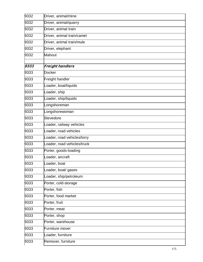| 9332 | Driver, animal/mine         |
|------|-----------------------------|
| 9332 | Driver, animal/quarry       |
| 9332 | Driver, animal train        |
| 9332 | Driver, animal train/camel  |
| 9332 | Driver, animal train/mule   |
| 9332 | Driver, elephant            |
| 9332 | Mahout                      |
|      |                             |
| 9333 | <b>Freight handlers</b>     |
| 9333 | Docker                      |
| 9333 | Freight handler             |
| 9333 | Loader, boat/liquids        |
| 9333 | Loader, ship                |
| 9333 | Loader, ship/liquids        |
| 9333 | Longshoreman                |
| 9333 | Longshorewoman              |
| 9333 | Stevedore                   |
| 9333 | Loader, railway vehicles    |
| 9333 | Loader, road vehicles       |
| 9333 | Loader, road vehicles/lorry |
| 9333 | Loader, road vehicles/truck |
| 9333 | Porter, goods-loading       |
| 9333 | Loader, aircraft            |
| 9333 | Loader, boat                |
| 9333 | Loader, boat/ gases         |
| 9333 | Loader, ship/petroleum      |
| 9333 | Porter, cold-storage        |
| 9333 | Porter, fish                |
| 9333 | Porter, food market         |
| 9333 | Porter, fruit               |
| 9333 | Porter, meat                |
| 9333 | Porter, shop                |
| 9333 | Porter, warehouse           |
| 9333 | Furniture mover             |
| 9333 | Loader, furniture           |
| 9333 | Remover, furniture          |